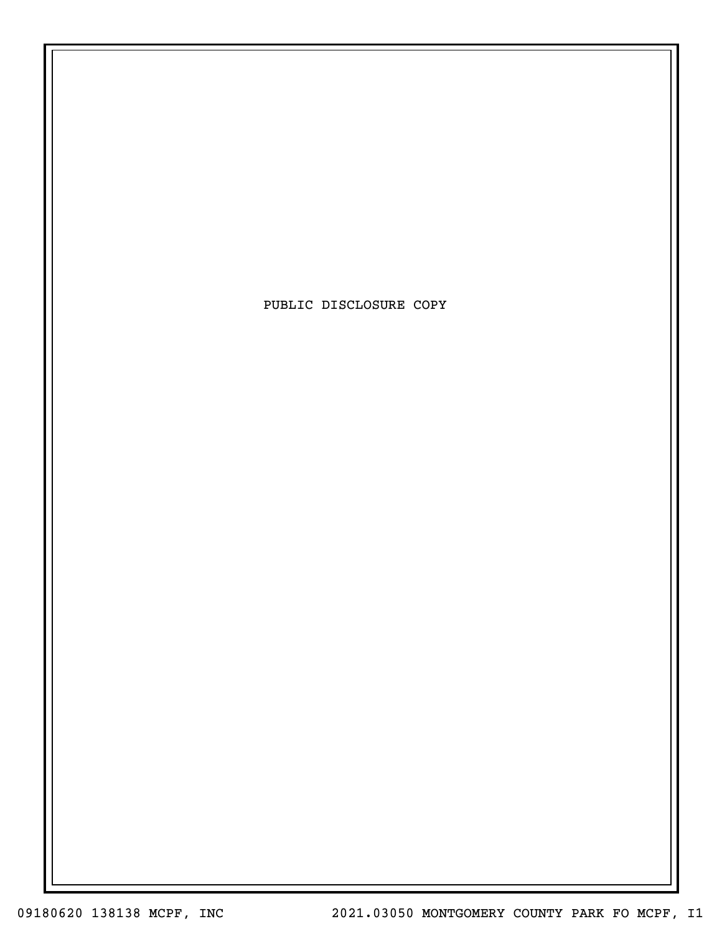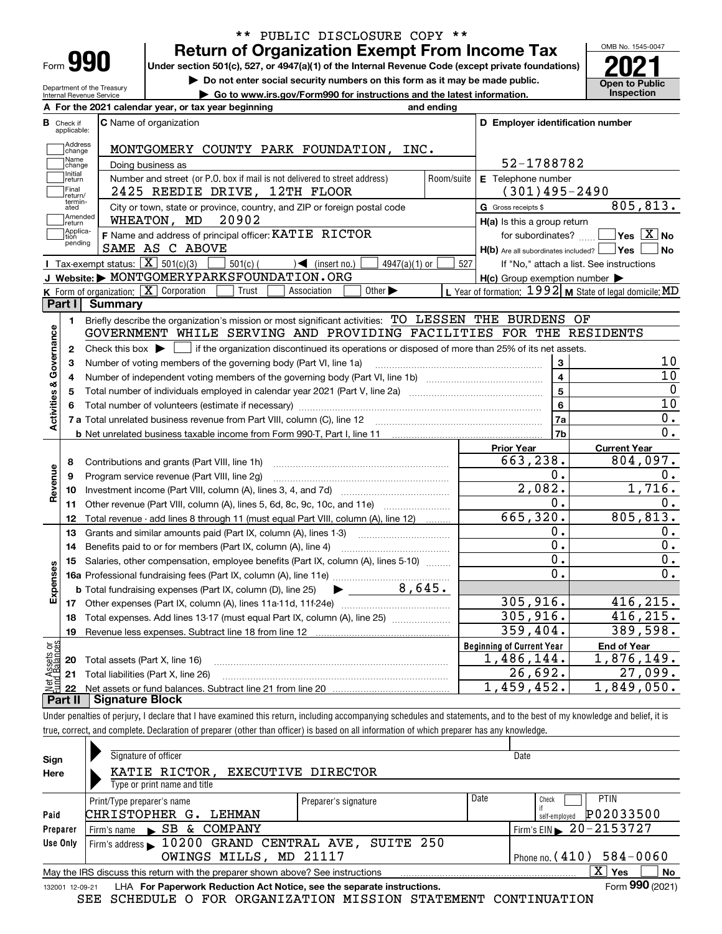| Form |  |
|------|--|

# **Return of Organization Exempt From Income Tax** \*\* PUBLIC DISCLOSURE COPY \*\*

Under section 501(c), 527, or 4947(a)(1) of the Internal Revenue Code (except private foundations) **2021** 

**| Do not enter social security numbers on this form as it may be made public.**

Department of the Treasury Internal Revenue Service **| Go to www.irs.gov/Form990 for instructions and the latest information. Inspection**

OMB No. 1545-0047 **Open to Public** 

|                              | A For the 2021 calendar year, or tax year beginning                                                                                         | and ending |                                                     |                                                           |
|------------------------------|---------------------------------------------------------------------------------------------------------------------------------------------|------------|-----------------------------------------------------|-----------------------------------------------------------|
| В<br>Check if<br>applicable: | <b>C</b> Name of organization                                                                                                               |            | D Employer identification number                    |                                                           |
| Address<br>change            | MONTGOMERY COUNTY PARK FOUNDATION, INC.                                                                                                     |            |                                                     |                                                           |
| Name<br>change               | Doing business as                                                                                                                           |            | 52-1788782                                          |                                                           |
| Initial<br>return            | Number and street (or P.O. box if mail is not delivered to street address)                                                                  | Room/suite | E Telephone number                                  |                                                           |
| Final<br>return/             | 2425 REEDIE DRIVE, 12TH FLOOR                                                                                                               |            | $(301)495 - 2490$                                   |                                                           |
| termin-<br>ated              | City or town, state or province, country, and ZIP or foreign postal code                                                                    |            | G Gross receipts \$                                 | 805,813.                                                  |
| Amended<br>return            | 20902<br>WHEATON, MD                                                                                                                        |            | H(a) Is this a group return                         |                                                           |
| Applica-<br>tion             | F Name and address of principal officer: KATIE RICTOR                                                                                       |            |                                                     | for subordinates? $\Box$ Yes $\boxed{X}$ No               |
| pending                      | SAME AS C ABOVE                                                                                                                             |            | H(b) Are all subordinates included?   Yes           | ∣No                                                       |
|                              | <b>I</b> Tax-exempt status: $\boxed{\mathbf{X}}$ 501(c)(3) [<br>$\sqrt{\frac{1}{1}}$ (insert no.)<br>$501(c)$ (<br>$4947(a)(1)$ or          | 527        |                                                     | If "No," attach a list. See instructions                  |
|                              | J Website: MONTGOMERYPARKSFOUNDATION.ORG                                                                                                    |            | $H(c)$ Group exemption number $\blacktriangleright$ |                                                           |
|                              | <b>K</b> Form of organization: $\boxed{\mathbf{X}}$ Corporation<br>Trust<br>Other $\blacktriangleright$<br>Association                      |            |                                                     | L Year of formation: $1992$ M State of legal domicile: MD |
| Part I                       | <b>Summary</b>                                                                                                                              |            |                                                     |                                                           |
| 1.                           | Briefly describe the organization's mission or most significant activities: TO LESSEN THE BURDENS OF                                        |            |                                                     |                                                           |
|                              | GOVERNMENT WHILE SERVING AND PROVIDING FACILITIES FOR THE RESIDENTS                                                                         |            |                                                     |                                                           |
| 2                            | Check this box $\blacktriangleright$ $\Box$ if the organization discontinued its operations or disposed of more than 25% of its net assets. |            |                                                     |                                                           |
| 3                            | Number of voting members of the governing body (Part VI, line 1a)                                                                           |            | 3                                                   | 10                                                        |
| 4                            |                                                                                                                                             |            | $\overline{\mathbf{4}}$                             | 10                                                        |
| 5                            |                                                                                                                                             |            | 5                                                   | $\Omega$                                                  |
|                              |                                                                                                                                             |            | $6\phantom{a}$                                      | 10                                                        |
| Activities & Governance      |                                                                                                                                             |            | 7a                                                  | 0.                                                        |
|                              |                                                                                                                                             |            | 7b                                                  | $0$ .                                                     |
|                              |                                                                                                                                             |            | <b>Prior Year</b>                                   | <b>Current Year</b>                                       |
| 8                            | Contributions and grants (Part VIII, line 1h)                                                                                               |            | 663,238.                                            | 804,097.                                                  |
| Revenue<br>9                 | Program service revenue (Part VIII, line 2g)                                                                                                |            | 0.                                                  | 0.                                                        |
| 10                           |                                                                                                                                             |            | 2,082.                                              | 1,716.                                                    |
| 11                           | Other revenue (Part VIII, column (A), lines 5, 6d, 8c, 9c, 10c, and 11e)                                                                    |            | 0.                                                  | 0.                                                        |
| 12                           | Total revenue - add lines 8 through 11 (must equal Part VIII, column (A), line 12)                                                          |            | 665, 320.                                           | 805, 813.                                                 |
| 13                           | Grants and similar amounts paid (Part IX, column (A), lines 1-3)                                                                            |            | 0.                                                  | 0.                                                        |
| 14                           | Benefits paid to or for members (Part IX, column (A), line 4)                                                                               |            | $\overline{0}$ .                                    | $\overline{0}$ .                                          |
| 15                           | Salaries, other compensation, employee benefits (Part IX, column (A), lines 5-10)                                                           |            | 0.                                                  | 0.                                                        |
|                              |                                                                                                                                             |            | $\overline{0}$ .                                    | 0.                                                        |
|                              | 8,645.<br><b>b</b> Total fundraising expenses (Part IX, column (D), line 25) $\rightarrow$                                                  |            |                                                     |                                                           |
| Expenses                     |                                                                                                                                             |            | 305, 916.                                           | 416, 215.                                                 |
| 18                           | Total expenses. Add lines 13-17 (must equal Part IX, column (A), line 25) <i></i>                                                           |            | 305, 916.                                           | 416, 215.                                                 |
| 19                           |                                                                                                                                             |            | 359,404.                                            | 389,598.                                                  |
| ăğ                           |                                                                                                                                             |            | <b>Beginning of Current Year</b>                    | <b>End of Year</b>                                        |
| 20                           | Total assets (Part X, line 16)                                                                                                              |            | 1,486,144.                                          | 1,876,149.                                                |
| 21                           | Total liabilities (Part X, line 26)                                                                                                         |            | 26,692.                                             | 27,099.                                                   |
| 22                           |                                                                                                                                             |            | 1,459,452.                                          | 1,849,050.                                                |
| Part II                      | <b>Signature Block</b>                                                                                                                      |            |                                                     |                                                           |

Under penalties of perjury, I declare that I have examined this return, including accompanying schedules and statements, and to the best of my knowledge and belief, it is true, correct, and complete. Declaration of preparer (other than officer) is based on all information of which preparer has any knowledge.

| Sign            | Signature of officer                                                                |                      | Date |                                               |                            |  |  |
|-----------------|-------------------------------------------------------------------------------------|----------------------|------|-----------------------------------------------|----------------------------|--|--|
| Here            | KATIE RICTOR,<br>EXECUTIVE DIRECTOR                                                 |                      |      |                                               |                            |  |  |
|                 | Type or print name and title                                                        |                      |      |                                               |                            |  |  |
|                 | Print/Type preparer's name                                                          | Preparer's signature | Date | Check                                         | <b>PTIN</b>                |  |  |
| Paid            | CHRISTOPHER G.<br>LEHMAN                                                            |                      |      | self-emploved                                 | P02033500                  |  |  |
| Preparer        | SB.<br>COMPANY<br>&.<br>Firm's name $\blacktriangleright$                           |                      |      | Firm's EIN $\blacktriangleright$ 20 - 2153727 |                            |  |  |
| Use Only        | Firm's address 10200 GRAND CENTRAL AVE, SUITE 250                                   |                      |      |                                               |                            |  |  |
|                 | OWINGS MILLS, MD 21117                                                              |                      |      |                                               | Phone no. $(410)$ 584-0060 |  |  |
|                 | May the IRS discuss this return with the preparer shown above? See instructions     |                      |      |                                               | X  <br>No<br>Yes           |  |  |
| 132001 12-09-21 | LHA For Paperwork Reduction Act Notice, see the separate instructions.              |                      |      |                                               | Form 990 (2021)            |  |  |
|                 | $A$ aiinnii na dan anaiithi mtail ifaatai ami mpilmim aaimtiinintait<br>$\sim$ $ -$ |                      |      |                                               |                            |  |  |

SEE SCHEDULE O FOR ORGANIZATION MISSION STATEMENT CONTINUATION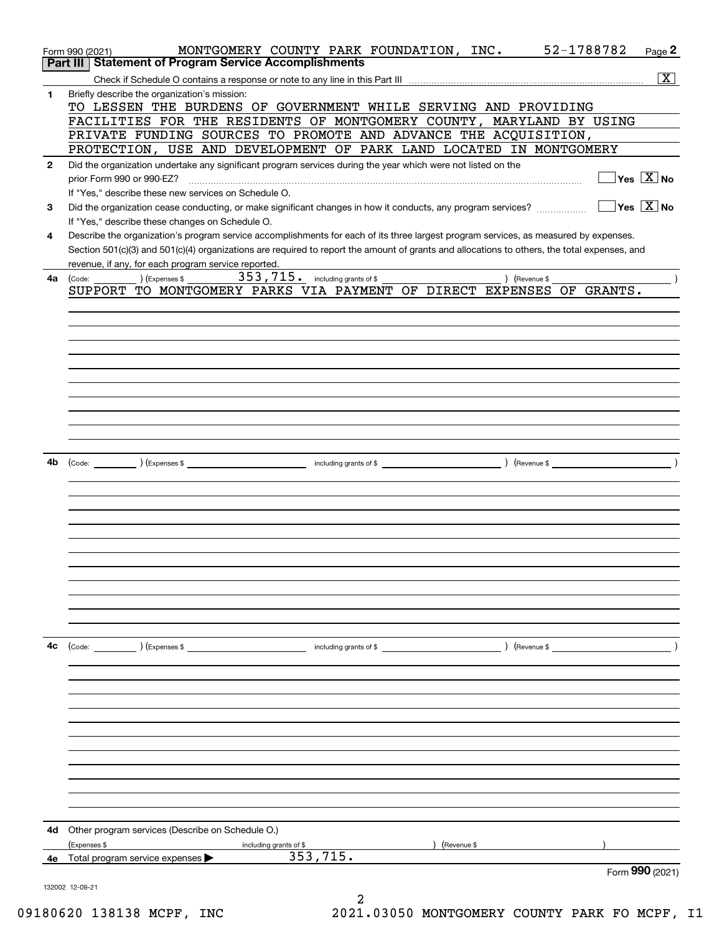|              | MONTGOMERY COUNTY PARK FOUNDATION, INC. 52-1788782<br>Form 990 (2021)                                                                        | Page 2             |
|--------------|----------------------------------------------------------------------------------------------------------------------------------------------|--------------------|
|              | Part III   Statement of Program Service Accomplishments                                                                                      |                    |
|              |                                                                                                                                              | $\boxed{\text{X}}$ |
| $\mathbf{1}$ | Briefly describe the organization's mission:                                                                                                 |                    |
|              | TO LESSEN THE BURDENS OF GOVERNMENT WHILE SERVING AND PROVIDING<br>FACILITIES FOR THE RESIDENTS OF MONTGOMERY COUNTY, MARYLAND BY USING      |                    |
|              | PRIVATE FUNDING SOURCES TO PROMOTE AND ADVANCE THE ACQUISITION,                                                                              |                    |
|              | PROTECTION, USE AND DEVELOPMENT OF PARK LAND LOCATED IN MONTGOMERY                                                                           |                    |
| $\mathbf{2}$ | Did the organization undertake any significant program services during the year which were not listed on the                                 |                    |
|              | $\Box$ Yes $[\overline{\mathrm{X}}]$ No<br>prior Form 990 or 990-EZ?                                                                         |                    |
|              | If "Yes," describe these new services on Schedule O.                                                                                         |                    |
| 3            | $\Box$ Yes $\Box$ No<br>Did the organization cease conducting, or make significant changes in how it conducts, any program services?         |                    |
|              | If "Yes," describe these changes on Schedule O.                                                                                              |                    |
| 4            | Describe the organization's program service accomplishments for each of its three largest program services, as measured by expenses.         |                    |
|              | Section 501(c)(3) and 501(c)(4) organizations are required to report the amount of grants and allocations to others, the total expenses, and |                    |
|              | revenue, if any, for each program service reported.                                                                                          |                    |
| 4a l         | ) (Expenses \$ $353$ , $715$ $\cdot$ $\,$ including grants of \$<br>) (Revenue \$<br>(Code:                                                  |                    |
|              | SUPPORT TO MONTGOMERY PARKS VIA PAYMENT OF DIRECT EXPENSES OF GRANTS.                                                                        |                    |
|              |                                                                                                                                              |                    |
|              |                                                                                                                                              |                    |
|              |                                                                                                                                              |                    |
|              |                                                                                                                                              |                    |
|              |                                                                                                                                              |                    |
|              |                                                                                                                                              |                    |
|              |                                                                                                                                              |                    |
|              |                                                                                                                                              |                    |
|              |                                                                                                                                              |                    |
|              |                                                                                                                                              |                    |
| 4b           |                                                                                                                                              |                    |
|              |                                                                                                                                              |                    |
|              |                                                                                                                                              |                    |
|              |                                                                                                                                              |                    |
|              |                                                                                                                                              |                    |
|              |                                                                                                                                              |                    |
|              |                                                                                                                                              |                    |
|              |                                                                                                                                              |                    |
|              |                                                                                                                                              |                    |
|              |                                                                                                                                              |                    |
|              |                                                                                                                                              |                    |
|              |                                                                                                                                              |                    |
|              |                                                                                                                                              |                    |
| 4c           | $\left(\text{Revenue }$<br>(Code: ) (Expenses \$<br>including grants of \$                                                                   |                    |
|              |                                                                                                                                              |                    |
|              |                                                                                                                                              |                    |
|              |                                                                                                                                              |                    |
|              |                                                                                                                                              |                    |
|              |                                                                                                                                              |                    |
|              |                                                                                                                                              |                    |
|              |                                                                                                                                              |                    |
|              |                                                                                                                                              |                    |
|              |                                                                                                                                              |                    |
|              |                                                                                                                                              |                    |
|              |                                                                                                                                              |                    |
| 4d           | Other program services (Describe on Schedule O.)                                                                                             |                    |
|              | (Expenses \$<br>(Revenue \$<br>including grants of \$                                                                                        |                    |
| 4е           | 353, 715.<br>Total program service expenses >                                                                                                |                    |
|              |                                                                                                                                              | Form 990 (2021)    |
|              | 132002 12-09-21                                                                                                                              |                    |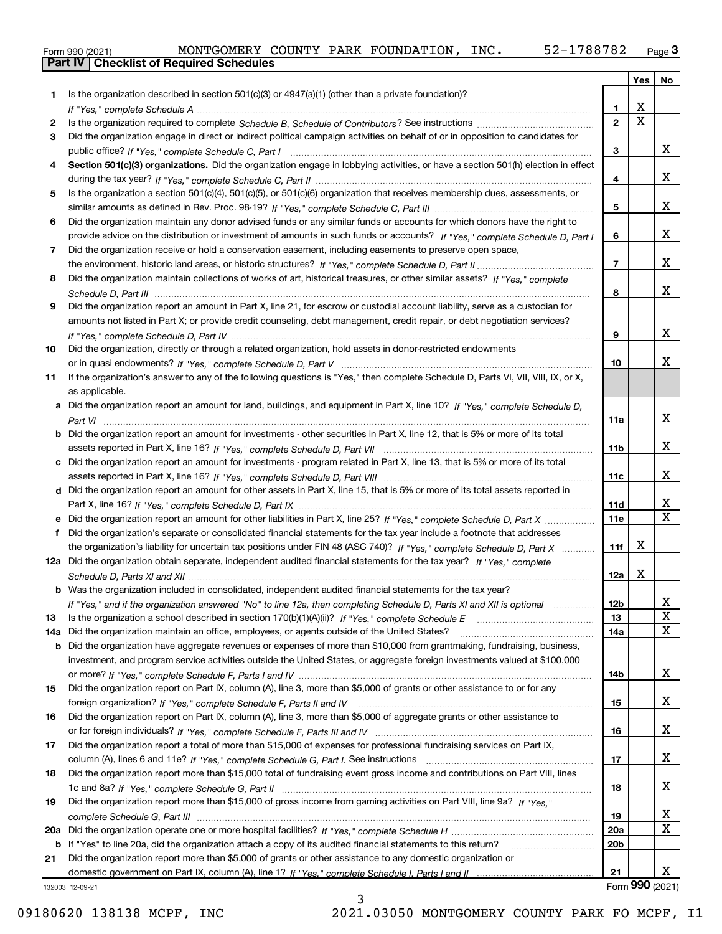| Form 990 (2021) |                                                  |  | MONTGOMERY COUNTY PARK FOUNDATION, | INC. | 52-1788782 | $P$ age $\ddot{\bm{\omega}}$ |
|-----------------|--------------------------------------------------|--|------------------------------------|------|------------|------------------------------|
|                 | <b>Part IV   Checklist of Required Schedules</b> |  |                                    |      |            |                              |

|     |                                                                                                                                       |                 | Yes                     | No                      |
|-----|---------------------------------------------------------------------------------------------------------------------------------------|-----------------|-------------------------|-------------------------|
| 1   | Is the organization described in section $501(c)(3)$ or $4947(a)(1)$ (other than a private foundation)?                               |                 |                         |                         |
|     |                                                                                                                                       | 1.              | х                       |                         |
| 2   |                                                                                                                                       | $\mathbf{2}$    | $\overline{\mathbf{x}}$ |                         |
| 3   | Did the organization engage in direct or indirect political campaign activities on behalf of or in opposition to candidates for       |                 |                         |                         |
|     |                                                                                                                                       | 3               |                         | x                       |
| 4   | Section 501(c)(3) organizations. Did the organization engage in lobbying activities, or have a section 501(h) election in effect      |                 |                         |                         |
|     |                                                                                                                                       | 4               |                         | x                       |
| 5   | Is the organization a section 501(c)(4), 501(c)(5), or 501(c)(6) organization that receives membership dues, assessments, or          |                 |                         |                         |
|     |                                                                                                                                       | 5               |                         | x                       |
| 6   | Did the organization maintain any donor advised funds or any similar funds or accounts for which donors have the right to             |                 |                         |                         |
|     | provide advice on the distribution or investment of amounts in such funds or accounts? If "Yes," complete Schedule D, Part I          | 6               |                         | x                       |
| 7   | Did the organization receive or hold a conservation easement, including easements to preserve open space,                             |                 |                         |                         |
|     |                                                                                                                                       | $\overline{7}$  |                         | x                       |
| 8   | Did the organization maintain collections of works of art, historical treasures, or other similar assets? If "Yes," complete          |                 |                         |                         |
|     |                                                                                                                                       | 8               |                         | x                       |
| 9   | Did the organization report an amount in Part X, line 21, for escrow or custodial account liability, serve as a custodian for         |                 |                         |                         |
|     | amounts not listed in Part X; or provide credit counseling, debt management, credit repair, or debt negotiation services?             |                 |                         |                         |
|     |                                                                                                                                       | 9               |                         | x                       |
| 10  | Did the organization, directly or through a related organization, hold assets in donor-restricted endowments                          |                 |                         |                         |
|     |                                                                                                                                       | 10              |                         | x                       |
| 11  | If the organization's answer to any of the following questions is "Yes," then complete Schedule D, Parts VI, VII, VIII, IX, or X,     |                 |                         |                         |
|     | as applicable.                                                                                                                        |                 |                         |                         |
|     | a Did the organization report an amount for land, buildings, and equipment in Part X, line 10? If "Yes," complete Schedule D,         |                 |                         | x                       |
|     |                                                                                                                                       | 11a             |                         |                         |
|     | <b>b</b> Did the organization report an amount for investments - other securities in Part X, line 12, that is 5% or more of its total |                 |                         | x                       |
|     | c Did the organization report an amount for investments - program related in Part X, line 13, that is 5% or more of its total         | 11b             |                         |                         |
|     |                                                                                                                                       | 11c             |                         | x                       |
|     | d Did the organization report an amount for other assets in Part X, line 15, that is 5% or more of its total assets reported in       |                 |                         |                         |
|     |                                                                                                                                       | 11d             |                         | x                       |
|     |                                                                                                                                       | <b>11e</b>      |                         | $\overline{\mathbf{x}}$ |
| f   | Did the organization's separate or consolidated financial statements for the tax year include a footnote that addresses               |                 |                         |                         |
|     | the organization's liability for uncertain tax positions under FIN 48 (ASC 740)? If "Yes," complete Schedule D, Part X                | 11f             | X                       |                         |
|     | 12a Did the organization obtain separate, independent audited financial statements for the tax year? If "Yes," complete               |                 |                         |                         |
|     |                                                                                                                                       | 12a             | X                       |                         |
|     | <b>b</b> Was the organization included in consolidated, independent audited financial statements for the tax year?                    |                 |                         |                         |
|     | If "Yes," and if the organization answered "No" to line 12a, then completing Schedule D, Parts XI and XII is optional manuman         | 12b             |                         | x                       |
| 13  |                                                                                                                                       | 13              |                         | x                       |
| 14a | Did the organization maintain an office, employees, or agents outside of the United States?                                           | 14a             |                         | $\mathbf x$             |
| b   | Did the organization have aggregate revenues or expenses of more than \$10,000 from grantmaking, fundraising, business,               |                 |                         |                         |
|     | investment, and program service activities outside the United States, or aggregate foreign investments valued at \$100,000            |                 |                         |                         |
|     |                                                                                                                                       | 14b             |                         | X                       |
| 15  | Did the organization report on Part IX, column (A), line 3, more than \$5,000 of grants or other assistance to or for any             |                 |                         |                         |
|     |                                                                                                                                       | 15              |                         | X                       |
| 16  | Did the organization report on Part IX, column (A), line 3, more than \$5,000 of aggregate grants or other assistance to              |                 |                         |                         |
|     |                                                                                                                                       | 16              |                         | X                       |
| 17  | Did the organization report a total of more than \$15,000 of expenses for professional fundraising services on Part IX,               |                 |                         |                         |
|     |                                                                                                                                       | 17              |                         | X                       |
| 18  | Did the organization report more than \$15,000 total of fundraising event gross income and contributions on Part VIII, lines          |                 |                         |                         |
|     |                                                                                                                                       | 18              |                         | X                       |
| 19  | Did the organization report more than \$15,000 of gross income from gaming activities on Part VIII, line 9a? If "Yes."                |                 |                         |                         |
|     |                                                                                                                                       | 19              |                         | x                       |
| 20a |                                                                                                                                       | <b>20a</b>      |                         | $\mathbf X$             |
| b   | If "Yes" to line 20a, did the organization attach a copy of its audited financial statements to this return?                          | 20 <sub>b</sub> |                         |                         |
| 21  | Did the organization report more than \$5,000 of grants or other assistance to any domestic organization or                           |                 |                         |                         |
|     |                                                                                                                                       | 21              |                         | х                       |
|     | 132003 12-09-21                                                                                                                       |                 |                         | Form 990 (2021)         |

132003 12-09-21

3 09180620 138138 MCPF, INC 2021.03050 MONTGOMERY COUNTY PARK FO MCPF, I1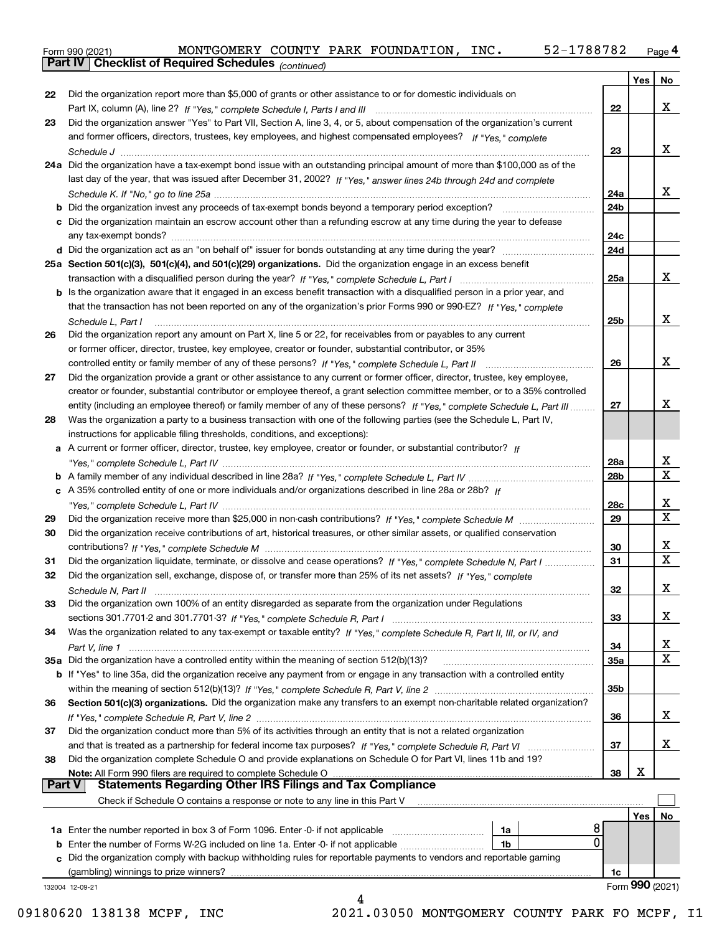Form 990 (2021) MONTGOMERY COUNTY PARK FOUNDATION, INC**.** 52-1788782 <sub>Page</sub> 4<br>**Part IV | Checklist of Required Schedules** <sub>(continued)</sub>

*(continued)*

|               |                                                                                                                              |                 | Yes | No               |
|---------------|------------------------------------------------------------------------------------------------------------------------------|-----------------|-----|------------------|
| 22            | Did the organization report more than \$5,000 of grants or other assistance to or for domestic individuals on                |                 |     |                  |
|               |                                                                                                                              | 22              |     | x                |
| 23            | Did the organization answer "Yes" to Part VII, Section A, line 3, 4, or 5, about compensation of the organization's current  |                 |     |                  |
|               | and former officers, directors, trustees, key employees, and highest compensated employees? If "Yes," complete               |                 |     |                  |
|               |                                                                                                                              | 23              |     | x                |
|               | 24a Did the organization have a tax-exempt bond issue with an outstanding principal amount of more than \$100,000 as of the  |                 |     |                  |
|               | last day of the year, that was issued after December 31, 2002? If "Yes," answer lines 24b through 24d and complete           |                 |     |                  |
|               |                                                                                                                              |                 |     | x                |
|               |                                                                                                                              | 24a             |     |                  |
|               | <b>b</b> Did the organization invest any proceeds of tax-exempt bonds beyond a temporary period exception?                   | 24 <sub>b</sub> |     |                  |
|               | c Did the organization maintain an escrow account other than a refunding escrow at any time during the year to defease       |                 |     |                  |
|               | any tax-exempt bonds?                                                                                                        | 24c             |     |                  |
|               |                                                                                                                              | 24d             |     |                  |
|               | 25a Section 501(c)(3), 501(c)(4), and 501(c)(29) organizations. Did the organization engage in an excess benefit             |                 |     |                  |
|               |                                                                                                                              | 25a             |     | x                |
|               | b Is the organization aware that it engaged in an excess benefit transaction with a disqualified person in a prior year, and |                 |     |                  |
|               | that the transaction has not been reported on any of the organization's prior Forms 990 or 990-EZ? If "Yes," complete        |                 |     |                  |
|               | Schedule L, Part I                                                                                                           | 25b             |     | x                |
| 26            | Did the organization report any amount on Part X, line 5 or 22, for receivables from or payables to any current              |                 |     |                  |
|               | or former officer, director, trustee, key employee, creator or founder, substantial contributor, or 35%                      |                 |     |                  |
|               | controlled entity or family member of any of these persons? If "Yes," complete Schedule L, Part II                           | 26              |     | х                |
| 27            | Did the organization provide a grant or other assistance to any current or former officer, director, trustee, key employee,  |                 |     |                  |
|               | creator or founder, substantial contributor or employee thereof, a grant selection committee member, or to a 35% controlled  |                 |     |                  |
|               | entity (including an employee thereof) or family member of any of these persons? If "Yes," complete Schedule L, Part III     | 27              |     | x                |
|               |                                                                                                                              |                 |     |                  |
| 28            | Was the organization a party to a business transaction with one of the following parties (see the Schedule L, Part IV,       |                 |     |                  |
|               | instructions for applicable filing thresholds, conditions, and exceptions):                                                  |                 |     |                  |
|               | a A current or former officer, director, trustee, key employee, creator or founder, or substantial contributor? If           |                 |     |                  |
|               |                                                                                                                              | 28a             |     | x<br>$\mathbf X$ |
|               |                                                                                                                              | 28 <sub>b</sub> |     |                  |
|               | c A 35% controlled entity of one or more individuals and/or organizations described in line 28a or 28b? If                   |                 |     |                  |
|               |                                                                                                                              | 28c             |     | x                |
| 29            |                                                                                                                              | 29              |     | $\mathbf X$      |
| 30            | Did the organization receive contributions of art, historical treasures, or other similar assets, or qualified conservation  |                 |     |                  |
|               |                                                                                                                              | 30              |     | x                |
| 31            | Did the organization liquidate, terminate, or dissolve and cease operations? If "Yes," complete Schedule N, Part I           | 31              |     | $\mathbf X$      |
| 32            | Did the organization sell, exchange, dispose of, or transfer more than 25% of its net assets? If "Yes," complete             |                 |     |                  |
|               |                                                                                                                              | 32              |     | х                |
|               | Did the organization own 100% of an entity disregarded as separate from the organization under Regulations                   |                 |     |                  |
|               |                                                                                                                              | 33              |     | х                |
| 34            | Was the organization related to any tax-exempt or taxable entity? If "Yes," complete Schedule R, Part II, III, or IV, and    |                 |     |                  |
|               |                                                                                                                              | 34              |     | x                |
|               | 35a Did the organization have a controlled entity within the meaning of section 512(b)(13)?                                  | <b>35a</b>      |     | $\mathbf X$      |
|               | b If "Yes" to line 35a, did the organization receive any payment from or engage in any transaction with a controlled entity  |                 |     |                  |
|               |                                                                                                                              | 35b             |     |                  |
| 36            | Section 501(c)(3) organizations. Did the organization make any transfers to an exempt non-charitable related organization?   |                 |     |                  |
|               |                                                                                                                              |                 |     | x                |
|               |                                                                                                                              | 36              |     |                  |
| 37            | Did the organization conduct more than 5% of its activities through an entity that is not a related organization             |                 |     |                  |
|               |                                                                                                                              | 37              |     | x                |
| 38            | Did the organization complete Schedule O and provide explanations on Schedule O for Part VI, lines 11b and 19?               |                 |     |                  |
|               |                                                                                                                              | 38              | х   |                  |
| <b>Part V</b> | <b>Statements Regarding Other IRS Filings and Tax Compliance</b>                                                             |                 |     |                  |
|               | Check if Schedule O contains a response or note to any line in this Part V                                                   |                 |     |                  |
|               |                                                                                                                              |                 | Yes | No               |
|               | 8<br>1a Enter the number reported in box 3 of Form 1096. Enter -0- if not applicable<br>1a                                   |                 |     |                  |
|               | 0<br><b>b</b> Enter the number of Forms W-2G included on line 1a. Enter -0- if not applicable<br>1b                          |                 |     |                  |
|               | c Did the organization comply with backup withholding rules for reportable payments to vendors and reportable gaming         |                 |     |                  |
|               | (gambling) winnings to prize winners?                                                                                        | 1c              |     |                  |
|               | 132004 12-09-21                                                                                                              |                 |     | Form 990 (2021)  |
|               | 4                                                                                                                            |                 |     |                  |

09180620 138138 MCPF, INC 2021.03050 MONTGOMERY COUNTY PARK FO MCPF, I1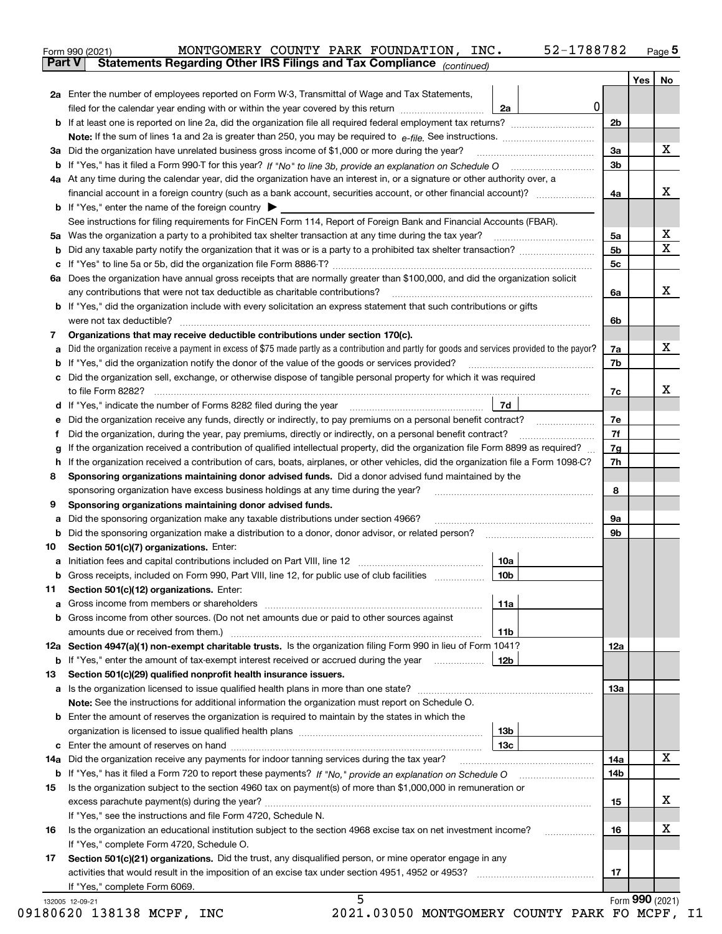|    |                                                                                                                                                   |         |                | Yes             | No                      |
|----|---------------------------------------------------------------------------------------------------------------------------------------------------|---------|----------------|-----------------|-------------------------|
|    | 2a Enter the number of employees reported on Form W-3, Transmittal of Wage and Tax Statements,                                                    |         |                |                 |                         |
|    | filed for the calendar year ending with or within the year covered by this return                                                                 | 0<br>2a |                |                 |                         |
|    |                                                                                                                                                   |         | 2 <sub>b</sub> |                 |                         |
|    |                                                                                                                                                   |         |                |                 |                         |
|    | 3a Did the organization have unrelated business gross income of \$1,000 or more during the year?                                                  |         | 3a             |                 | X                       |
|    |                                                                                                                                                   |         | 3 <sub>b</sub> |                 |                         |
|    | 4a At any time during the calendar year, did the organization have an interest in, or a signature or other authority over, a                      |         |                |                 |                         |
|    | financial account in a foreign country (such as a bank account, securities account, or other financial account)?                                  |         | 4a             |                 | х                       |
|    | <b>b</b> If "Yes," enter the name of the foreign country $\blacktriangleright$                                                                    |         |                |                 |                         |
|    | See instructions for filing requirements for FinCEN Form 114, Report of Foreign Bank and Financial Accounts (FBAR).                               |         |                |                 |                         |
|    |                                                                                                                                                   |         | 5a             |                 | х                       |
| b  |                                                                                                                                                   |         | 5b             |                 | $\overline{\mathbf{X}}$ |
|    |                                                                                                                                                   |         | 5с             |                 |                         |
|    | 6a Does the organization have annual gross receipts that are normally greater than \$100,000, and did the organization solicit                    |         |                |                 |                         |
|    | any contributions that were not tax deductible as charitable contributions?                                                                       |         | 6a             |                 | X                       |
|    | <b>b</b> If "Yes," did the organization include with every solicitation an express statement that such contributions or gifts                     |         |                |                 |                         |
|    |                                                                                                                                                   |         | 6b             |                 |                         |
| 7  | Organizations that may receive deductible contributions under section 170(c).                                                                     |         |                |                 |                         |
|    | a Did the organization receive a payment in excess of \$75 made partly as a contribution and partly for goods and services provided to the payor? |         | 7a             |                 | х                       |
| b  | If "Yes," did the organization notify the donor of the value of the goods or services provided?                                                   |         | 7b             |                 |                         |
|    | c Did the organization sell, exchange, or otherwise dispose of tangible personal property for which it was required                               |         |                |                 |                         |
|    |                                                                                                                                                   |         | 7c             |                 | х                       |
|    |                                                                                                                                                   | 7d      |                |                 |                         |
| е  | Did the organization receive any funds, directly or indirectly, to pay premiums on a personal benefit contract?                                   |         | 7e             |                 |                         |
| f  | Did the organization, during the year, pay premiums, directly or indirectly, on a personal benefit contract?                                      |         | 7f             |                 |                         |
| g  | If the organization received a contribution of qualified intellectual property, did the organization file Form 8899 as required?                  |         | 7g             |                 |                         |
| h  | If the organization received a contribution of cars, boats, airplanes, or other vehicles, did the organization file a Form 1098-C?                |         | 7h             |                 |                         |
| 8  | Sponsoring organizations maintaining donor advised funds. Did a donor advised fund maintained by the                                              |         |                |                 |                         |
|    | sponsoring organization have excess business holdings at any time during the year?                                                                |         | 8              |                 |                         |
| 9  | Sponsoring organizations maintaining donor advised funds.                                                                                         |         |                |                 |                         |
| а  | Did the sponsoring organization make any taxable distributions under section 4966?                                                                |         | 9a             |                 |                         |
| b  | Did the sponsoring organization make a distribution to a donor, donor advisor, or related person?                                                 |         | 9b             |                 |                         |
| 10 | Section 501(c)(7) organizations. Enter:                                                                                                           |         |                |                 |                         |
|    |                                                                                                                                                   | 10a     |                |                 |                         |
|    | Gross receipts, included on Form 990, Part VIII, line 12, for public use of club facilities                                                       | 10b     |                |                 |                         |
| 11 | Section 501(c)(12) organizations. Enter:                                                                                                          |         |                |                 |                         |
|    |                                                                                                                                                   | 11a     |                |                 |                         |
|    | b Gross income from other sources. (Do not net amounts due or paid to other sources against                                                       |         |                |                 |                         |
|    |                                                                                                                                                   | 11b     |                |                 |                         |
|    | 12a Section 4947(a)(1) non-exempt charitable trusts. Is the organization filing Form 990 in lieu of Form 1041?                                    |         | 12a            |                 |                         |
|    | <b>b</b> If "Yes," enter the amount of tax-exempt interest received or accrued during the year                                                    | 12b     |                |                 |                         |
| 13 | Section 501(c)(29) qualified nonprofit health insurance issuers.                                                                                  |         |                |                 |                         |
|    | a Is the organization licensed to issue qualified health plans in more than one state?                                                            |         | 13а            |                 |                         |
|    | Note: See the instructions for additional information the organization must report on Schedule O.                                                 |         |                |                 |                         |
|    | <b>b</b> Enter the amount of reserves the organization is required to maintain by the states in which the                                         |         |                |                 |                         |
|    |                                                                                                                                                   | 13b     |                |                 |                         |
|    |                                                                                                                                                   | 13с     |                |                 |                         |
|    | 14a Did the organization receive any payments for indoor tanning services during the tax year?                                                    |         | 14a            |                 | X                       |
|    |                                                                                                                                                   |         | 14b            |                 |                         |
| 15 | Is the organization subject to the section 4960 tax on payment(s) of more than \$1,000,000 in remuneration or                                     |         |                |                 |                         |
|    |                                                                                                                                                   |         | 15             |                 | x                       |
|    | If "Yes," see the instructions and file Form 4720, Schedule N.                                                                                    |         |                |                 |                         |
| 16 | Is the organization an educational institution subject to the section 4968 excise tax on net investment income?                                   |         | 16             |                 | х                       |
|    | If "Yes," complete Form 4720, Schedule O.                                                                                                         |         |                |                 |                         |
| 17 | Section 501(c)(21) organizations. Did the trust, any disqualified person, or mine operator engage in any                                          |         |                |                 |                         |
|    |                                                                                                                                                   |         | 17             |                 |                         |
|    | If "Yes," complete Form 6069.                                                                                                                     |         |                |                 |                         |
|    |                                                                                                                                                   |         |                | Form 990 (2021) |                         |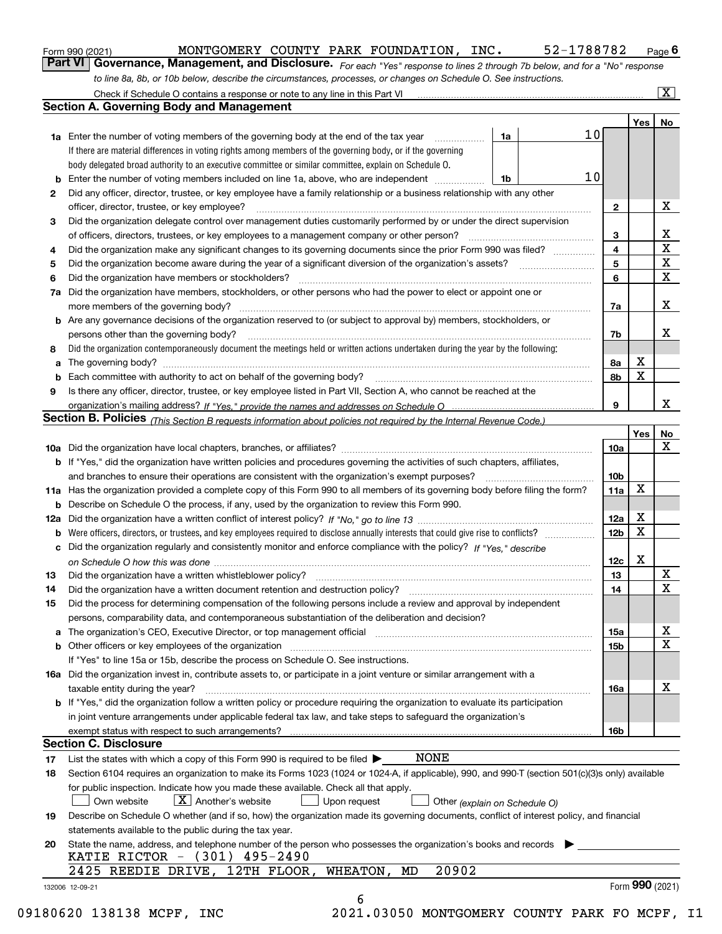|          | MONTGOMERY COUNTY PARK FOUNDATION, INC.<br>52-1788782<br>Form 990 (2021)                                                                                                                                                       |                 |         | Page $6$                |
|----------|--------------------------------------------------------------------------------------------------------------------------------------------------------------------------------------------------------------------------------|-----------------|---------|-------------------------|
|          | Part VI   Governance, Management, and Disclosure. For each "Yes" response to lines 2 through 7b below, and for a "No" response                                                                                                 |                 |         |                         |
|          | to line 8a, 8b, or 10b below, describe the circumstances, processes, or changes on Schedule O. See instructions.                                                                                                               |                 |         |                         |
|          |                                                                                                                                                                                                                                |                 |         | $\overline{\mathbf{x}}$ |
|          | <b>Section A. Governing Body and Management</b>                                                                                                                                                                                |                 |         |                         |
|          |                                                                                                                                                                                                                                |                 | Yes $ $ | No                      |
|          | $10 \,$<br><b>1a</b> Enter the number of voting members of the governing body at the end of the tax year<br>1a                                                                                                                 |                 |         |                         |
|          | If there are material differences in voting rights among members of the governing body, or if the governing                                                                                                                    |                 |         |                         |
|          | body delegated broad authority to an executive committee or similar committee, explain on Schedule O.                                                                                                                          |                 |         |                         |
| b        | 10<br>Enter the number of voting members included on line 1a, above, who are independent<br>1b                                                                                                                                 |                 |         |                         |
| 2        | Did any officer, director, trustee, or key employee have a family relationship or a business relationship with any other                                                                                                       |                 |         |                         |
|          | officer, director, trustee, or key employee?                                                                                                                                                                                   | 2               |         | х                       |
| 3        | Did the organization delegate control over management duties customarily performed by or under the direct supervision                                                                                                          |                 |         |                         |
|          | of officers, directors, trustees, or key employees to a management company or other person?                                                                                                                                    | 3               |         | х<br>$\mathbf X$        |
| 4        | Did the organization make any significant changes to its governing documents since the prior Form 990 was filed?                                                                                                               | 4               |         | X                       |
| 5        |                                                                                                                                                                                                                                | 5               |         | X                       |
| 6        | Did the organization have members or stockholders?                                                                                                                                                                             | 6               |         |                         |
| 7a       | Did the organization have members, stockholders, or other persons who had the power to elect or appoint one or                                                                                                                 |                 |         | х                       |
|          | b Are any governance decisions of the organization reserved to (or subject to approval by) members, stockholders, or                                                                                                           | 7a              |         |                         |
|          | persons other than the governing body?                                                                                                                                                                                         | 7b              |         | x                       |
|          | Did the organization contemporaneously document the meetings held or written actions undertaken during the year by the following:                                                                                              |                 |         |                         |
| 8        |                                                                                                                                                                                                                                | 8а              | х       |                         |
| а<br>b   | Each committee with authority to act on behalf of the governing body? [11] manufactures manufactures with authority to act on behalf of the governing body? [11] manufactures manufactures with authority of the state with an | 8b              | X       |                         |
| 9        | Is there any officer, director, trustee, or key employee listed in Part VII, Section A, who cannot be reached at the                                                                                                           |                 |         |                         |
|          |                                                                                                                                                                                                                                | 9               |         | х                       |
|          | Section B. Policies (This Section B requests information about policies not required by the Internal Revenue Code.)                                                                                                            |                 |         |                         |
|          |                                                                                                                                                                                                                                |                 | Yes     | No                      |
|          |                                                                                                                                                                                                                                | 10a             |         | Х                       |
|          | <b>b</b> If "Yes," did the organization have written policies and procedures governing the activities of such chapters, affiliates,                                                                                            |                 |         |                         |
|          | and branches to ensure their operations are consistent with the organization's exempt purposes?                                                                                                                                | 10 <sub>b</sub> |         |                         |
|          | 11a Has the organization provided a complete copy of this Form 990 to all members of its governing body before filing the form?                                                                                                | 11a             | х       |                         |
|          | <b>b</b> Describe on Schedule O the process, if any, used by the organization to review this Form 990.                                                                                                                         |                 |         |                         |
|          |                                                                                                                                                                                                                                | 12a             | х       |                         |
|          | <b>b</b> Were officers, directors, or trustees, and key employees required to disclose annually interests that could give rise to conflicts?                                                                                   | 12 <sub>b</sub> | х       |                         |
|          | c Did the organization regularly and consistently monitor and enforce compliance with the policy? If "Yes," describe                                                                                                           |                 |         |                         |
|          |                                                                                                                                                                                                                                | 12c             | х       |                         |
|          |                                                                                                                                                                                                                                | 13              |         | $\mathbf X$             |
| 14       | Did the organization have a written document retention and destruction policy? manufactured and the organization have a written document retention and destruction policy?                                                     | 14              |         | X                       |
| 15       | Did the process for determining compensation of the following persons include a review and approval by independent                                                                                                             |                 |         |                         |
|          | persons, comparability data, and contemporaneous substantiation of the deliberation and decision?                                                                                                                              |                 |         |                         |
|          | a The organization's CEO, Executive Director, or top management official manufactured content of the organization's CEO, Executive Director, or top management official manufactured content of the state of the state of the  | 15a             |         | х                       |
|          |                                                                                                                                                                                                                                | 15b             |         | х                       |
|          | If "Yes" to line 15a or 15b, describe the process on Schedule O. See instructions.                                                                                                                                             |                 |         |                         |
|          | 16a Did the organization invest in, contribute assets to, or participate in a joint venture or similar arrangement with a                                                                                                      |                 |         |                         |
|          | taxable entity during the year?                                                                                                                                                                                                | 16a             |         | х                       |
|          | b If "Yes," did the organization follow a written policy or procedure requiring the organization to evaluate its participation                                                                                                 |                 |         |                         |
|          | in joint venture arrangements under applicable federal tax law, and take steps to safeguard the organization's                                                                                                                 |                 |         |                         |
|          |                                                                                                                                                                                                                                | 16b             |         |                         |
|          |                                                                                                                                                                                                                                |                 |         |                         |
|          | <b>Section C. Disclosure</b>                                                                                                                                                                                                   |                 |         |                         |
|          | NONE<br>List the states with which a copy of this Form 990 is required to be filed $\blacktriangleright$                                                                                                                       |                 |         |                         |
| 17<br>18 | Section 6104 requires an organization to make its Forms 1023 (1024 or 1024-A, if applicable), 990, and 990-T (section 501(c)(3)s only) available                                                                               |                 |         |                         |
|          | for public inspection. Indicate how you made these available. Check all that apply.                                                                                                                                            |                 |         |                         |
|          | $X$ Another's website<br>Upon request<br>Own website<br>Other (explain on Schedule O)                                                                                                                                          |                 |         |                         |
|          | Describe on Schedule O whether (and if so, how) the organization made its governing documents, conflict of interest policy, and financial                                                                                      |                 |         |                         |
|          | statements available to the public during the tax year.                                                                                                                                                                        |                 |         |                         |
|          | State the name, address, and telephone number of the person who possesses the organization's books and records                                                                                                                 |                 |         |                         |
| 19<br>20 | KATIE RICTOR - (301) 495-2490<br>20902<br>2425 REEDIE DRIVE, 12TH FLOOR,<br>WHEATON,<br>MD                                                                                                                                     |                 |         |                         |

 <sup>09180620 138138</sup> MCPF, INC 2021.03050 MONTGOMERY COUNTY PARK FO MCPF, I1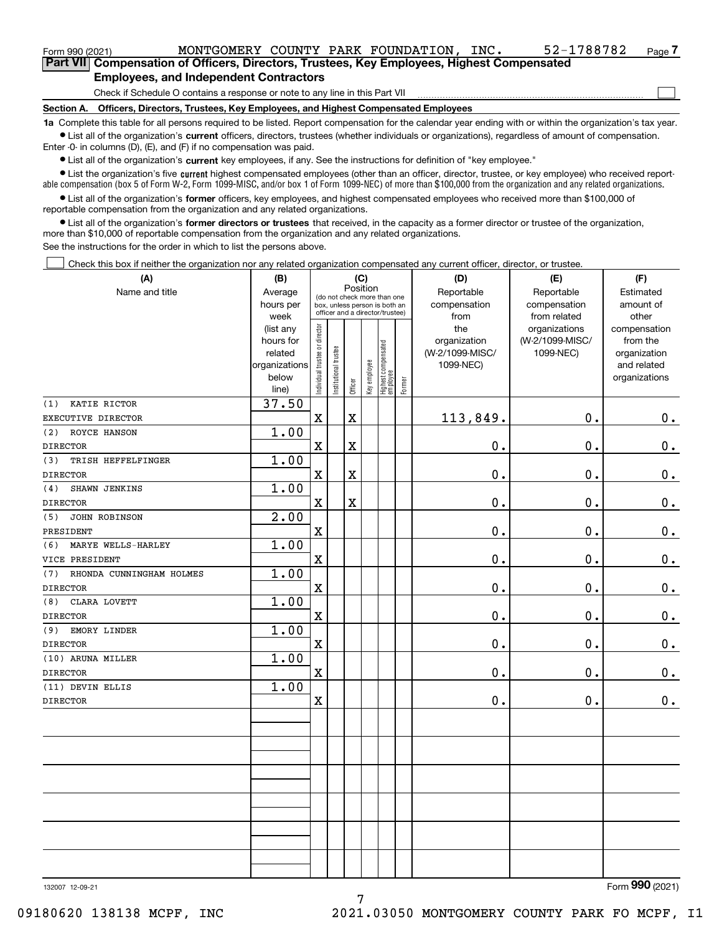| Form 990 (2021)                                                                             | MONTGOMERY COUNTY PARK FOUNDATION,            |  |  |  |  | INC. | 52-1788782 | Page |  |  |  |  |
|---------------------------------------------------------------------------------------------|-----------------------------------------------|--|--|--|--|------|------------|------|--|--|--|--|
| Part VIII Compensation of Officers, Directors, Trustees, Key Employees, Highest Compensated |                                               |  |  |  |  |      |            |      |  |  |  |  |
|                                                                                             | <b>Employees, and Independent Contractors</b> |  |  |  |  |      |            |      |  |  |  |  |
| Check if Schedule O contains a response or note to any line in this Part VII                |                                               |  |  |  |  |      |            |      |  |  |  |  |

**Section A. Officers, Directors, Trustees, Key Employees, and Highest Compensated Employees**

**1a**  Complete this table for all persons required to be listed. Report compensation for the calendar year ending with or within the organization's tax year. **•** List all of the organization's current officers, directors, trustees (whether individuals or organizations), regardless of amount of compensation.

Enter -0- in columns (D), (E), and (F) if no compensation was paid.

 $\bullet$  List all of the organization's  $\sf current$  key employees, if any. See the instructions for definition of "key employee."

**•** List the organization's five current highest compensated employees (other than an officer, director, trustee, or key employee) who received reportable compensation (box 5 of Form W-2, Form 1099-MISC, and/or box 1 of Form 1099-NEC) of more than \$100,000 from the organization and any related organizations.

**•** List all of the organization's former officers, key employees, and highest compensated employees who received more than \$100,000 of reportable compensation from the organization and any related organizations.

**former directors or trustees**  ¥ List all of the organization's that received, in the capacity as a former director or trustee of the organization, more than \$10,000 of reportable compensation from the organization and any related organizations.

See the instructions for the order in which to list the persons above.

Check this box if neither the organization nor any related organization compensated any current officer, director, or trustee.  $\mathcal{L}^{\text{max}}$ 

| (A)                             | (B)                    | (C)                            |                                                                  |                         |              |                                  |        | (D)             | (E)             | (F)                          |  |  |  |  |
|---------------------------------|------------------------|--------------------------------|------------------------------------------------------------------|-------------------------|--------------|----------------------------------|--------|-----------------|-----------------|------------------------------|--|--|--|--|
| Name and title                  | Average                |                                | (do not check more than one                                      | Position                |              |                                  |        | Reportable      | Reportable      | Estimated                    |  |  |  |  |
|                                 | hours per              |                                | box, unless person is both an<br>officer and a director/trustee) |                         |              |                                  |        | compensation    | compensation    | amount of                    |  |  |  |  |
|                                 | week                   |                                |                                                                  |                         |              |                                  |        | from            | from related    | other                        |  |  |  |  |
|                                 | (list any              |                                |                                                                  |                         |              |                                  |        | the             | organizations   | compensation                 |  |  |  |  |
|                                 | hours for              |                                |                                                                  |                         |              |                                  |        | organization    | (W-2/1099-MISC/ | from the                     |  |  |  |  |
|                                 | related                |                                |                                                                  |                         |              |                                  |        | (W-2/1099-MISC/ | 1099-NEC)       | organization                 |  |  |  |  |
|                                 | organizations<br>below |                                |                                                                  |                         |              |                                  |        | 1099-NEC)       |                 | and related<br>organizations |  |  |  |  |
|                                 | line)                  | Individual trustee or director | Institutional trustee                                            | Officer                 | Key employee | Highest compensated<br> employee | Former |                 |                 |                              |  |  |  |  |
| KATIE RICTOR<br>(1)             | 37.50                  |                                |                                                                  |                         |              |                                  |        |                 |                 |                              |  |  |  |  |
| EXECUTIVE DIRECTOR              |                        | $\mathbf x$                    |                                                                  | X                       |              |                                  |        | 113,849.        | 0.              | $0_{.}$                      |  |  |  |  |
| (2)<br>ROYCE HANSON             | 1.00                   |                                |                                                                  |                         |              |                                  |        |                 |                 |                              |  |  |  |  |
| <b>DIRECTOR</b>                 |                        | $\mathbf X$                    |                                                                  | X                       |              |                                  |        | 0.              | 0.              | $\mathbf 0$ .                |  |  |  |  |
| TRISH HEFFELFINGER<br>(3)       | 1.00                   |                                |                                                                  |                         |              |                                  |        |                 |                 |                              |  |  |  |  |
| <b>DIRECTOR</b>                 |                        | $\mathbf X$                    |                                                                  | $\overline{\textbf{X}}$ |              |                                  |        | $\mathbf 0$ .   | 0.              | $\mathbf 0$ .                |  |  |  |  |
| (4)<br>SHAWN JENKINS            | 1.00                   |                                |                                                                  |                         |              |                                  |        |                 |                 |                              |  |  |  |  |
| <b>DIRECTOR</b>                 |                        | $\mathbf X$                    |                                                                  | X                       |              |                                  |        | $\mathbf 0$ .   | 0.              | $\mathbf 0$ .                |  |  |  |  |
| JOHN ROBINSON<br>(5)            | 2.00                   |                                |                                                                  |                         |              |                                  |        |                 |                 |                              |  |  |  |  |
| PRESIDENT                       |                        | $\mathbf X$                    |                                                                  |                         |              |                                  |        | 0.              | 0.              | 0.                           |  |  |  |  |
| (6)<br>MARYE WELLS-HARLEY       | 1.00                   |                                |                                                                  |                         |              |                                  |        |                 |                 |                              |  |  |  |  |
| VICE PRESIDENT                  |                        | $\mathbf X$                    |                                                                  |                         |              |                                  |        | 0.              | 0.              | $\mathbf 0$ .                |  |  |  |  |
| RHONDA CUNNINGHAM HOLMES<br>(7) | 1.00                   |                                |                                                                  |                         |              |                                  |        |                 |                 |                              |  |  |  |  |
| <b>DIRECTOR</b>                 |                        | $\mathbf x$                    |                                                                  |                         |              |                                  |        | 0.              | 0.              | 0.                           |  |  |  |  |
| CLARA LOVETT<br>(8)             | 1.00                   |                                |                                                                  |                         |              |                                  |        |                 |                 |                              |  |  |  |  |
| <b>DIRECTOR</b>                 |                        | $\rm X$                        |                                                                  |                         |              |                                  |        | $0$ .           | 0.              | $\mathbf 0$ .                |  |  |  |  |
| EMORY LINDER<br>(9)             | 1.00                   |                                |                                                                  |                         |              |                                  |        |                 |                 |                              |  |  |  |  |
| <b>DIRECTOR</b>                 |                        | $\mathbf X$                    |                                                                  |                         |              |                                  |        | $\mathbf 0$ .   | 0.              | $\mathbf 0$ .                |  |  |  |  |
| (10) ARUNA MILLER               | 1.00                   |                                |                                                                  |                         |              |                                  |        |                 |                 |                              |  |  |  |  |
| <b>DIRECTOR</b>                 |                        | $\mathbf X$                    |                                                                  |                         |              |                                  |        | 0.              | 0.              | $0$ .                        |  |  |  |  |
| (11) DEVIN ELLIS                | 1.00                   |                                |                                                                  |                         |              |                                  |        |                 |                 |                              |  |  |  |  |
| <b>DIRECTOR</b>                 |                        | $\mathbf X$                    |                                                                  |                         |              |                                  |        | 0.              | 0.              | 0.                           |  |  |  |  |
|                                 |                        |                                |                                                                  |                         |              |                                  |        |                 |                 |                              |  |  |  |  |
|                                 |                        |                                |                                                                  |                         |              |                                  |        |                 |                 |                              |  |  |  |  |
|                                 |                        |                                |                                                                  |                         |              |                                  |        |                 |                 |                              |  |  |  |  |
|                                 |                        |                                |                                                                  |                         |              |                                  |        |                 |                 |                              |  |  |  |  |
|                                 |                        |                                |                                                                  |                         |              |                                  |        |                 |                 |                              |  |  |  |  |
|                                 |                        |                                |                                                                  |                         |              |                                  |        |                 |                 |                              |  |  |  |  |
|                                 |                        |                                |                                                                  |                         |              |                                  |        |                 |                 |                              |  |  |  |  |
|                                 |                        |                                |                                                                  |                         |              |                                  |        |                 |                 |                              |  |  |  |  |
|                                 |                        |                                |                                                                  |                         |              |                                  |        |                 |                 |                              |  |  |  |  |
|                                 |                        |                                |                                                                  |                         |              |                                  |        |                 |                 |                              |  |  |  |  |

7

132007 12-09-21

Form (2021) **990**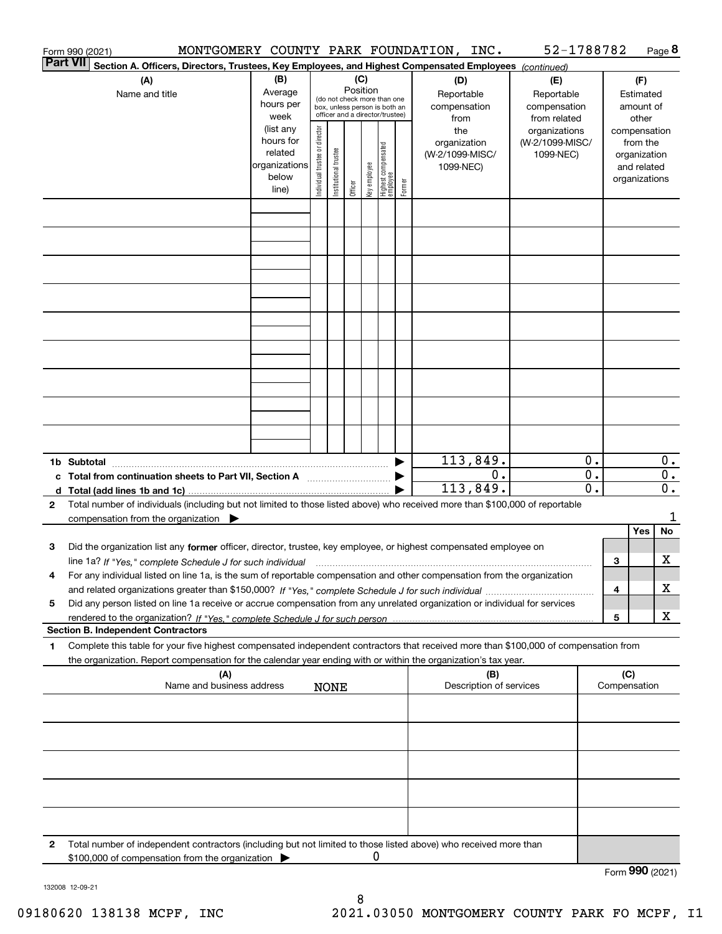|                 | Form 990 (2021)                                                                                                                                 |                        |                                |                                                                  |          |              |                                   |        | MONTGOMERY COUNTY PARK FOUNDATION, INC. | 52-1788782                       |               |              |                          | Page 8           |
|-----------------|-------------------------------------------------------------------------------------------------------------------------------------------------|------------------------|--------------------------------|------------------------------------------------------------------|----------|--------------|-----------------------------------|--------|-----------------------------------------|----------------------------------|---------------|--------------|--------------------------|------------------|
| <b>Part VII</b> | Section A. Officers, Directors, Trustees, Key Employees, and Highest Compensated Employees (continued)                                          |                        |                                |                                                                  |          |              |                                   |        |                                         |                                  |               |              |                          |                  |
|                 | (A)                                                                                                                                             | (C)                    |                                |                                                                  |          |              |                                   | (D)    | (E)                                     |                                  |               | (F)          |                          |                  |
|                 | Name and title                                                                                                                                  | Average                |                                |                                                                  | Position |              | (do not check more than one       |        | Reportable                              | Reportable                       |               |              | Estimated                |                  |
|                 |                                                                                                                                                 | hours per              |                                | box, unless person is both an<br>officer and a director/trustee) |          |              |                                   |        | compensation                            | compensation                     |               |              | amount of                |                  |
|                 |                                                                                                                                                 | week                   |                                |                                                                  |          |              |                                   |        | from                                    | from related                     |               |              | other                    |                  |
|                 |                                                                                                                                                 | (list any<br>hours for | Individual trustee or director |                                                                  |          |              |                                   |        | the<br>organization                     | organizations<br>(W-2/1099-MISC/ |               |              | compensation<br>from the |                  |
|                 |                                                                                                                                                 | related                |                                |                                                                  |          |              |                                   |        | (W-2/1099-MISC/                         | 1099-NEC)                        |               |              | organization             |                  |
|                 |                                                                                                                                                 | organizations          |                                | Institutional trustee                                            |          |              |                                   |        | 1099-NEC)                               |                                  |               |              | and related              |                  |
|                 |                                                                                                                                                 | below                  |                                |                                                                  |          | key employee |                                   |        |                                         |                                  |               |              | organizations            |                  |
|                 |                                                                                                                                                 | line)                  |                                |                                                                  | Officer  |              | Highest compensated<br>  employee | Former |                                         |                                  |               |              |                          |                  |
|                 |                                                                                                                                                 |                        |                                |                                                                  |          |              |                                   |        |                                         |                                  |               |              |                          |                  |
|                 |                                                                                                                                                 |                        |                                |                                                                  |          |              |                                   |        |                                         |                                  |               |              |                          |                  |
|                 |                                                                                                                                                 |                        |                                |                                                                  |          |              |                                   |        |                                         |                                  |               |              |                          |                  |
|                 |                                                                                                                                                 |                        |                                |                                                                  |          |              |                                   |        |                                         |                                  |               |              |                          |                  |
|                 |                                                                                                                                                 |                        |                                |                                                                  |          |              |                                   |        |                                         |                                  |               |              |                          |                  |
|                 |                                                                                                                                                 |                        |                                |                                                                  |          |              |                                   |        |                                         |                                  |               |              |                          |                  |
|                 |                                                                                                                                                 |                        |                                |                                                                  |          |              |                                   |        |                                         |                                  |               |              |                          |                  |
|                 |                                                                                                                                                 |                        |                                |                                                                  |          |              |                                   |        |                                         |                                  |               |              |                          |                  |
|                 |                                                                                                                                                 |                        |                                |                                                                  |          |              |                                   |        |                                         |                                  |               |              |                          |                  |
|                 |                                                                                                                                                 |                        |                                |                                                                  |          |              |                                   |        |                                         |                                  |               |              |                          |                  |
|                 |                                                                                                                                                 |                        |                                |                                                                  |          |              |                                   |        |                                         |                                  |               |              |                          |                  |
|                 |                                                                                                                                                 |                        |                                |                                                                  |          |              |                                   |        |                                         |                                  |               |              |                          |                  |
|                 |                                                                                                                                                 |                        |                                |                                                                  |          |              |                                   |        |                                         |                                  |               |              |                          |                  |
|                 |                                                                                                                                                 |                        |                                |                                                                  |          |              |                                   |        |                                         |                                  |               |              |                          |                  |
|                 |                                                                                                                                                 |                        |                                |                                                                  |          |              |                                   |        |                                         |                                  |               |              |                          |                  |
|                 |                                                                                                                                                 |                        |                                |                                                                  |          |              |                                   |        |                                         |                                  |               |              |                          |                  |
|                 |                                                                                                                                                 |                        |                                |                                                                  |          |              |                                   |        |                                         |                                  |               |              |                          |                  |
|                 |                                                                                                                                                 |                        |                                |                                                                  |          |              |                                   |        | 113,849.                                |                                  | $\mathbf 0$ . |              |                          | $\mathbf{0}$ .   |
|                 | c Total from continuation sheets to Part VII, Section A manufactured by                                                                         |                        |                                |                                                                  |          |              |                                   |        | 0.                                      |                                  | 0.            |              |                          | $\overline{0}$ . |
|                 |                                                                                                                                                 |                        |                                |                                                                  |          |              |                                   |        | 113,849.                                |                                  | 0.            |              |                          | $0$ .            |
| $\mathbf{2}$    | Total number of individuals (including but not limited to those listed above) who received more than \$100,000 of reportable                    |                        |                                |                                                                  |          |              |                                   |        |                                         |                                  |               |              |                          |                  |
|                 | compensation from the organization $\blacktriangleright$                                                                                        |                        |                                |                                                                  |          |              |                                   |        |                                         |                                  |               |              |                          | 1                |
|                 |                                                                                                                                                 |                        |                                |                                                                  |          |              |                                   |        |                                         |                                  |               |              | Yes                      | No               |
| 3               | Did the organization list any former officer, director, trustee, key employee, or highest compensated employee on                               |                        |                                |                                                                  |          |              |                                   |        |                                         |                                  |               |              |                          |                  |
|                 | line 1a? If "Yes," complete Schedule J for such individual manufactured contained and the 1a? If "Yes," complete Schedule J for such individual |                        |                                |                                                                  |          |              |                                   |        |                                         |                                  |               | 3            |                          | х                |
|                 | For any individual listed on line 1a, is the sum of reportable compensation and other compensation from the organization                        |                        |                                |                                                                  |          |              |                                   |        |                                         |                                  |               |              |                          | X                |
|                 |                                                                                                                                                 |                        |                                |                                                                  |          |              |                                   |        |                                         |                                  |               | 4            |                          |                  |
| 5               | Did any person listed on line 1a receive or accrue compensation from any unrelated organization or individual for services                      |                        |                                |                                                                  |          |              |                                   |        |                                         |                                  |               | 5            |                          | х                |
|                 | <b>Section B. Independent Contractors</b>                                                                                                       |                        |                                |                                                                  |          |              |                                   |        |                                         |                                  |               |              |                          |                  |
| 1               | Complete this table for your five highest compensated independent contractors that received more than \$100,000 of compensation from            |                        |                                |                                                                  |          |              |                                   |        |                                         |                                  |               |              |                          |                  |
|                 | the organization. Report compensation for the calendar year ending with or within the organization's tax year.                                  |                        |                                |                                                                  |          |              |                                   |        |                                         |                                  |               |              |                          |                  |
|                 | (A)                                                                                                                                             |                        |                                |                                                                  |          |              |                                   |        | (B)                                     |                                  |               | (C)          |                          |                  |
|                 | Name and business address                                                                                                                       |                        |                                | <b>NONE</b>                                                      |          |              |                                   |        | Description of services                 |                                  |               | Compensation |                          |                  |
|                 |                                                                                                                                                 |                        |                                |                                                                  |          |              |                                   |        |                                         |                                  |               |              |                          |                  |
|                 |                                                                                                                                                 |                        |                                |                                                                  |          |              |                                   |        |                                         |                                  |               |              |                          |                  |
|                 |                                                                                                                                                 |                        |                                |                                                                  |          |              |                                   |        |                                         |                                  |               |              |                          |                  |
|                 |                                                                                                                                                 |                        |                                |                                                                  |          |              |                                   |        |                                         |                                  |               |              |                          |                  |
|                 |                                                                                                                                                 |                        |                                |                                                                  |          |              |                                   |        |                                         |                                  |               |              |                          |                  |
|                 |                                                                                                                                                 |                        |                                |                                                                  |          |              |                                   |        |                                         |                                  |               |              |                          |                  |
|                 |                                                                                                                                                 |                        |                                |                                                                  |          |              |                                   |        |                                         |                                  |               |              |                          |                  |
|                 |                                                                                                                                                 |                        |                                |                                                                  |          |              |                                   |        |                                         |                                  |               |              |                          |                  |
|                 |                                                                                                                                                 |                        |                                |                                                                  |          |              |                                   |        |                                         |                                  |               |              |                          |                  |
| 2               | Total number of independent contractors (including but not limited to those listed above) who received more than                                |                        |                                |                                                                  |          |              |                                   |        |                                         |                                  |               |              |                          |                  |
|                 | \$100,000 of compensation from the organization                                                                                                 |                        |                                |                                                                  |          | 0            |                                   |        |                                         |                                  |               |              |                          |                  |
|                 |                                                                                                                                                 |                        |                                |                                                                  |          |              |                                   |        |                                         |                                  |               |              | $QQ$ $QQ$                |                  |

132008 12-09-21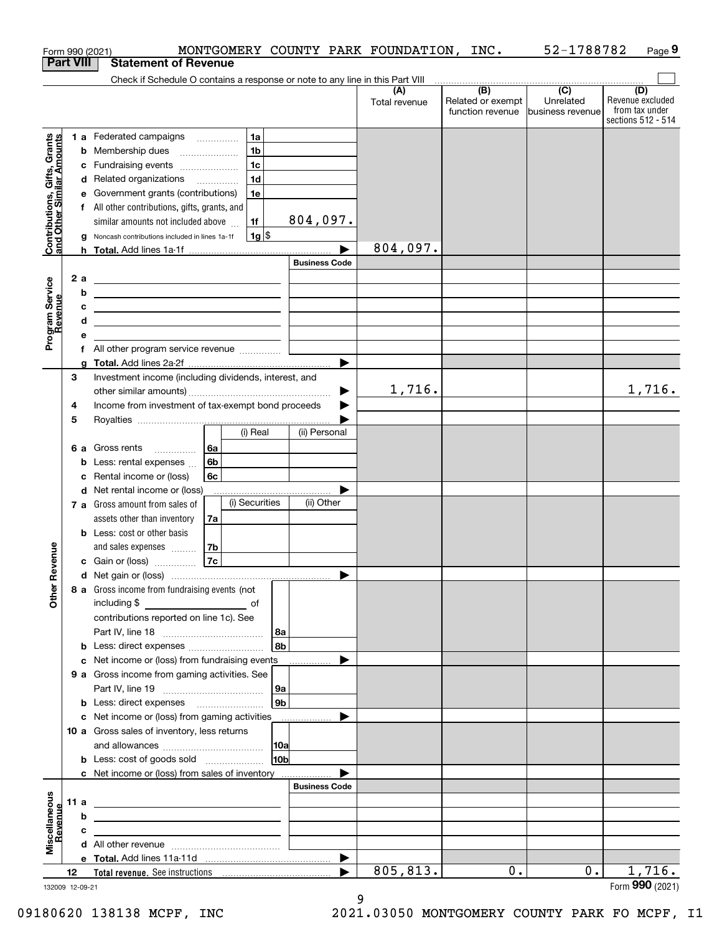| <b>Part VIII</b><br>Contributions, Gifts, Grants<br>and Other Similar Amounts<br>Program Service<br>Revenue |      | <b>Statement of Revenue</b><br>Check if Schedule O contains a response or note to any line in this Part VIII            |                      | (A)           |                                              |                                                   |                                                                 |
|-------------------------------------------------------------------------------------------------------------|------|-------------------------------------------------------------------------------------------------------------------------|----------------------|---------------|----------------------------------------------|---------------------------------------------------|-----------------------------------------------------------------|
|                                                                                                             |      |                                                                                                                         |                      |               |                                              |                                                   |                                                                 |
|                                                                                                             |      |                                                                                                                         |                      |               |                                              |                                                   |                                                                 |
|                                                                                                             |      |                                                                                                                         |                      | Total revenue | (B)<br>Related or exempt<br>function revenue | $\overline{(C)}$<br>Unrelated<br>business revenue | (D)<br>Revenue excluded<br>from tax under<br>sections 512 - 514 |
|                                                                                                             |      | 1 a Federated campaigns<br>1a                                                                                           |                      |               |                                              |                                                   |                                                                 |
|                                                                                                             |      | 1 <sub>b</sub><br><b>b</b> Membership dues                                                                              |                      |               |                                              |                                                   |                                                                 |
|                                                                                                             |      | 1 <sub>c</sub><br>c Fundraising events                                                                                  |                      |               |                                              |                                                   |                                                                 |
|                                                                                                             |      | 1 <sub>d</sub><br>d Related organizations                                                                               |                      |               |                                              |                                                   |                                                                 |
|                                                                                                             |      | e Government grants (contributions)<br>1e                                                                               |                      |               |                                              |                                                   |                                                                 |
|                                                                                                             |      | f All other contributions, gifts, grants, and                                                                           |                      |               |                                              |                                                   |                                                                 |
|                                                                                                             |      | 1f<br>similar amounts not included above                                                                                | 804,097.             |               |                                              |                                                   |                                                                 |
|                                                                                                             |      | $1g$ \$<br>g Noncash contributions included in lines 1a-1f                                                              |                      | 804,097.      |                                              |                                                   |                                                                 |
|                                                                                                             |      |                                                                                                                         | <b>Business Code</b> |               |                                              |                                                   |                                                                 |
|                                                                                                             | 2a   |                                                                                                                         |                      |               |                                              |                                                   |                                                                 |
|                                                                                                             | b    | <u> 1989 - Johann Stoff, deutscher Stoffen und der Stoffen und der Stoffen und der Stoffen und der Stoffen und der</u>  |                      |               |                                              |                                                   |                                                                 |
|                                                                                                             | с    | <u> 1989 - Johann Stein, mars an de Brazilia (b. 1989)</u><br><u> 1989 - Andrea Stadt Britain, amerikansk politik (</u> |                      |               |                                              |                                                   |                                                                 |
|                                                                                                             | d    | <u> 1989 - Johann Stein, mars an de Britannich (b. 1989)</u>                                                            |                      |               |                                              |                                                   |                                                                 |
|                                                                                                             | е    |                                                                                                                         |                      |               |                                              |                                                   |                                                                 |
|                                                                                                             |      | f All other program service revenue                                                                                     |                      |               |                                              |                                                   |                                                                 |
|                                                                                                             |      |                                                                                                                         |                      |               |                                              |                                                   |                                                                 |
|                                                                                                             | 3    | Investment income (including dividends, interest, and                                                                   |                      |               |                                              |                                                   |                                                                 |
|                                                                                                             |      |                                                                                                                         | ▶                    | 1,716.        |                                              |                                                   | 1,716.                                                          |
|                                                                                                             | 4    | Income from investment of tax-exempt bond proceeds                                                                      |                      |               |                                              |                                                   |                                                                 |
|                                                                                                             | 5    |                                                                                                                         |                      |               |                                              |                                                   |                                                                 |
|                                                                                                             |      | (i) Real                                                                                                                | (ii) Personal        |               |                                              |                                                   |                                                                 |
|                                                                                                             |      | 6 a Gross rents<br>6а<br>6 <sub>b</sub>                                                                                 |                      |               |                                              |                                                   |                                                                 |
|                                                                                                             |      | <b>b</b> Less: rental expenses $\ldots$<br>c Rental income or (loss)<br>6с                                              |                      |               |                                              |                                                   |                                                                 |
|                                                                                                             |      | d Net rental income or (loss)                                                                                           |                      |               |                                              |                                                   |                                                                 |
|                                                                                                             |      | (i) Securities<br>7 a Gross amount from sales of                                                                        | (ii) Other           |               |                                              |                                                   |                                                                 |
|                                                                                                             |      | assets other than inventory<br>7a                                                                                       |                      |               |                                              |                                                   |                                                                 |
|                                                                                                             |      | <b>b</b> Less: cost or other basis                                                                                      |                      |               |                                              |                                                   |                                                                 |
|                                                                                                             |      | 7b<br>and sales expenses                                                                                                |                      |               |                                              |                                                   |                                                                 |
| evenue                                                                                                      |      | 7c<br>c Gain or (loss)                                                                                                  |                      |               |                                              |                                                   |                                                                 |
| Œ                                                                                                           |      |                                                                                                                         |                      |               |                                              |                                                   |                                                                 |
| Other                                                                                                       |      | 8 a Gross income from fundraising events (not<br>including \$<br><u>of</u> of                                           |                      |               |                                              |                                                   |                                                                 |
|                                                                                                             |      | contributions reported on line 1c). See                                                                                 |                      |               |                                              |                                                   |                                                                 |
|                                                                                                             |      | 8a                                                                                                                      |                      |               |                                              |                                                   |                                                                 |
|                                                                                                             |      | 8b<br><b>b</b> Less: direct expenses                                                                                    |                      |               |                                              |                                                   |                                                                 |
|                                                                                                             |      | c Net income or (loss) from fundraising events                                                                          |                      |               |                                              |                                                   |                                                                 |
|                                                                                                             |      | 9 a Gross income from gaming activities. See                                                                            |                      |               |                                              |                                                   |                                                                 |
|                                                                                                             |      | 9a<br>9b<br><b>b</b> Less: direct expenses <b>manually</b>                                                              |                      |               |                                              |                                                   |                                                                 |
|                                                                                                             |      | c Net income or (loss) from gaming activities                                                                           |                      |               |                                              |                                                   |                                                                 |
|                                                                                                             |      | 10 a Gross sales of inventory, less returns                                                                             |                      |               |                                              |                                                   |                                                                 |
|                                                                                                             |      | 10a                                                                                                                     |                      |               |                                              |                                                   |                                                                 |
|                                                                                                             |      | 10 <sub>b</sub>                                                                                                         |                      |               |                                              |                                                   |                                                                 |
|                                                                                                             |      | c Net income or (loss) from sales of inventory                                                                          |                      |               |                                              |                                                   |                                                                 |
|                                                                                                             |      |                                                                                                                         | <b>Business Code</b> |               |                                              |                                                   |                                                                 |
|                                                                                                             | 11 a | <u> 1989 - Johann Stein, marwolaethau a bhann an t-Amhainn an t-Amhainn an t-Amhainn an t-Amhainn an t-Amhainn an</u>   |                      |               |                                              |                                                   |                                                                 |
|                                                                                                             | b    | <u> 1989 - Johann Barbara, marka a shekara tsa 1989 - An tsa 1989 - An tsa 1989 - An tsa 1989 - An tsa 1989 - An</u>    |                      |               |                                              |                                                   |                                                                 |
| Miscellaneous<br>Revenue                                                                                    |      | the control of the control of the control of the control of the control of                                              |                      |               |                                              |                                                   |                                                                 |
|                                                                                                             | c    |                                                                                                                         |                      |               |                                              |                                                   |                                                                 |
|                                                                                                             |      |                                                                                                                         |                      |               |                                              |                                                   |                                                                 |
| 132009 12-09-21                                                                                             | 12   |                                                                                                                         |                      | 805,813.      | 0.                                           | $0$ .                                             | 1,716.                                                          |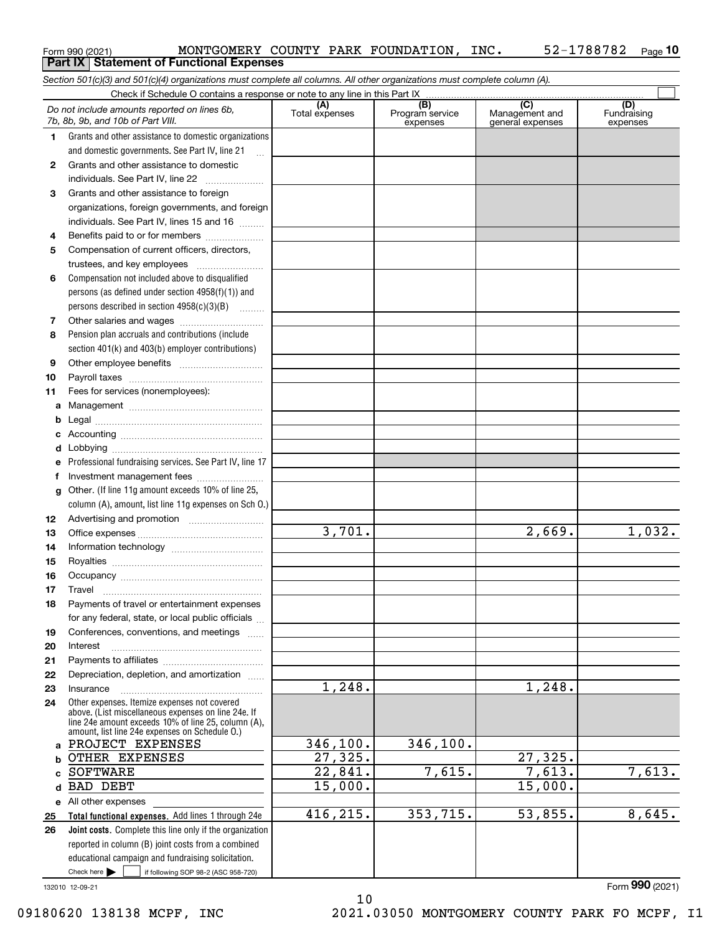|          | Form 990 (2021)<br>MONTGOMERY COUNTY PARK FOUNDATION,<br><b>Part IX   Statement of Functional Expenses</b>                                                                                                   |                       |                                    | TMC.                                      | 52-1788782<br>Page 10          |
|----------|--------------------------------------------------------------------------------------------------------------------------------------------------------------------------------------------------------------|-----------------------|------------------------------------|-------------------------------------------|--------------------------------|
|          | Section 501(c)(3) and 501(c)(4) organizations must complete all columns. All other organizations must complete column (A).                                                                                   |                       |                                    |                                           |                                |
|          | Check if Schedule O contains a response or note to any line in this Part IX                                                                                                                                  |                       |                                    |                                           |                                |
|          | Do not include amounts reported on lines 6b,<br>7b, 8b, 9b, and 10b of Part VIII.                                                                                                                            | (A)<br>Total expenses | (B)<br>Program service<br>expenses | (C)<br>Management and<br>general expenses | (D)<br>Fundraising<br>expenses |
| 1.       | Grants and other assistance to domestic organizations                                                                                                                                                        |                       |                                    |                                           |                                |
|          | and domestic governments. See Part IV, line 21<br>$\ddotsc$                                                                                                                                                  |                       |                                    |                                           |                                |
| 2        | Grants and other assistance to domestic                                                                                                                                                                      |                       |                                    |                                           |                                |
|          | individuals. See Part IV, line 22                                                                                                                                                                            |                       |                                    |                                           |                                |
| З        | Grants and other assistance to foreign                                                                                                                                                                       |                       |                                    |                                           |                                |
|          | organizations, foreign governments, and foreign                                                                                                                                                              |                       |                                    |                                           |                                |
|          | individuals. See Part IV, lines 15 and 16                                                                                                                                                                    |                       |                                    |                                           |                                |
| 4        | Benefits paid to or for members                                                                                                                                                                              |                       |                                    |                                           |                                |
| 5        | Compensation of current officers, directors,                                                                                                                                                                 |                       |                                    |                                           |                                |
|          | trustees, and key employees                                                                                                                                                                                  |                       |                                    |                                           |                                |
| 6        | Compensation not included above to disqualified                                                                                                                                                              |                       |                                    |                                           |                                |
|          | persons (as defined under section 4958(f)(1)) and<br>persons described in section 4958(c)(3)(B)                                                                                                              |                       |                                    |                                           |                                |
| 7        |                                                                                                                                                                                                              |                       |                                    |                                           |                                |
| 8        | Pension plan accruals and contributions (include                                                                                                                                                             |                       |                                    |                                           |                                |
|          | section 401(k) and 403(b) employer contributions)                                                                                                                                                            |                       |                                    |                                           |                                |
| 9        |                                                                                                                                                                                                              |                       |                                    |                                           |                                |
| 10       |                                                                                                                                                                                                              |                       |                                    |                                           |                                |
| 11       | Fees for services (nonemployees):                                                                                                                                                                            |                       |                                    |                                           |                                |
| a        |                                                                                                                                                                                                              |                       |                                    |                                           |                                |
| b        |                                                                                                                                                                                                              |                       |                                    |                                           |                                |
| c        |                                                                                                                                                                                                              |                       |                                    |                                           |                                |
| d        |                                                                                                                                                                                                              |                       |                                    |                                           |                                |
| е        | Professional fundraising services. See Part IV, line 17                                                                                                                                                      |                       |                                    |                                           |                                |
| f        |                                                                                                                                                                                                              |                       |                                    |                                           |                                |
| g        | Other. (If line 11g amount exceeds 10% of line 25,                                                                                                                                                           |                       |                                    |                                           |                                |
|          | column (A), amount, list line 11g expenses on Sch 0.)                                                                                                                                                        |                       |                                    |                                           |                                |
| 12       |                                                                                                                                                                                                              | 3,701.                |                                    |                                           |                                |
| 13       |                                                                                                                                                                                                              |                       |                                    | 2,669.                                    | 1,032.                         |
| 14       |                                                                                                                                                                                                              |                       |                                    |                                           |                                |
| 15       | Occupancy                                                                                                                                                                                                    |                       |                                    |                                           |                                |
| 16<br>17 | Travel                                                                                                                                                                                                       |                       |                                    |                                           |                                |
| 18       | Payments of travel or entertainment expenses                                                                                                                                                                 |                       |                                    |                                           |                                |
|          | for any federal, state, or local public officials                                                                                                                                                            |                       |                                    |                                           |                                |
| 19       | Conferences, conventions, and meetings                                                                                                                                                                       |                       |                                    |                                           |                                |
| 20       | Interest                                                                                                                                                                                                     |                       |                                    |                                           |                                |
| 21       |                                                                                                                                                                                                              |                       |                                    |                                           |                                |
| 22       | Depreciation, depletion, and amortization                                                                                                                                                                    |                       |                                    |                                           |                                |
| 23       | Insurance                                                                                                                                                                                                    | 1,248.                |                                    | 1,248.                                    |                                |
| 24       | Other expenses. Itemize expenses not covered<br>above. (List miscellaneous expenses on line 24e. If<br>line 24e amount exceeds 10% of line 25, column (A).<br>amount, list line 24e expenses on Schedule O.) |                       |                                    |                                           |                                |
| a        | PROJECT EXPENSES                                                                                                                                                                                             | 346, 100.             | 346, 100.                          |                                           |                                |
|          | OTHER EXPENSES                                                                                                                                                                                               | 27,325.               |                                    | 27,325.                                   |                                |
|          | SOFTWARE                                                                                                                                                                                                     | 22,841.               | 7,615.                             | 7,613.                                    | 7,613.                         |
|          | <b>BAD DEBT</b>                                                                                                                                                                                              | 15,000.               |                                    | 15,000.                                   |                                |
|          | e All other expenses                                                                                                                                                                                         |                       |                                    |                                           |                                |
| 25       | Total functional expenses. Add lines 1 through 24e                                                                                                                                                           | 416,215.              | 353,715.                           | 53,855.                                   | 8,645.                         |
| 26       | Joint costs. Complete this line only if the organization                                                                                                                                                     |                       |                                    |                                           |                                |
|          | reported in column (B) joint costs from a combined                                                                                                                                                           |                       |                                    |                                           |                                |
|          | educational campaign and fundraising solicitation.<br>Check here $\blacktriangleright$<br>if following SOP 98-2 (ASC 958-720)                                                                                |                       |                                    |                                           |                                |
|          |                                                                                                                                                                                                              |                       |                                    |                                           |                                |

10

MONTGOMERY COUNTY PARK FOUNDATION, INC. 52-1788782

132010 12-09-21

Form (2021) **990**

**10**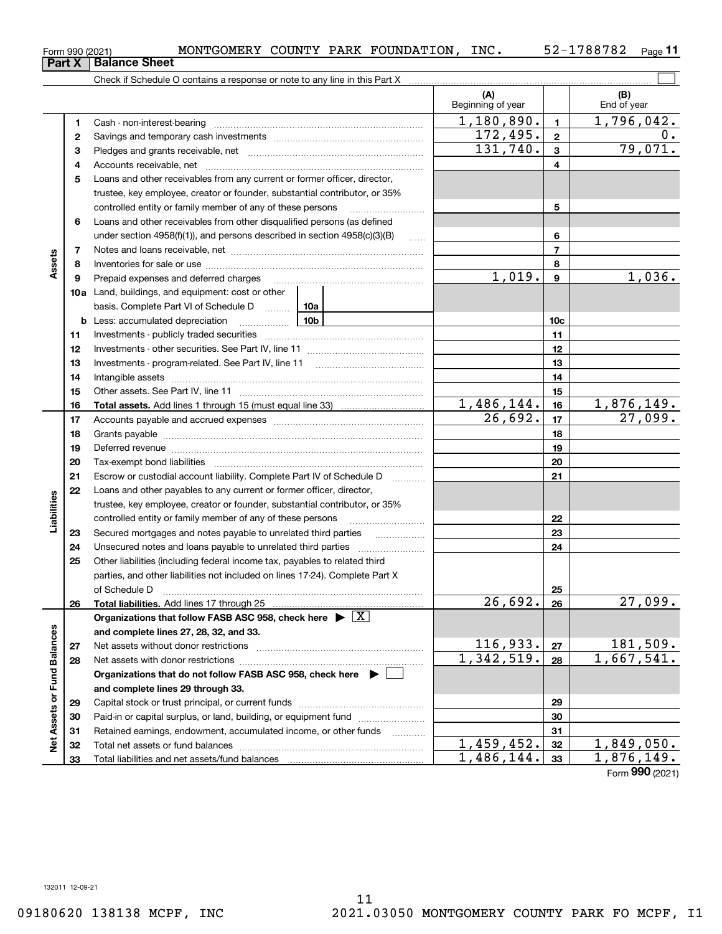| Form 990 (2021) |                               |  | MONTGOMERY COUNTY PARK FOUNDATION, | INC. | 52-1788782 | Page |
|-----------------|-------------------------------|--|------------------------------------|------|------------|------|
|                 | <b>Part X</b>   Balance Sheet |  |                                    |      |            |      |

Check if Schedule O contains a response or note to any line in this Part X

|                             |          |                                                                                                                                                                                                                                | (A)<br>Beginning of year |                 | (B)<br>End of year |
|-----------------------------|----------|--------------------------------------------------------------------------------------------------------------------------------------------------------------------------------------------------------------------------------|--------------------------|-----------------|--------------------|
|                             | 1        |                                                                                                                                                                                                                                | 1,180,890.               | $\blacksquare$  | 1,796,042.         |
|                             | 2        |                                                                                                                                                                                                                                | 172,495.                 | $\overline{2}$  | $0$ .              |
|                             | з        |                                                                                                                                                                                                                                | 131,740.                 | $\overline{3}$  | 79,071.            |
|                             | 4        |                                                                                                                                                                                                                                |                          | 4               |                    |
|                             | 5        | Loans and other receivables from any current or former officer, director,                                                                                                                                                      |                          |                 |                    |
|                             |          | trustee, key employee, creator or founder, substantial contributor, or 35%                                                                                                                                                     |                          |                 |                    |
|                             |          | controlled entity or family member of any of these persons                                                                                                                                                                     |                          | 5               |                    |
|                             | 6        | Loans and other receivables from other disqualified persons (as defined                                                                                                                                                        |                          |                 |                    |
|                             |          | under section 4958(f)(1)), and persons described in section 4958(c)(3)(B)<br>$\ldots$                                                                                                                                          |                          | 6               |                    |
| Assets                      | 7        |                                                                                                                                                                                                                                |                          | $\overline{7}$  |                    |
|                             | 8        |                                                                                                                                                                                                                                |                          | 8               |                    |
|                             | 9        | Prepaid expenses and deferred charges [11] [11] prepaid expenses and deferred charges [11] [11] minimum and the Prepaid expenses and deferred charges [11] minimum and the Prepaid expenses and the Prepaid experiment of Prep | 1,019.                   | $\mathbf{9}$    | 1,036.             |
|                             |          | 10a Land, buildings, and equipment: cost or other                                                                                                                                                                              |                          |                 |                    |
|                             |          | basis. Complete Part VI of Schedule D  10a                                                                                                                                                                                     |                          |                 |                    |
|                             | b        | <u>10b</u><br>Less: accumulated depreciation                                                                                                                                                                                   |                          | 10 <sub>c</sub> |                    |
|                             | 11       |                                                                                                                                                                                                                                |                          | 11              |                    |
|                             | 12       |                                                                                                                                                                                                                                |                          | 12              |                    |
|                             | 13       |                                                                                                                                                                                                                                |                          | 13              |                    |
|                             | 14       |                                                                                                                                                                                                                                |                          | 14              |                    |
|                             | 15       |                                                                                                                                                                                                                                |                          | 15              |                    |
|                             | 16       |                                                                                                                                                                                                                                | 1,486,144.               | 16              | 1,876,149.         |
|                             | 17       |                                                                                                                                                                                                                                | 26,692.                  | 17              | 27,099.            |
|                             | 18       |                                                                                                                                                                                                                                |                          | 18              |                    |
|                             | 19       |                                                                                                                                                                                                                                |                          | 19              |                    |
|                             | 20       |                                                                                                                                                                                                                                |                          | 20              |                    |
|                             | 21       | Escrow or custodial account liability. Complete Part IV of Schedule D<br>1.1.1.1.1.1.1.1.1.1                                                                                                                                   |                          | 21              |                    |
|                             | 22       | Loans and other payables to any current or former officer, director,                                                                                                                                                           |                          |                 |                    |
| Liabilities                 |          | trustee, key employee, creator or founder, substantial contributor, or 35%                                                                                                                                                     |                          |                 |                    |
|                             |          | controlled entity or family member of any of these persons                                                                                                                                                                     |                          | 22              |                    |
|                             | 23<br>24 | Secured mortgages and notes payable to unrelated third parties                                                                                                                                                                 |                          | 23<br>24        |                    |
|                             | 25       | Other liabilities (including federal income tax, payables to related third                                                                                                                                                     |                          |                 |                    |
|                             |          | parties, and other liabilities not included on lines 17-24). Complete Part X                                                                                                                                                   |                          |                 |                    |
|                             |          | of Schedule D                                                                                                                                                                                                                  |                          | 25              |                    |
|                             | 26       |                                                                                                                                                                                                                                | 26,692.                  | 26              | 27,099.            |
|                             |          | Organizations that follow FASB ASC 958, check here $\blacktriangleright \boxed{X}$                                                                                                                                             |                          |                 |                    |
|                             |          | and complete lines 27, 28, 32, and 33.                                                                                                                                                                                         |                          |                 |                    |
|                             | 27       | Net assets without donor restrictions                                                                                                                                                                                          | 116,933.                 | 27              | 181,509.           |
|                             | 28       | Net assets with donor restrictions                                                                                                                                                                                             | 1,342,519.               | 28              | 1,667,541.         |
|                             |          | Organizations that do not follow FASB ASC 958, check here $\blacktriangleright$                                                                                                                                                |                          |                 |                    |
|                             |          | and complete lines 29 through 33.                                                                                                                                                                                              |                          |                 |                    |
|                             | 29       |                                                                                                                                                                                                                                |                          | 29              |                    |
|                             | 30       | Paid-in or capital surplus, or land, building, or equipment fund                                                                                                                                                               |                          | 30              |                    |
| Net Assets or Fund Balances | 31       | Retained earnings, endowment, accumulated income, or other funds                                                                                                                                                               |                          | 31              |                    |
|                             | 32       |                                                                                                                                                                                                                                | 1,459,452.               | 32              | <u>1,849,050.</u>  |
|                             | 33       |                                                                                                                                                                                                                                | 1,486,144.               | 33              | 1,876,149.         |

Form (2021) **990**

 $\mathcal{L}^{\text{max}}$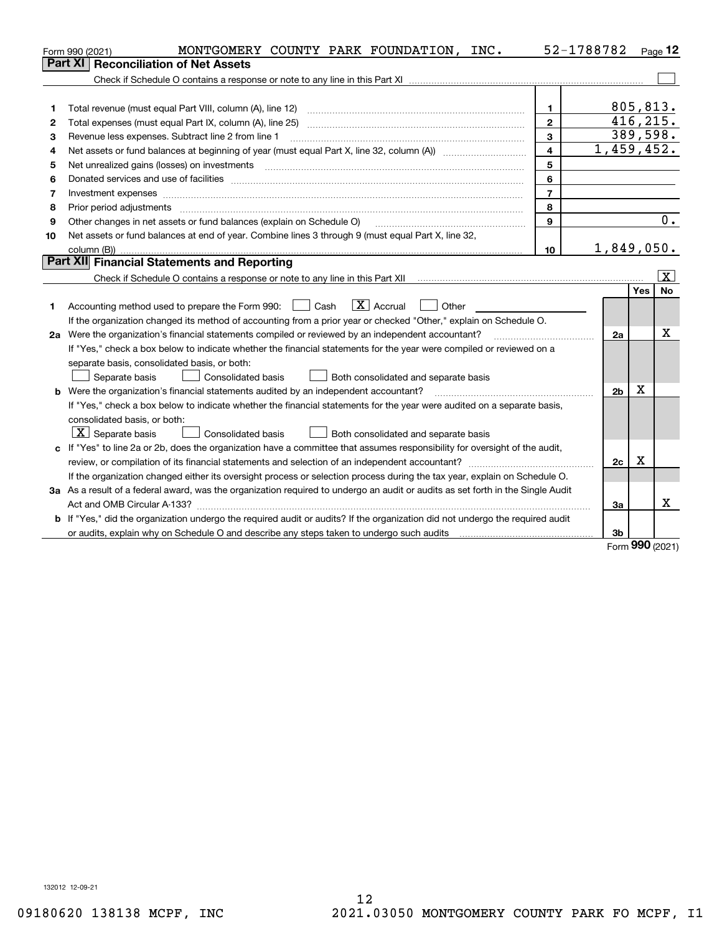|    | MONTGOMERY COUNTY PARK FOUNDATION, INC.<br>Form 990 (2021)                                                                      | 52-1788782              |                |           | Page $12$             |
|----|---------------------------------------------------------------------------------------------------------------------------------|-------------------------|----------------|-----------|-----------------------|
|    | <b>Reconciliation of Net Assets</b><br>Part XI                                                                                  |                         |                |           |                       |
|    |                                                                                                                                 |                         |                |           |                       |
|    |                                                                                                                                 |                         |                |           |                       |
| 1  | Total revenue (must equal Part VIII, column (A), line 12)                                                                       | $\mathbf{1}$            |                | 805,813.  |                       |
| 2  |                                                                                                                                 | $\mathbf{2}$            |                | 416, 215. |                       |
| з  | Revenue less expenses. Subtract line 2 from line 1                                                                              | 3                       |                | 389,598.  |                       |
| 4  |                                                                                                                                 | $\overline{\mathbf{4}}$ | 1,459,452.     |           |                       |
| 5  | Net unrealized gains (losses) on investments                                                                                    | 5                       |                |           |                       |
| 6  |                                                                                                                                 | 6                       |                |           |                       |
| 7  |                                                                                                                                 | $\overline{7}$          |                |           |                       |
| 8  | Prior period adjustments                                                                                                        | 8                       |                |           |                       |
| 9  | Other changes in net assets or fund balances (explain on Schedule O)                                                            | $\mathbf{9}$            |                |           | 0.                    |
| 10 | Net assets or fund balances at end of year. Combine lines 3 through 9 (must equal Part X, line 32,                              |                         |                |           |                       |
|    |                                                                                                                                 | 10                      | 1,849,050.     |           |                       |
|    | Part XII Financial Statements and Reporting                                                                                     |                         |                |           |                       |
|    |                                                                                                                                 |                         |                |           | $\overline{\text{X}}$ |
|    |                                                                                                                                 |                         |                | Yes       | <b>No</b>             |
| 1. | $\boxed{\text{X}}$ Accrual<br>$\Box$ Cash<br>Other<br>Accounting method used to prepare the Form 990:                           |                         |                |           |                       |
|    | If the organization changed its method of accounting from a prior year or checked "Other," explain on Schedule O.               |                         |                |           |                       |
|    | 2a Were the organization's financial statements compiled or reviewed by an independent accountant?                              |                         | 2a             |           | х                     |
|    | If "Yes," check a box below to indicate whether the financial statements for the year were compiled or reviewed on a            |                         |                |           |                       |
|    | separate basis, consolidated basis, or both:                                                                                    |                         |                |           |                       |
|    | Separate basis<br><b>Consolidated basis</b><br>Both consolidated and separate basis                                             |                         |                |           |                       |
|    | <b>b</b> Were the organization's financial statements audited by an independent accountant?                                     |                         | 2 <sub>b</sub> | Χ         |                       |
|    | If "Yes," check a box below to indicate whether the financial statements for the year were audited on a separate basis,         |                         |                |           |                       |
|    | consolidated basis, or both:                                                                                                    |                         |                |           |                       |
|    | $\vert X \vert$ Separate basis<br><b>Consolidated basis</b><br>Both consolidated and separate basis                             |                         |                |           |                       |
|    | c If "Yes" to line 2a or 2b, does the organization have a committee that assumes responsibility for oversight of the audit,     |                         |                |           |                       |
|    |                                                                                                                                 |                         | 2c             | x         |                       |
|    | If the organization changed either its oversight process or selection process during the tax year, explain on Schedule O.       |                         |                |           |                       |
|    | 3a As a result of a federal award, was the organization required to undergo an audit or audits as set forth in the Single Audit |                         |                |           |                       |
|    |                                                                                                                                 |                         | За             |           | x                     |
|    | b If "Yes," did the organization undergo the required audit or audits? If the organization did not undergo the required audit   |                         |                |           |                       |
|    | or audits, explain why on Schedule O and describe any steps taken to undergo such audits                                        |                         | 3b             |           |                       |

Form (2021) **990**

132012 12-09-21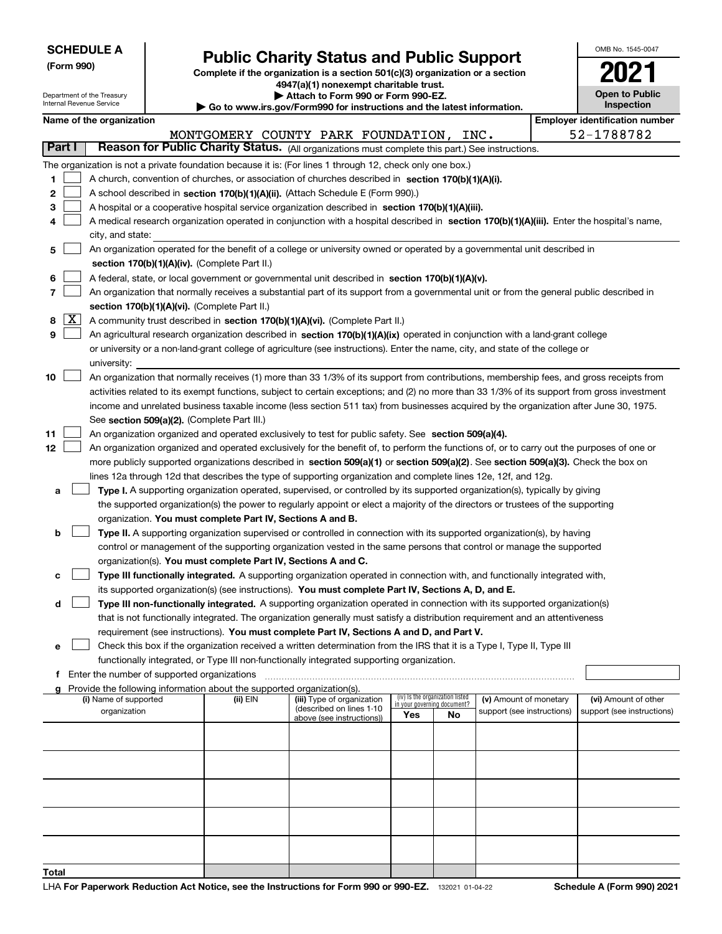| <b>SCHEDULE A</b> |  |
|-------------------|--|
|-------------------|--|

Department of the Treasury Internal Revenue Service

**(Form 990)**

# **Public Charity Status and Public Support**

**Complete if the organization is a section 501(c)(3) organization or a section 4947(a)(1) nonexempt charitable trust.**

**| Attach to Form 990 or Form 990-EZ.** 

**| Go to www.irs.gov/Form990 for instructions and the latest information.**

| rт<br>tion | 2021                                 |
|------------|--------------------------------------|
| ion.       | <b>Open to Public</b><br>Inspection  |
|            | <b>Employer identification numbe</b> |
|            | 52-1788782                           |
| uctions.   |                                      |

OMB No. 1545-0047

| Name of the organization |  |
|--------------------------|--|
|--------------------------|--|

|    |            | Name of the organization                                                                                                                                                                                                         |          |                                                        |                                                                |    |                            | <b>Employer identification number</b> |
|----|------------|----------------------------------------------------------------------------------------------------------------------------------------------------------------------------------------------------------------------------------|----------|--------------------------------------------------------|----------------------------------------------------------------|----|----------------------------|---------------------------------------|
|    |            |                                                                                                                                                                                                                                  |          | MONTGOMERY COUNTY PARK FOUNDATION, INC.                |                                                                |    |                            | 52-1788782                            |
|    | Part I     | Reason for Public Charity Status. (All organizations must complete this part.) See instructions.                                                                                                                                 |          |                                                        |                                                                |    |                            |                                       |
|    |            | The organization is not a private foundation because it is: (For lines 1 through 12, check only one box.)                                                                                                                        |          |                                                        |                                                                |    |                            |                                       |
| 1  |            | A church, convention of churches, or association of churches described in section 170(b)(1)(A)(i).                                                                                                                               |          |                                                        |                                                                |    |                            |                                       |
| 2  |            | A school described in section 170(b)(1)(A)(ii). (Attach Schedule E (Form 990).)                                                                                                                                                  |          |                                                        |                                                                |    |                            |                                       |
| з  |            | A hospital or a cooperative hospital service organization described in section $170(b)(1)(A)(iii)$ .                                                                                                                             |          |                                                        |                                                                |    |                            |                                       |
| 4  |            | A medical research organization operated in conjunction with a hospital described in section 170(b)(1)(A)(iii). Enter the hospital's name,                                                                                       |          |                                                        |                                                                |    |                            |                                       |
|    |            | city, and state:                                                                                                                                                                                                                 |          |                                                        |                                                                |    |                            |                                       |
| 5  |            | An organization operated for the benefit of a college or university owned or operated by a governmental unit described in                                                                                                        |          |                                                        |                                                                |    |                            |                                       |
|    |            | section 170(b)(1)(A)(iv). (Complete Part II.)                                                                                                                                                                                    |          |                                                        |                                                                |    |                            |                                       |
| 6  |            | A federal, state, or local government or governmental unit described in section 170(b)(1)(A)(v).                                                                                                                                 |          |                                                        |                                                                |    |                            |                                       |
| 7  |            | An organization that normally receives a substantial part of its support from a governmental unit or from the general public described in                                                                                        |          |                                                        |                                                                |    |                            |                                       |
|    |            | section 170(b)(1)(A)(vi). (Complete Part II.)                                                                                                                                                                                    |          |                                                        |                                                                |    |                            |                                       |
|    | $8 \times$ | A community trust described in section 170(b)(1)(A)(vi). (Complete Part II.)                                                                                                                                                     |          |                                                        |                                                                |    |                            |                                       |
| 9  |            | An agricultural research organization described in section 170(b)(1)(A)(ix) operated in conjunction with a land-grant college                                                                                                    |          |                                                        |                                                                |    |                            |                                       |
|    |            | or university or a non-land-grant college of agriculture (see instructions). Enter the name, city, and state of the college or                                                                                                   |          |                                                        |                                                                |    |                            |                                       |
|    |            | university:                                                                                                                                                                                                                      |          |                                                        |                                                                |    |                            |                                       |
| 10 |            | An organization that normally receives (1) more than 33 1/3% of its support from contributions, membership fees, and gross receipts from                                                                                         |          |                                                        |                                                                |    |                            |                                       |
|    |            | activities related to its exempt functions, subject to certain exceptions; and (2) no more than 33 1/3% of its support from gross investment                                                                                     |          |                                                        |                                                                |    |                            |                                       |
|    |            | income and unrelated business taxable income (less section 511 tax) from businesses acquired by the organization after June 30, 1975.                                                                                            |          |                                                        |                                                                |    |                            |                                       |
|    |            | See section 509(a)(2). (Complete Part III.)                                                                                                                                                                                      |          |                                                        |                                                                |    |                            |                                       |
| 11 |            | An organization organized and operated exclusively to test for public safety. See section 509(a)(4).                                                                                                                             |          |                                                        |                                                                |    |                            |                                       |
| 12 |            | An organization organized and operated exclusively for the benefit of, to perform the functions of, or to carry out the purposes of one or                                                                                       |          |                                                        |                                                                |    |                            |                                       |
|    |            | more publicly supported organizations described in section 509(a)(1) or section 509(a)(2). See section 509(a)(3). Check the box on                                                                                               |          |                                                        |                                                                |    |                            |                                       |
|    |            | lines 12a through 12d that describes the type of supporting organization and complete lines 12e, 12f, and 12g.                                                                                                                   |          |                                                        |                                                                |    |                            |                                       |
| а  |            | Type I. A supporting organization operated, supervised, or controlled by its supported organization(s), typically by giving                                                                                                      |          |                                                        |                                                                |    |                            |                                       |
|    |            | the supported organization(s) the power to regularly appoint or elect a majority of the directors or trustees of the supporting                                                                                                  |          |                                                        |                                                                |    |                            |                                       |
|    |            | organization. You must complete Part IV, Sections A and B.                                                                                                                                                                       |          |                                                        |                                                                |    |                            |                                       |
| b  |            | Type II. A supporting organization supervised or controlled in connection with its supported organization(s), by having                                                                                                          |          |                                                        |                                                                |    |                            |                                       |
|    |            | control or management of the supporting organization vested in the same persons that control or manage the supported                                                                                                             |          |                                                        |                                                                |    |                            |                                       |
|    |            | organization(s). You must complete Part IV, Sections A and C.                                                                                                                                                                    |          |                                                        |                                                                |    |                            |                                       |
| c  |            | Type III functionally integrated. A supporting organization operated in connection with, and functionally integrated with,<br>its supported organization(s) (see instructions). You must complete Part IV, Sections A, D, and E. |          |                                                        |                                                                |    |                            |                                       |
| d  |            | Type III non-functionally integrated. A supporting organization operated in connection with its supported organization(s)                                                                                                        |          |                                                        |                                                                |    |                            |                                       |
|    |            | that is not functionally integrated. The organization generally must satisfy a distribution requirement and an attentiveness                                                                                                     |          |                                                        |                                                                |    |                            |                                       |
|    |            | requirement (see instructions). You must complete Part IV, Sections A and D, and Part V.                                                                                                                                         |          |                                                        |                                                                |    |                            |                                       |
|    |            | Check this box if the organization received a written determination from the IRS that it is a Type I, Type II, Type III                                                                                                          |          |                                                        |                                                                |    |                            |                                       |
|    |            | functionally integrated, or Type III non-functionally integrated supporting organization.                                                                                                                                        |          |                                                        |                                                                |    |                            |                                       |
|    |            | f Enter the number of supported organizations                                                                                                                                                                                    |          |                                                        |                                                                |    |                            |                                       |
|    |            | g Provide the following information about the supported organization(s).                                                                                                                                                         |          |                                                        |                                                                |    |                            |                                       |
|    |            | (i) Name of supported                                                                                                                                                                                                            | (ii) EIN | (iii) Type of organization<br>(described on lines 1-10 | (iv) Is the organization listed<br>in your governing document? |    | (v) Amount of monetary     | (vi) Amount of other                  |
|    |            | organization                                                                                                                                                                                                                     |          | above (see instructions))                              | Yes                                                            | No | support (see instructions) | support (see instructions)            |
|    |            |                                                                                                                                                                                                                                  |          |                                                        |                                                                |    |                            |                                       |
|    |            |                                                                                                                                                                                                                                  |          |                                                        |                                                                |    |                            |                                       |
|    |            |                                                                                                                                                                                                                                  |          |                                                        |                                                                |    |                            |                                       |
|    |            |                                                                                                                                                                                                                                  |          |                                                        |                                                                |    |                            |                                       |
|    |            |                                                                                                                                                                                                                                  |          |                                                        |                                                                |    |                            |                                       |
|    |            |                                                                                                                                                                                                                                  |          |                                                        |                                                                |    |                            |                                       |
|    |            |                                                                                                                                                                                                                                  |          |                                                        |                                                                |    |                            |                                       |
|    |            |                                                                                                                                                                                                                                  |          |                                                        |                                                                |    |                            |                                       |
|    |            |                                                                                                                                                                                                                                  |          |                                                        |                                                                |    |                            |                                       |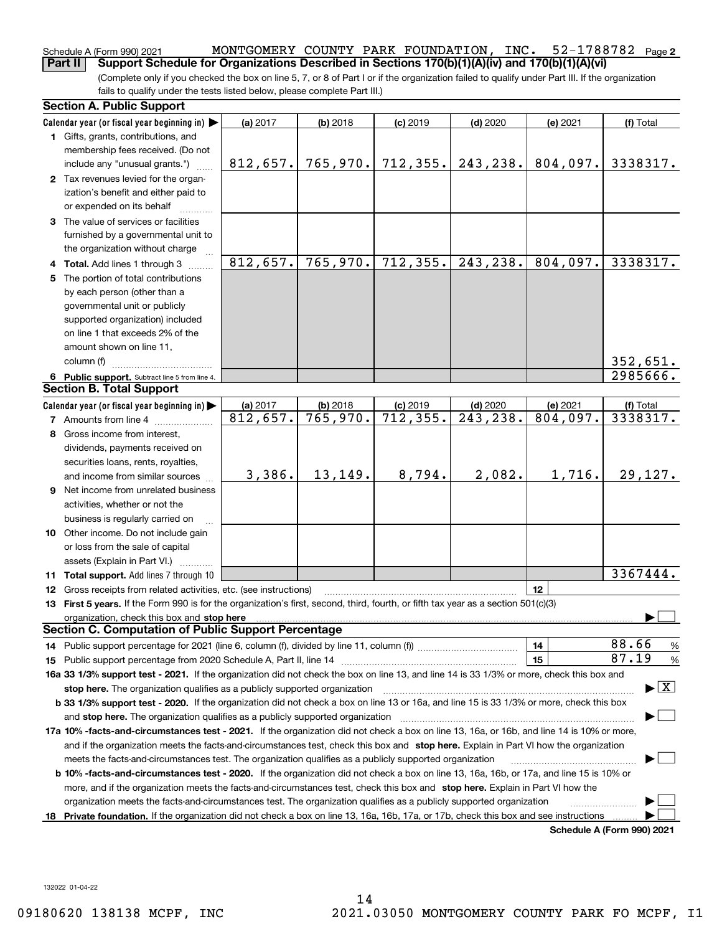### 52-1788782 Page 2 Schedule A (Form 990) 2021  ${\rm MONTGOMETRY}$   ${\rm COUNTY}$   ${\rm PARK}$   ${\rm FOUNDATION}$ ,  ${\rm INC.}$   ${\rm 52-1788782}$   ${\rm Page}$ **Part II Support Schedule for Organizations Described in Sections 170(b)(1)(A)(iv) and 170(b)(1)(A)(vi)**

(Complete only if you checked the box on line 5, 7, or 8 of Part I or if the organization failed to qualify under Part III. If the organization fails to qualify under the tests listed below, please complete Part III.)

|    | <b>Section A. Public Support</b>                                                                                                                                                                                                                                                            |                      |                                      |                         |                         |                      |                                          |
|----|---------------------------------------------------------------------------------------------------------------------------------------------------------------------------------------------------------------------------------------------------------------------------------------------|----------------------|--------------------------------------|-------------------------|-------------------------|----------------------|------------------------------------------|
|    | Calendar year (or fiscal year beginning in) $\blacktriangleright$                                                                                                                                                                                                                           | (a) 2017             | $(b)$ 2018                           | $(c)$ 2019              | $(d)$ 2020              | (e) 2021             | (f) Total                                |
|    | 1 Gifts, grants, contributions, and                                                                                                                                                                                                                                                         |                      |                                      |                         |                         |                      |                                          |
|    | membership fees received. (Do not                                                                                                                                                                                                                                                           |                      |                                      |                         |                         |                      |                                          |
|    | include any "unusual grants.")                                                                                                                                                                                                                                                              | 812,657.             | 765,970.                             | 712, 355.               | 243,238.                | 804,097.             | 3338317.                                 |
|    | 2 Tax revenues levied for the organ-                                                                                                                                                                                                                                                        |                      |                                      |                         |                         |                      |                                          |
|    | ization's benefit and either paid to                                                                                                                                                                                                                                                        |                      |                                      |                         |                         |                      |                                          |
|    | or expended on its behalf                                                                                                                                                                                                                                                                   |                      |                                      |                         |                         |                      |                                          |
|    | 3 The value of services or facilities                                                                                                                                                                                                                                                       |                      |                                      |                         |                         |                      |                                          |
|    | furnished by a governmental unit to                                                                                                                                                                                                                                                         |                      |                                      |                         |                         |                      |                                          |
|    | the organization without charge                                                                                                                                                                                                                                                             |                      |                                      |                         |                         |                      |                                          |
|    | 4 Total. Add lines 1 through 3                                                                                                                                                                                                                                                              | 812,657.             | 765,970.                             | 712, 355.               | 243,238.                | 804,097.             | 3338317.                                 |
| 5. | The portion of total contributions                                                                                                                                                                                                                                                          |                      |                                      |                         |                         |                      |                                          |
|    | by each person (other than a                                                                                                                                                                                                                                                                |                      |                                      |                         |                         |                      |                                          |
|    | governmental unit or publicly                                                                                                                                                                                                                                                               |                      |                                      |                         |                         |                      |                                          |
|    | supported organization) included                                                                                                                                                                                                                                                            |                      |                                      |                         |                         |                      |                                          |
|    | on line 1 that exceeds 2% of the                                                                                                                                                                                                                                                            |                      |                                      |                         |                         |                      |                                          |
|    | amount shown on line 11,                                                                                                                                                                                                                                                                    |                      |                                      |                         |                         |                      |                                          |
|    | column (f)                                                                                                                                                                                                                                                                                  |                      |                                      |                         |                         |                      | 352,651.                                 |
|    | 6 Public support. Subtract line 5 from line 4.<br><b>Section B. Total Support</b>                                                                                                                                                                                                           |                      |                                      |                         |                         |                      | 2985666.                                 |
|    |                                                                                                                                                                                                                                                                                             |                      |                                      |                         |                         |                      |                                          |
|    | Calendar year (or fiscal year beginning in)                                                                                                                                                                                                                                                 | (a) 2017<br>812,657. | $(b)$ 2018<br>$\overline{765,970}$ . | $(c)$ 2019<br>712, 355. | $(d)$ 2020<br>243, 238. | (e) 2021<br>804,097. | (f) Total<br>3338317.                    |
|    | <b>7</b> Amounts from line 4                                                                                                                                                                                                                                                                |                      |                                      |                         |                         |                      |                                          |
| 8  | Gross income from interest,                                                                                                                                                                                                                                                                 |                      |                                      |                         |                         |                      |                                          |
|    | dividends, payments received on                                                                                                                                                                                                                                                             |                      |                                      |                         |                         |                      |                                          |
|    | securities loans, rents, royalties,                                                                                                                                                                                                                                                         |                      |                                      |                         |                         |                      |                                          |
|    | and income from similar sources                                                                                                                                                                                                                                                             | 3,386.               | 13,149.                              | 8,794.                  | 2,082.                  | 1,716.               | 29,127.                                  |
|    | 9 Net income from unrelated business                                                                                                                                                                                                                                                        |                      |                                      |                         |                         |                      |                                          |
|    | activities, whether or not the                                                                                                                                                                                                                                                              |                      |                                      |                         |                         |                      |                                          |
|    | business is regularly carried on                                                                                                                                                                                                                                                            |                      |                                      |                         |                         |                      |                                          |
|    | 10 Other income. Do not include gain                                                                                                                                                                                                                                                        |                      |                                      |                         |                         |                      |                                          |
|    | or loss from the sale of capital                                                                                                                                                                                                                                                            |                      |                                      |                         |                         |                      |                                          |
|    | assets (Explain in Part VI.)                                                                                                                                                                                                                                                                |                      |                                      |                         |                         |                      | 3367444.                                 |
|    | 11 Total support. Add lines 7 through 10                                                                                                                                                                                                                                                    |                      |                                      |                         |                         |                      |                                          |
|    | <b>12</b> Gross receipts from related activities, etc. (see instructions)                                                                                                                                                                                                                   |                      |                                      |                         |                         | 12                   |                                          |
|    | 13 First 5 years. If the Form 990 is for the organization's first, second, third, fourth, or fifth tax year as a section 501(c)(3)                                                                                                                                                          |                      |                                      |                         |                         |                      |                                          |
|    | organization, check this box and stop here manufactured and stop here and stop here are contained and stop here and stop here are all and stop here are all and stop here are all and stop here are all and stop here are all<br><b>Section C. Computation of Public Support Percentage</b> |                      |                                      |                         |                         |                      |                                          |
|    | 14 Public support percentage for 2021 (line 6, column (f), divided by line 11, column (f) <i>mummumumum</i>                                                                                                                                                                                 |                      |                                      |                         |                         | 14                   | 88.66<br>%                               |
|    |                                                                                                                                                                                                                                                                                             |                      |                                      |                         |                         | 15                   | 87.19<br>%                               |
|    | 16a 33 1/3% support test - 2021. If the organization did not check the box on line 13, and line 14 is 33 1/3% or more, check this box and                                                                                                                                                   |                      |                                      |                         |                         |                      |                                          |
|    |                                                                                                                                                                                                                                                                                             |                      |                                      |                         |                         |                      | $\blacktriangleright$ $\boxed{\text{X}}$ |
|    | stop here. The organization qualifies as a publicly supported organization<br>b 33 1/3% support test - 2020. If the organization did not check a box on line 13 or 16a, and line 15 is 33 1/3% or more, check this box                                                                      |                      |                                      |                         |                         |                      |                                          |
|    |                                                                                                                                                                                                                                                                                             |                      |                                      |                         |                         |                      |                                          |
|    | and stop here. The organization qualifies as a publicly supported organization                                                                                                                                                                                                              |                      |                                      |                         |                         |                      |                                          |
|    | 17a 10% -facts-and-circumstances test - 2021. If the organization did not check a box on line 13, 16a, or 16b, and line 14 is 10% or more,                                                                                                                                                  |                      |                                      |                         |                         |                      |                                          |
|    | and if the organization meets the facts-and-circumstances test, check this box and stop here. Explain in Part VI how the organization<br>meets the facts-and-circumstances test. The organization qualifies as a publicly supported organization                                            |                      |                                      |                         |                         |                      |                                          |
|    | <b>b 10% -facts-and-circumstances test - 2020.</b> If the organization did not check a box on line 13, 16a, 16b, or 17a, and line 15 is 10% or                                                                                                                                              |                      |                                      |                         |                         |                      |                                          |
|    | more, and if the organization meets the facts-and-circumstances test, check this box and stop here. Explain in Part VI how the                                                                                                                                                              |                      |                                      |                         |                         |                      |                                          |
|    | organization meets the facts-and-circumstances test. The organization qualifies as a publicly supported organization                                                                                                                                                                        |                      |                                      |                         |                         |                      |                                          |
| 18 | Private foundation. If the organization did not check a box on line 13, 16a, 16b, 17a, or 17b, check this box and see instructions                                                                                                                                                          |                      |                                      |                         |                         |                      |                                          |
|    |                                                                                                                                                                                                                                                                                             |                      |                                      |                         |                         |                      | <b>Schedule A (Form 990) 2021</b>        |
|    |                                                                                                                                                                                                                                                                                             |                      |                                      |                         |                         |                      |                                          |

132022 01-04-22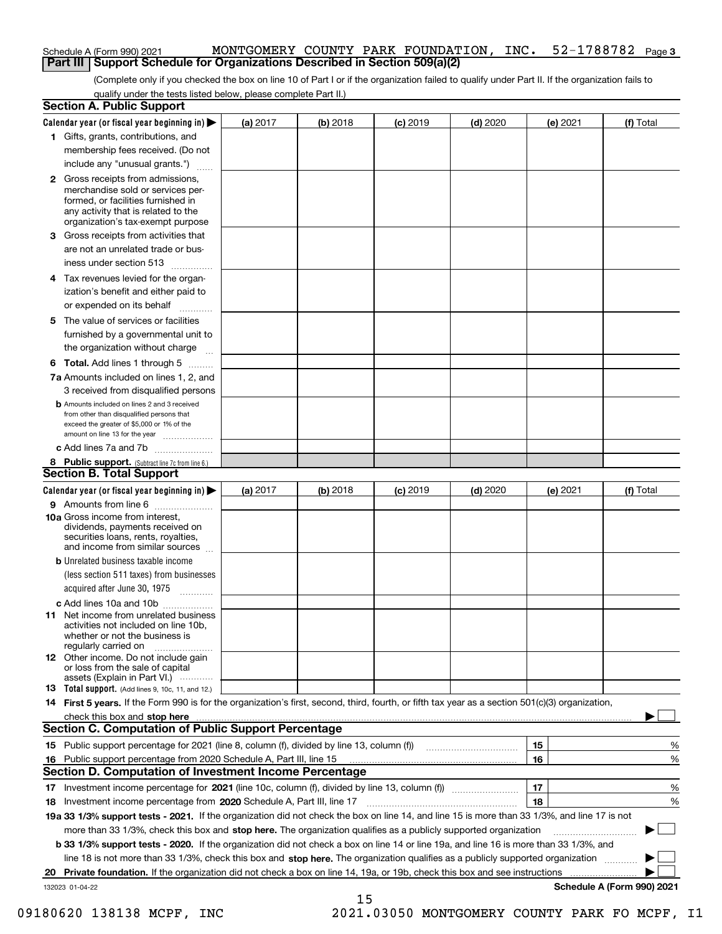| Schedule A (Form 990) 2021 |  |                                                                                   |  | MONTGOMERY COUNTY PARK FOUNDATION, INC. 52-1788782 Page 3 |  |  |
|----------------------------|--|-----------------------------------------------------------------------------------|--|-----------------------------------------------------------|--|--|
|                            |  | <b>Part III Support Schedule for Organizations Described in Section 509(a)(2)</b> |  |                                                           |  |  |

(Complete only if you checked the box on line 10 of Part I or if the organization failed to qualify under Part II. If the organization fails to qualify under the tests listed below, please complete Part II.)

| <b>Section A. Public Support</b>                                                                                                                                              |          |          |                 |            |          |                            |
|-------------------------------------------------------------------------------------------------------------------------------------------------------------------------------|----------|----------|-----------------|------------|----------|----------------------------|
| Calendar year (or fiscal year beginning in) $\blacktriangleright$                                                                                                             | (a) 2017 | (b) 2018 | <b>(c)</b> 2019 | $(d)$ 2020 | (e) 2021 | (f) Total                  |
| 1 Gifts, grants, contributions, and                                                                                                                                           |          |          |                 |            |          |                            |
| membership fees received. (Do not                                                                                                                                             |          |          |                 |            |          |                            |
| include any "unusual grants.")                                                                                                                                                |          |          |                 |            |          |                            |
| <b>2</b> Gross receipts from admissions,                                                                                                                                      |          |          |                 |            |          |                            |
| merchandise sold or services per-<br>formed, or facilities furnished in                                                                                                       |          |          |                 |            |          |                            |
| any activity that is related to the                                                                                                                                           |          |          |                 |            |          |                            |
| organization's tax-exempt purpose                                                                                                                                             |          |          |                 |            |          |                            |
| 3 Gross receipts from activities that                                                                                                                                         |          |          |                 |            |          |                            |
| are not an unrelated trade or bus-                                                                                                                                            |          |          |                 |            |          |                            |
| iness under section 513                                                                                                                                                       |          |          |                 |            |          |                            |
| 4 Tax revenues levied for the organ-                                                                                                                                          |          |          |                 |            |          |                            |
| ization's benefit and either paid to                                                                                                                                          |          |          |                 |            |          |                            |
| or expended on its behalf<br>.                                                                                                                                                |          |          |                 |            |          |                            |
| 5 The value of services or facilities                                                                                                                                         |          |          |                 |            |          |                            |
| furnished by a governmental unit to                                                                                                                                           |          |          |                 |            |          |                            |
| the organization without charge                                                                                                                                               |          |          |                 |            |          |                            |
| <b>6 Total.</b> Add lines 1 through 5                                                                                                                                         |          |          |                 |            |          |                            |
| 7a Amounts included on lines 1, 2, and                                                                                                                                        |          |          |                 |            |          |                            |
| 3 received from disqualified persons                                                                                                                                          |          |          |                 |            |          |                            |
| <b>b</b> Amounts included on lines 2 and 3 received                                                                                                                           |          |          |                 |            |          |                            |
| from other than disqualified persons that                                                                                                                                     |          |          |                 |            |          |                            |
| exceed the greater of \$5,000 or 1% of the<br>amount on line 13 for the year                                                                                                  |          |          |                 |            |          |                            |
| c Add lines 7a and 7b                                                                                                                                                         |          |          |                 |            |          |                            |
| 8 Public support. (Subtract line 7c from line 6.)                                                                                                                             |          |          |                 |            |          |                            |
| <b>Section B. Total Support</b>                                                                                                                                               |          |          |                 |            |          |                            |
| Calendar year (or fiscal year beginning in)                                                                                                                                   | (a) 2017 | (b) 2018 | $(c)$ 2019      | $(d)$ 2020 | (e) 2021 | (f) Total                  |
| 9 Amounts from line 6                                                                                                                                                         |          |          |                 |            |          |                            |
| 10a Gross income from interest,                                                                                                                                               |          |          |                 |            |          |                            |
| dividends, payments received on                                                                                                                                               |          |          |                 |            |          |                            |
| securities loans, rents, royalties,<br>and income from similar sources                                                                                                        |          |          |                 |            |          |                            |
| <b>b</b> Unrelated business taxable income                                                                                                                                    |          |          |                 |            |          |                            |
| (less section 511 taxes) from businesses                                                                                                                                      |          |          |                 |            |          |                            |
| acquired after June 30, 1975                                                                                                                                                  |          |          |                 |            |          |                            |
| c Add lines 10a and 10b                                                                                                                                                       |          |          |                 |            |          |                            |
| 11 Net income from unrelated business                                                                                                                                         |          |          |                 |            |          |                            |
| activities not included on line 10b,                                                                                                                                          |          |          |                 |            |          |                            |
| whether or not the business is                                                                                                                                                |          |          |                 |            |          |                            |
| regularly carried on<br><b>12</b> Other income. Do not include gain                                                                                                           |          |          |                 |            |          |                            |
| or loss from the sale of capital                                                                                                                                              |          |          |                 |            |          |                            |
| assets (Explain in Part VI.)                                                                                                                                                  |          |          |                 |            |          |                            |
| 13 Total support. (Add lines 9, 10c, 11, and 12.)                                                                                                                             |          |          |                 |            |          |                            |
| 14 First 5 years. If the Form 990 is for the organization's first, second, third, fourth, or fifth tax year as a section 501(c)(3) organization,                              |          |          |                 |            |          |                            |
| check this box and stop here measurements are constructed as the state of the state of the state of the state o<br><b>Section C. Computation of Public Support Percentage</b> |          |          |                 |            |          |                            |
| 15 Public support percentage for 2021 (line 8, column (f), divided by line 13, column (f))                                                                                    |          |          |                 |            |          |                            |
|                                                                                                                                                                               |          |          |                 |            | 15<br>16 | %<br>%                     |
| 16 Public support percentage from 2020 Schedule A, Part III, line 15<br><b>Section D. Computation of Investment Income Percentage</b>                                         |          |          |                 |            |          |                            |
| 17 Investment income percentage for 2021 (line 10c, column (f), divided by line 13, column (f))                                                                               |          |          |                 |            | 17       | %                          |
| 18 Investment income percentage from 2020 Schedule A, Part III, line 17                                                                                                       |          |          |                 |            | 18       | %                          |
| 19a 33 1/3% support tests - 2021. If the organization did not check the box on line 14, and line 15 is more than 33 1/3%, and line 17 is not                                  |          |          |                 |            |          |                            |
| more than 33 1/3%, check this box and stop here. The organization qualifies as a publicly supported organization                                                              |          |          |                 |            |          |                            |
| b 33 1/3% support tests - 2020. If the organization did not check a box on line 14 or line 19a, and line 16 is more than 33 1/3%, and                                         |          |          |                 |            |          |                            |
| line 18 is not more than 33 1/3%, check this box and stop here. The organization qualifies as a publicly supported organization                                               |          |          |                 |            |          |                            |
| 20 Private foundation. If the organization did not check a box on line 14, 19a, or 19b, check this box and see instructions                                                   |          |          |                 |            |          |                            |
| 132023 01-04-22                                                                                                                                                               |          |          |                 |            |          | Schedule A (Form 990) 2021 |
|                                                                                                                                                                               |          |          |                 |            |          |                            |

15

09180620 138138 MCPF, INC 2021.03050 MONTGOMERY COUNTY PARK FO MCPF, I1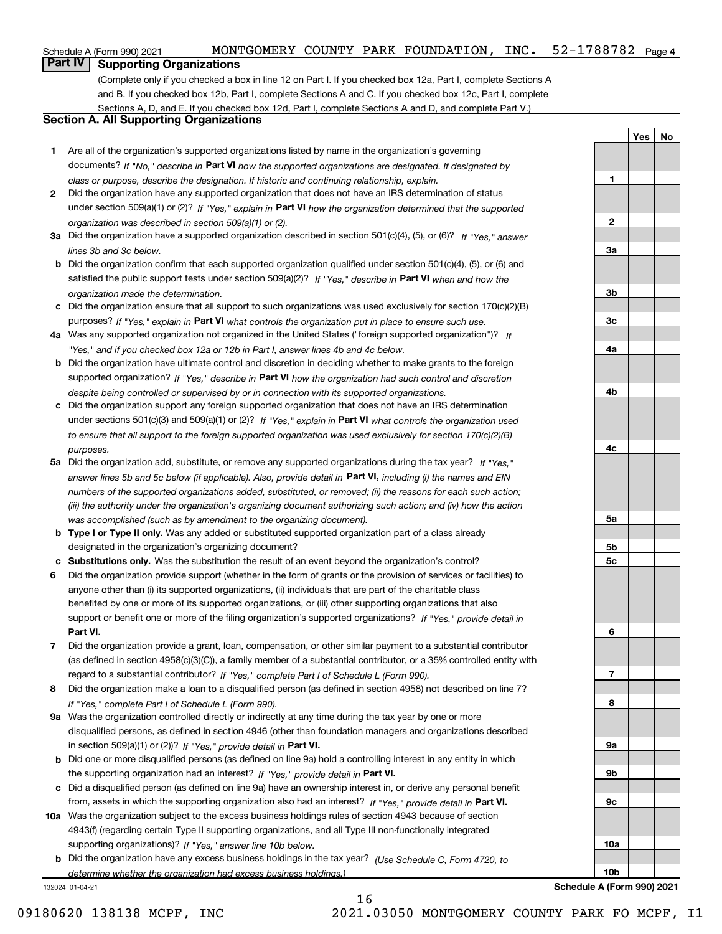# **Part IV Supporting Organizations**

(Complete only if you checked a box in line 12 on Part I. If you checked box 12a, Part I, complete Sections A and B. If you checked box 12b, Part I, complete Sections A and C. If you checked box 12c, Part I, complete Sections A, D, and E. If you checked box 12d, Part I, complete Sections A and D, and complete Part V.)

### **Section A. All Supporting Organizations**

- **1** Are all of the organization's supported organizations listed by name in the organization's governing documents? If "No," describe in **Part VI** how the supported organizations are designated. If designated by *class or purpose, describe the designation. If historic and continuing relationship, explain.*
- **2** Did the organization have any supported organization that does not have an IRS determination of status under section 509(a)(1) or (2)? If "Yes," explain in Part VI how the organization determined that the supported *organization was described in section 509(a)(1) or (2).*
- **3a** Did the organization have a supported organization described in section 501(c)(4), (5), or (6)? If "Yes," answer *lines 3b and 3c below.*
- **b** Did the organization confirm that each supported organization qualified under section 501(c)(4), (5), or (6) and satisfied the public support tests under section 509(a)(2)? If "Yes," describe in **Part VI** when and how the *organization made the determination.*
- **c**Did the organization ensure that all support to such organizations was used exclusively for section 170(c)(2)(B) purposes? If "Yes," explain in **Part VI** what controls the organization put in place to ensure such use.
- **4a***If* Was any supported organization not organized in the United States ("foreign supported organization")? *"Yes," and if you checked box 12a or 12b in Part I, answer lines 4b and 4c below.*
- **b** Did the organization have ultimate control and discretion in deciding whether to make grants to the foreign supported organization? If "Yes," describe in **Part VI** how the organization had such control and discretion *despite being controlled or supervised by or in connection with its supported organizations.*
- **c** Did the organization support any foreign supported organization that does not have an IRS determination under sections 501(c)(3) and 509(a)(1) or (2)? If "Yes," explain in **Part VI** what controls the organization used *to ensure that all support to the foreign supported organization was used exclusively for section 170(c)(2)(B) purposes.*
- **5a** Did the organization add, substitute, or remove any supported organizations during the tax year? If "Yes," answer lines 5b and 5c below (if applicable). Also, provide detail in **Part VI,** including (i) the names and EIN *numbers of the supported organizations added, substituted, or removed; (ii) the reasons for each such action; (iii) the authority under the organization's organizing document authorizing such action; and (iv) how the action was accomplished (such as by amendment to the organizing document).*
- **b** Type I or Type II only. Was any added or substituted supported organization part of a class already designated in the organization's organizing document?
- **cSubstitutions only.**  Was the substitution the result of an event beyond the organization's control?
- **6** Did the organization provide support (whether in the form of grants or the provision of services or facilities) to **Part VI.** *If "Yes," provide detail in* support or benefit one or more of the filing organization's supported organizations? anyone other than (i) its supported organizations, (ii) individuals that are part of the charitable class benefited by one or more of its supported organizations, or (iii) other supporting organizations that also
- **7**Did the organization provide a grant, loan, compensation, or other similar payment to a substantial contributor *If "Yes," complete Part I of Schedule L (Form 990).* regard to a substantial contributor? (as defined in section 4958(c)(3)(C)), a family member of a substantial contributor, or a 35% controlled entity with
- **8** Did the organization make a loan to a disqualified person (as defined in section 4958) not described on line 7? *If "Yes," complete Part I of Schedule L (Form 990).*
- **9a** Was the organization controlled directly or indirectly at any time during the tax year by one or more in section 509(a)(1) or (2))? If "Yes," *provide detail in* <code>Part VI.</code> disqualified persons, as defined in section 4946 (other than foundation managers and organizations described
- **b** Did one or more disqualified persons (as defined on line 9a) hold a controlling interest in any entity in which the supporting organization had an interest? If "Yes," provide detail in P**art VI**.
- **c**Did a disqualified person (as defined on line 9a) have an ownership interest in, or derive any personal benefit from, assets in which the supporting organization also had an interest? If "Yes," provide detail in P**art VI.**
- **10a** Was the organization subject to the excess business holdings rules of section 4943 because of section supporting organizations)? If "Yes," answer line 10b below. 4943(f) (regarding certain Type II supporting organizations, and all Type III non-functionally integrated
- **b** Did the organization have any excess business holdings in the tax year? (Use Schedule C, Form 4720, to *determine whether the organization had excess business holdings.)*

16

132024 01-04-21

**10bSchedule A (Form 990) 2021**

**YesNo**

**1**

**2**

**3a**

**3b**

**3c**

**4a**

**4b**

**4c**

**5a**

**5b5c**

**6**

**7**

**8**

**9a**

**9b**

**9c**

**10a**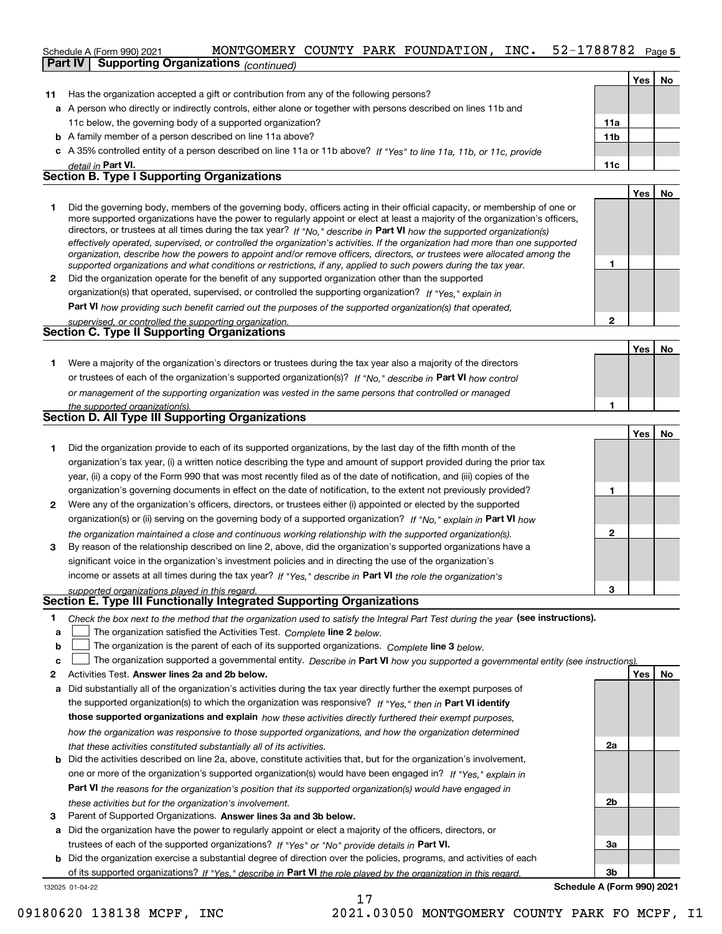### 52-1788782 Page 5 Schedule A (Form 990) 2021  ${\rm MONTGOMETRY}$   ${\rm COUNTY}$   ${\rm PARK}$   ${\rm FOUNDATION}$ ,  ${\rm INC.}$   ${\rm 52-1788782}$   ${\rm Page}$ **Part IV Supporting Organizations** *(continued)*

|    |                                                                                                                         |                 | Yes   | No. |
|----|-------------------------------------------------------------------------------------------------------------------------|-----------------|-------|-----|
| 11 | Has the organization accepted a gift or contribution from any of the following persons?                                 |                 |       |     |
|    | a A person who directly or indirectly controls, either alone or together with persons described on lines 11b and        |                 |       |     |
|    | 11c below, the governing body of a supported organization?                                                              | 11a             |       |     |
|    | <b>b</b> A family member of a person described on line 11a above?                                                       | 11 <sub>b</sub> |       |     |
|    | c A 35% controlled entity of a person described on line 11a or 11b above? If "Yes" to line 11a, 11b, or 11c, provide    |                 |       |     |
|    | detail in Part VI.                                                                                                      | 11c             |       |     |
|    | <b>Section B. Type I Supporting Organizations</b>                                                                       |                 |       |     |
|    |                                                                                                                         |                 | Yes l | No  |
|    | Did the governing body members of the governing body officers acting in their official canacity or membership of one or |                 |       |     |

|   | Did the governing body, members of the governing body, officers acting in their official capacity, or membership of one or<br>more supported organizations have the power to regularly appoint or elect at least a majority of the organization's officers,<br>directors, or trustees at all times during the tax year? If "No," describe in Part VI how the supported organization(s)<br>effectively operated, supervised, or controlled the organization's activities. If the organization had more than one supported<br>organization, describe how the powers to appoint and/or remove officers, directors, or trustees were allocated among the |  |  |
|---|------------------------------------------------------------------------------------------------------------------------------------------------------------------------------------------------------------------------------------------------------------------------------------------------------------------------------------------------------------------------------------------------------------------------------------------------------------------------------------------------------------------------------------------------------------------------------------------------------------------------------------------------------|--|--|
|   | supported organizations and what conditions or restrictions, if any, applied to such powers during the tax year.                                                                                                                                                                                                                                                                                                                                                                                                                                                                                                                                     |  |  |
| 2 | Did the organization operate for the benefit of any supported organization other than the supported                                                                                                                                                                                                                                                                                                                                                                                                                                                                                                                                                  |  |  |
|   | organization(s) that operated, supervised, or controlled the supporting organization? If "Yes," explain in                                                                                                                                                                                                                                                                                                                                                                                                                                                                                                                                           |  |  |
|   | Doubled $M$ is a second second interest of the second second second second second second second second second second second second second second second second second second second second second second second second second                                                                                                                                                                                                                                                                                                                                                                                                                        |  |  |

**Part VI**  *how providing such benefit carried out the purposes of the supported organization(s) that operated,*

| supervised, or controlled the supporting organization. |  |
|--------------------------------------------------------|--|
| <b>Section C. Type II Supporting Organizations</b>     |  |
|                                                        |  |

**Yes No 1**or trustees of each of the organization's supported organization(s)? If "No," describe in **Part VI** how control **1***or management of the supporting organization was vested in the same persons that controlled or managed the supported organization(s).* Were a majority of the organization's directors or trustees during the tax year also a majority of the directors

|   | Section D. All Type III Supporting Organizations                                                                       |  |  |  |  |  |  |  |  |
|---|------------------------------------------------------------------------------------------------------------------------|--|--|--|--|--|--|--|--|
|   | Did the organization provide to each of its supported organizations, by the last day of the fifth month of the         |  |  |  |  |  |  |  |  |
|   | organization's tax year, (i) a written notice describing the type and amount of support provided during the prior tax  |  |  |  |  |  |  |  |  |
|   | year, (ii) a copy of the Form 990 that was most recently filed as of the date of notification, and (iii) copies of the |  |  |  |  |  |  |  |  |
|   | organization's governing documents in effect on the date of notification, to the extent not previously provided?       |  |  |  |  |  |  |  |  |
| 2 | Were any of the organization's officers, directors, or trustees either (i) appointed or elected by the supported       |  |  |  |  |  |  |  |  |
|   | organization(s) or (ii) serving on the governing body of a supported organization? If "No," explain in Part VI how     |  |  |  |  |  |  |  |  |
|   | the organization maintained a close and continuous working relationship with the supported organization(s).            |  |  |  |  |  |  |  |  |

| 3 By reason of the relationship described on line 2, above, did the organization's supported organizations have a |
|-------------------------------------------------------------------------------------------------------------------|
| significant voice in the organization's investment policies and in directing the use of the organization's        |
| income or assets at all times during the tax year? If "Yes," describe in Part VI the role the organization's      |

*supported organizations played in this regard.*

### **Section E. Type III Functionally Integrated Supporting Organizations**

|  | Check the box next to the method that the organization used to satisfy the Integral Part Test during the year (see instructions). |  |  |  |
|--|-----------------------------------------------------------------------------------------------------------------------------------|--|--|--|
|--|-----------------------------------------------------------------------------------------------------------------------------------|--|--|--|

- **a**The organization satisfied the Activities Test. *Complete* line 2 below.  $\mathcal{L}^{\text{max}}$
- **b**The organization is the parent of each of its supported organizations. *Complete* line 3 *below.*  $\mathcal{L}^{\text{max}}$

|  |  | c $\Box$ The organization supported a governmental entity. Describe in Part VI how you supported a governmental entity (see instructions). |  |  |  |  |  |  |  |
|--|--|--------------------------------------------------------------------------------------------------------------------------------------------|--|--|--|--|--|--|--|
|--|--|--------------------------------------------------------------------------------------------------------------------------------------------|--|--|--|--|--|--|--|

- **2Answer lines 2a and 2b below. Yes No** Activities Test.
- **a** Did substantially all of the organization's activities during the tax year directly further the exempt purposes of the supported organization(s) to which the organization was responsive? If "Yes," then in **Part VI identify those supported organizations and explain**  *how these activities directly furthered their exempt purposes, how the organization was responsive to those supported organizations, and how the organization determined that these activities constituted substantially all of its activities.*
- **b** Did the activities described on line 2a, above, constitute activities that, but for the organization's involvement, **Part VI**  *the reasons for the organization's position that its supported organization(s) would have engaged in* one or more of the organization's supported organization(s) would have been engaged in? If "Yes," e*xplain in these activities but for the organization's involvement.*
- **3**Parent of Supported Organizations. Answer lines 3a and 3b below.

**a** Did the organization have the power to regularly appoint or elect a majority of the officers, directors, or trustees of each of the supported organizations? If "Yes" or "No" provide details in **Part VI.** 

132025 01-04-22 **b** Did the organization exercise a substantial degree of direction over the policies, programs, and activities of each of its supported organizations? If "Yes," describe in Part VI the role played by the organization in this regard.

**2a 2b3a3b**

**2**

**1**

**2**

**3**

**YesNo**

**Schedule A (Form 990) 2021**

09180620 138138 MCPF, INC 2021.03050 MONTGOMERY COUNTY PARK FO MCPF, I1

17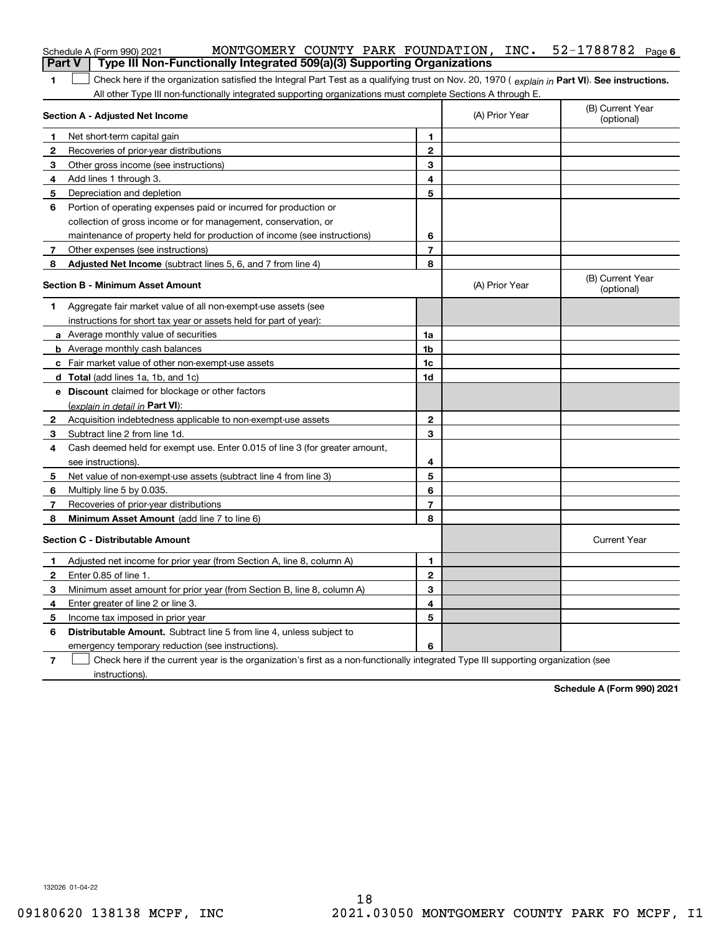|                | MONTGOMERY COUNTY PARK FOUNDATION, INC.<br>Schedule A (Form 990) 2021                                                                          |                          |                | $52 - 1788782$ Page 6          |
|----------------|------------------------------------------------------------------------------------------------------------------------------------------------|--------------------------|----------------|--------------------------------|
| <b>Part V</b>  | Type III Non-Functionally Integrated 509(a)(3) Supporting Organizations                                                                        |                          |                |                                |
| 1              | Check here if the organization satisfied the Integral Part Test as a qualifying trust on Nov. 20, 1970 (explain in Part VI). See instructions. |                          |                |                                |
|                | All other Type III non-functionally integrated supporting organizations must complete Sections A through E.<br>Section A - Adjusted Net Income |                          | (A) Prior Year | (B) Current Year<br>(optional) |
| 1              | Net short-term capital gain                                                                                                                    | 1                        |                |                                |
| 2              | Recoveries of prior-year distributions                                                                                                         | $\overline{2}$           |                |                                |
| 3              | Other gross income (see instructions)                                                                                                          | 3                        |                |                                |
| 4              | Add lines 1 through 3.                                                                                                                         | 4                        |                |                                |
| 5              | Depreciation and depletion                                                                                                                     | 5                        |                |                                |
| 6              | Portion of operating expenses paid or incurred for production or                                                                               |                          |                |                                |
|                | collection of gross income or for management, conservation, or                                                                                 |                          |                |                                |
|                | maintenance of property held for production of income (see instructions)                                                                       | 6                        |                |                                |
| $\mathbf{7}$   | Other expenses (see instructions)                                                                                                              | 7                        |                |                                |
| 8              | Adjusted Net Income (subtract lines 5, 6, and 7 from line 4)                                                                                   | 8                        |                |                                |
|                |                                                                                                                                                |                          |                | (B) Current Year               |
|                | <b>Section B - Minimum Asset Amount</b>                                                                                                        |                          | (A) Prior Year | (optional)                     |
| 1              | Aggregate fair market value of all non-exempt-use assets (see                                                                                  |                          |                |                                |
|                | instructions for short tax year or assets held for part of year):                                                                              |                          |                |                                |
|                | a Average monthly value of securities                                                                                                          | 1a                       |                |                                |
|                | <b>b</b> Average monthly cash balances                                                                                                         | 1b                       |                |                                |
|                | c Fair market value of other non-exempt-use assets                                                                                             | 1c                       |                |                                |
|                | <b>d</b> Total (add lines 1a, 1b, and 1c)                                                                                                      | 1d                       |                |                                |
|                | e Discount claimed for blockage or other factors                                                                                               |                          |                |                                |
|                | (explain in detail in Part VI):                                                                                                                |                          |                |                                |
| 2              | Acquisition indebtedness applicable to non-exempt-use assets                                                                                   | $\mathbf{2}$             |                |                                |
| 3.             | Subtract line 2 from line 1d.                                                                                                                  | 3                        |                |                                |
| 4              | Cash deemed held for exempt use. Enter 0.015 of line 3 (for greater amount,                                                                    |                          |                |                                |
|                | see instructions).                                                                                                                             | 4                        |                |                                |
| 5              | Net value of non-exempt-use assets (subtract line 4 from line 3)                                                                               | 5                        |                |                                |
| 6              | Multiply line 5 by 0.035.                                                                                                                      | 6                        |                |                                |
| 7              | Recoveries of prior-year distributions                                                                                                         | $\overline{\phantom{a}}$ |                |                                |
| 8              | Minimum Asset Amount (add line 7 to line 6)                                                                                                    | 8                        |                |                                |
|                | <b>Section C - Distributable Amount</b>                                                                                                        |                          |                | <b>Current Year</b>            |
|                | Adjusted net income for prior year (from Section A, line 8, column A)                                                                          | 1                        |                |                                |
| 2              | Enter 0.85 of line 1.                                                                                                                          | 2                        |                |                                |
| 3.             | Minimum asset amount for prior year (from Section B, line 8, column A)                                                                         | 3                        |                |                                |
| 4              | Enter greater of line 2 or line 3.                                                                                                             | 4                        |                |                                |
| 5              | Income tax imposed in prior year                                                                                                               | 5                        |                |                                |
| 6              | <b>Distributable Amount.</b> Subtract line 5 from line 4, unless subject to                                                                    |                          |                |                                |
|                | emergency temporary reduction (see instructions).                                                                                              | 6                        |                |                                |
| $\overline{7}$ | Check here if the current year is the organization's first as a non-functionally integrated Type III supporting organization (see              |                          |                |                                |

instructions).

**Schedule A (Form 990) 2021**

132026 01-04-22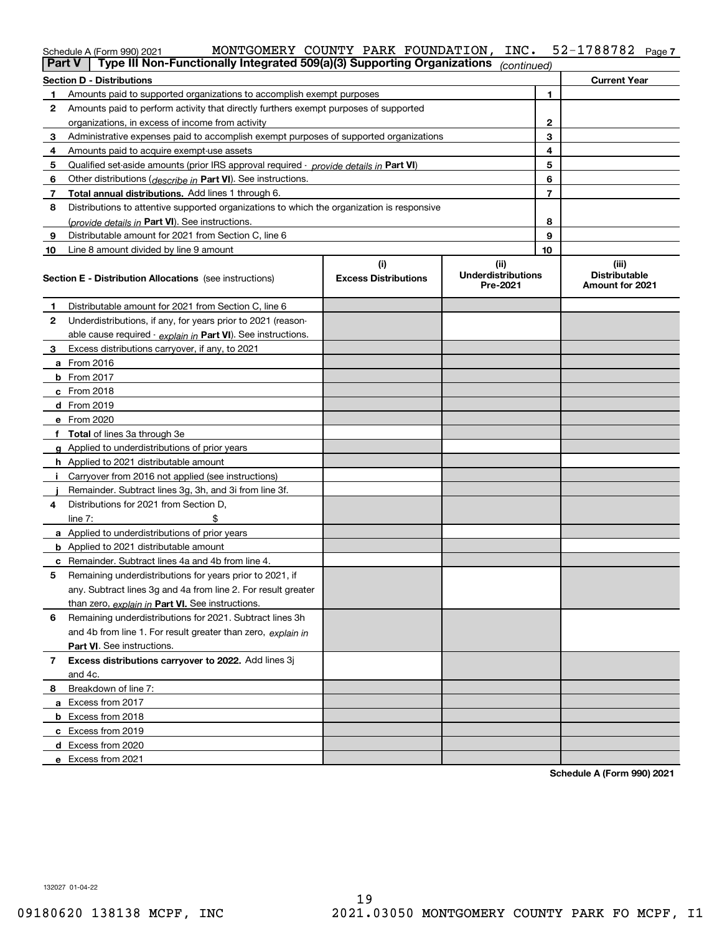| $202 -$ |  |  |  | MONTGOMERY COUNTY PARK FOUNDATION, INC. 52-1788782 Page |  |
|---------|--|--|--|---------------------------------------------------------|--|
|         |  |  |  |                                                         |  |

|                                  | Schedule A (Form 990) 2021                                                                              | MONTGOMERY COUNTY PARK FOUNDATION, | INC.                                          |              | 52-1788782<br>Page 7                             |  |  |  |  |  |
|----------------------------------|---------------------------------------------------------------------------------------------------------|------------------------------------|-----------------------------------------------|--------------|--------------------------------------------------|--|--|--|--|--|
|                                  | Type III Non-Functionally Integrated 509(a)(3) Supporting Organizations<br><b>Part V</b><br>(continued) |                                    |                                               |              |                                                  |  |  |  |  |  |
| <b>Section D - Distributions</b> | <b>Current Year</b>                                                                                     |                                    |                                               |              |                                                  |  |  |  |  |  |
| 1                                | Amounts paid to supported organizations to accomplish exempt purposes                                   |                                    |                                               | 1            |                                                  |  |  |  |  |  |
| 2                                | Amounts paid to perform activity that directly furthers exempt purposes of supported                    |                                    |                                               |              |                                                  |  |  |  |  |  |
|                                  | organizations, in excess of income from activity                                                        |                                    |                                               | $\mathbf{2}$ |                                                  |  |  |  |  |  |
| 3                                | Administrative expenses paid to accomplish exempt purposes of supported organizations                   |                                    |                                               | 3            |                                                  |  |  |  |  |  |
| 4                                | Amounts paid to acquire exempt-use assets                                                               |                                    |                                               | 4            |                                                  |  |  |  |  |  |
| 5                                | Qualified set-aside amounts (prior IRS approval required - provide details in Part VI)                  |                                    |                                               | 5            |                                                  |  |  |  |  |  |
| 6                                | Other distributions ( <i>describe in</i> Part VI). See instructions.                                    |                                    |                                               | 6            |                                                  |  |  |  |  |  |
| 7                                | Total annual distributions. Add lines 1 through 6.                                                      |                                    |                                               | 7            |                                                  |  |  |  |  |  |
| 8                                | Distributions to attentive supported organizations to which the organization is responsive              |                                    |                                               |              |                                                  |  |  |  |  |  |
|                                  | (provide details in Part VI). See instructions.                                                         |                                    |                                               | 8            |                                                  |  |  |  |  |  |
| 9                                | Distributable amount for 2021 from Section C, line 6                                                    |                                    |                                               | 9            |                                                  |  |  |  |  |  |
| 10                               | Line 8 amount divided by line 9 amount                                                                  |                                    |                                               | 10           |                                                  |  |  |  |  |  |
|                                  | <b>Section E - Distribution Allocations</b> (see instructions)                                          | (i)<br><b>Excess Distributions</b> | (ii)<br><b>Underdistributions</b><br>Pre-2021 |              | (iii)<br><b>Distributable</b><br>Amount for 2021 |  |  |  |  |  |
| 1                                | Distributable amount for 2021 from Section C, line 6                                                    |                                    |                                               |              |                                                  |  |  |  |  |  |
| 2                                | Underdistributions, if any, for years prior to 2021 (reason-                                            |                                    |                                               |              |                                                  |  |  |  |  |  |
|                                  | able cause required - explain in Part VI). See instructions.                                            |                                    |                                               |              |                                                  |  |  |  |  |  |
| 3                                | Excess distributions carryover, if any, to 2021                                                         |                                    |                                               |              |                                                  |  |  |  |  |  |
|                                  | a From 2016                                                                                             |                                    |                                               |              |                                                  |  |  |  |  |  |
|                                  | <b>b</b> From 2017                                                                                      |                                    |                                               |              |                                                  |  |  |  |  |  |
|                                  | c From 2018                                                                                             |                                    |                                               |              |                                                  |  |  |  |  |  |
|                                  | d From 2019                                                                                             |                                    |                                               |              |                                                  |  |  |  |  |  |
|                                  | e From 2020                                                                                             |                                    |                                               |              |                                                  |  |  |  |  |  |
|                                  | f Total of lines 3a through 3e                                                                          |                                    |                                               |              |                                                  |  |  |  |  |  |
|                                  | g Applied to underdistributions of prior years                                                          |                                    |                                               |              |                                                  |  |  |  |  |  |
|                                  | <b>h</b> Applied to 2021 distributable amount                                                           |                                    |                                               |              |                                                  |  |  |  |  |  |
| Ť.                               | Carryover from 2016 not applied (see instructions)                                                      |                                    |                                               |              |                                                  |  |  |  |  |  |
|                                  | Remainder. Subtract lines 3g, 3h, and 3i from line 3f.                                                  |                                    |                                               |              |                                                  |  |  |  |  |  |
| 4                                | Distributions for 2021 from Section D,                                                                  |                                    |                                               |              |                                                  |  |  |  |  |  |
|                                  | line $7:$                                                                                               |                                    |                                               |              |                                                  |  |  |  |  |  |
|                                  | a Applied to underdistributions of prior years                                                          |                                    |                                               |              |                                                  |  |  |  |  |  |
|                                  | <b>b</b> Applied to 2021 distributable amount                                                           |                                    |                                               |              |                                                  |  |  |  |  |  |
|                                  | c Remainder. Subtract lines 4a and 4b from line 4.                                                      |                                    |                                               |              |                                                  |  |  |  |  |  |
|                                  | 5 Remaining underdistributions for years prior to 2021, if                                              |                                    |                                               |              |                                                  |  |  |  |  |  |
|                                  | any. Subtract lines 3g and 4a from line 2. For result greater                                           |                                    |                                               |              |                                                  |  |  |  |  |  |
|                                  | than zero, explain in Part VI. See instructions.                                                        |                                    |                                               |              |                                                  |  |  |  |  |  |
| 6                                | Remaining underdistributions for 2021. Subtract lines 3h                                                |                                    |                                               |              |                                                  |  |  |  |  |  |
|                                  | and 4b from line 1. For result greater than zero, explain in                                            |                                    |                                               |              |                                                  |  |  |  |  |  |
|                                  | <b>Part VI.</b> See instructions.                                                                       |                                    |                                               |              |                                                  |  |  |  |  |  |
| 7                                | Excess distributions carryover to 2022. Add lines 3j                                                    |                                    |                                               |              |                                                  |  |  |  |  |  |
|                                  | and 4c.                                                                                                 |                                    |                                               |              |                                                  |  |  |  |  |  |
| 8                                | Breakdown of line 7:                                                                                    |                                    |                                               |              |                                                  |  |  |  |  |  |
|                                  | a Excess from 2017                                                                                      |                                    |                                               |              |                                                  |  |  |  |  |  |
|                                  | <b>b</b> Excess from 2018                                                                               |                                    |                                               |              |                                                  |  |  |  |  |  |
|                                  | c Excess from 2019                                                                                      |                                    |                                               |              |                                                  |  |  |  |  |  |
|                                  | d Excess from 2020                                                                                      |                                    |                                               |              |                                                  |  |  |  |  |  |
|                                  | e Excess from 2021                                                                                      |                                    |                                               |              |                                                  |  |  |  |  |  |
|                                  |                                                                                                         |                                    |                                               |              |                                                  |  |  |  |  |  |

**Schedule A (Form 990) 2021**

132027 01-04-22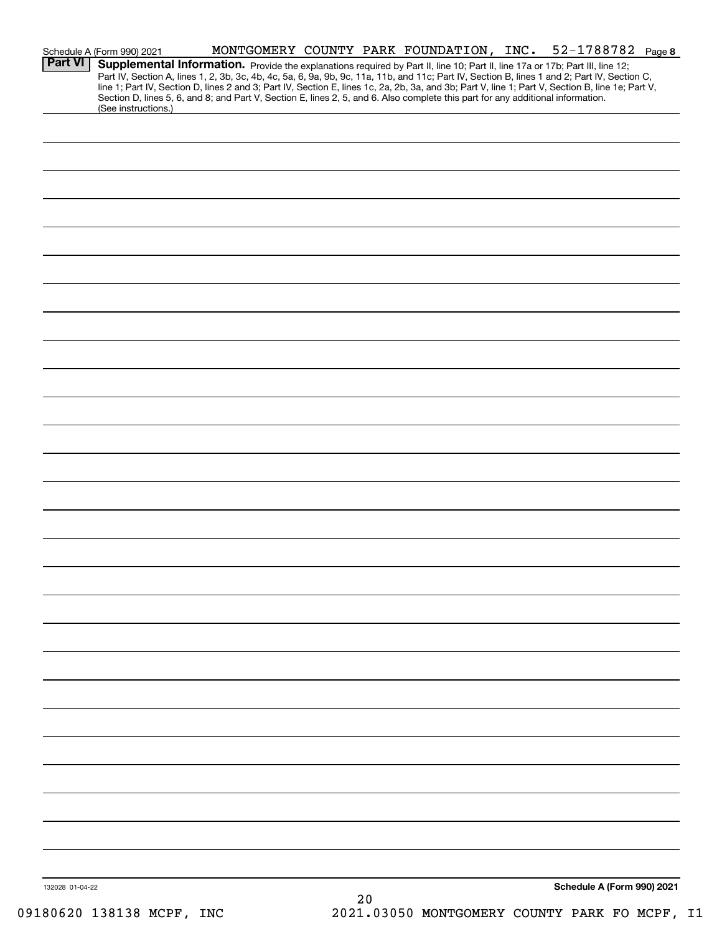|                 | Schedule A (Form 990) 2021                                                                                                                                                                                                                                                              |  |      |  | MONTGOMERY COUNTY PARK FOUNDATION, INC. 52-1788782 Page 8                                                                                                                                                                                                                                        |
|-----------------|-----------------------------------------------------------------------------------------------------------------------------------------------------------------------------------------------------------------------------------------------------------------------------------------|--|------|--|--------------------------------------------------------------------------------------------------------------------------------------------------------------------------------------------------------------------------------------------------------------------------------------------------|
| <b>Part VI</b>  | Supplemental Information. Provide the explanations required by Part II, line 10; Part II, line 17a or 17b; Part III, line 12;<br>Section D, lines 5, 6, and 8; and Part V, Section E, lines 2, 5, and 6. Also complete this part for any additional information.<br>(See instructions.) |  |      |  | Part IV, Section A, lines 1, 2, 3b, 3c, 4b, 4c, 5a, 6, 9a, 9b, 9c, 11a, 11b, and 11c; Part IV, Section B, lines 1 and 2; Part IV, Section C,<br>line 1; Part IV, Section D, lines 2 and 3; Part IV, Section E, lines 1c, 2a, 2b, 3a, and 3b; Part V, line 1; Part V, Section B, line 1e; Part V, |
|                 |                                                                                                                                                                                                                                                                                         |  |      |  |                                                                                                                                                                                                                                                                                                  |
|                 |                                                                                                                                                                                                                                                                                         |  |      |  |                                                                                                                                                                                                                                                                                                  |
|                 |                                                                                                                                                                                                                                                                                         |  |      |  |                                                                                                                                                                                                                                                                                                  |
|                 |                                                                                                                                                                                                                                                                                         |  |      |  |                                                                                                                                                                                                                                                                                                  |
|                 |                                                                                                                                                                                                                                                                                         |  |      |  |                                                                                                                                                                                                                                                                                                  |
|                 |                                                                                                                                                                                                                                                                                         |  |      |  |                                                                                                                                                                                                                                                                                                  |
|                 |                                                                                                                                                                                                                                                                                         |  |      |  |                                                                                                                                                                                                                                                                                                  |
|                 |                                                                                                                                                                                                                                                                                         |  |      |  |                                                                                                                                                                                                                                                                                                  |
|                 |                                                                                                                                                                                                                                                                                         |  |      |  |                                                                                                                                                                                                                                                                                                  |
|                 |                                                                                                                                                                                                                                                                                         |  |      |  |                                                                                                                                                                                                                                                                                                  |
|                 |                                                                                                                                                                                                                                                                                         |  |      |  |                                                                                                                                                                                                                                                                                                  |
|                 |                                                                                                                                                                                                                                                                                         |  |      |  |                                                                                                                                                                                                                                                                                                  |
|                 |                                                                                                                                                                                                                                                                                         |  |      |  |                                                                                                                                                                                                                                                                                                  |
|                 |                                                                                                                                                                                                                                                                                         |  |      |  |                                                                                                                                                                                                                                                                                                  |
|                 |                                                                                                                                                                                                                                                                                         |  |      |  |                                                                                                                                                                                                                                                                                                  |
|                 |                                                                                                                                                                                                                                                                                         |  |      |  |                                                                                                                                                                                                                                                                                                  |
|                 |                                                                                                                                                                                                                                                                                         |  |      |  |                                                                                                                                                                                                                                                                                                  |
|                 |                                                                                                                                                                                                                                                                                         |  |      |  |                                                                                                                                                                                                                                                                                                  |
|                 |                                                                                                                                                                                                                                                                                         |  |      |  |                                                                                                                                                                                                                                                                                                  |
|                 |                                                                                                                                                                                                                                                                                         |  |      |  |                                                                                                                                                                                                                                                                                                  |
|                 |                                                                                                                                                                                                                                                                                         |  |      |  |                                                                                                                                                                                                                                                                                                  |
|                 |                                                                                                                                                                                                                                                                                         |  |      |  |                                                                                                                                                                                                                                                                                                  |
|                 |                                                                                                                                                                                                                                                                                         |  |      |  |                                                                                                                                                                                                                                                                                                  |
|                 |                                                                                                                                                                                                                                                                                         |  |      |  |                                                                                                                                                                                                                                                                                                  |
|                 |                                                                                                                                                                                                                                                                                         |  |      |  |                                                                                                                                                                                                                                                                                                  |
|                 |                                                                                                                                                                                                                                                                                         |  |      |  |                                                                                                                                                                                                                                                                                                  |
|                 |                                                                                                                                                                                                                                                                                         |  |      |  |                                                                                                                                                                                                                                                                                                  |
|                 |                                                                                                                                                                                                                                                                                         |  |      |  |                                                                                                                                                                                                                                                                                                  |
|                 |                                                                                                                                                                                                                                                                                         |  |      |  |                                                                                                                                                                                                                                                                                                  |
|                 |                                                                                                                                                                                                                                                                                         |  |      |  |                                                                                                                                                                                                                                                                                                  |
|                 |                                                                                                                                                                                                                                                                                         |  |      |  |                                                                                                                                                                                                                                                                                                  |
|                 |                                                                                                                                                                                                                                                                                         |  |      |  |                                                                                                                                                                                                                                                                                                  |
|                 |                                                                                                                                                                                                                                                                                         |  |      |  |                                                                                                                                                                                                                                                                                                  |
| 132028 01-04-22 |                                                                                                                                                                                                                                                                                         |  | $20$ |  | Schedule A (Form 990) 2021                                                                                                                                                                                                                                                                       |
|                 |                                                                                                                                                                                                                                                                                         |  |      |  |                                                                                                                                                                                                                                                                                                  |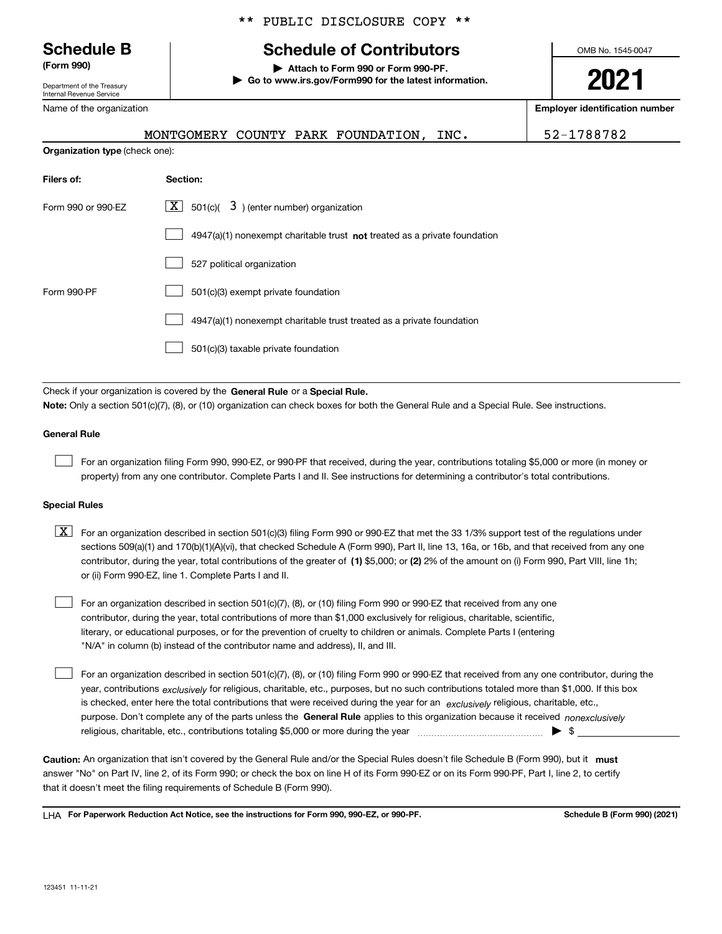Department of the Treasury Internal Revenue Service

Name of the organization

**Organization type** (check one):

## \*\* PUBLIC DISCLOSURE COPY \*\*

# **Schedule B Schedule of Contributors**

**(Form 990) | Attach to Form 990 or Form 990-PF. | Go to www.irs.gov/Form990 for the latest information.** OMB No. 1545-0047

# **2021**

**Employer identification number**

|  | MONTGOMERY COUNTY PARK FOUNDATION, | INC. | 52-1788782 |
|--|------------------------------------|------|------------|
|  |                                    |      |            |

| Filers of:         | Section:                                                                    |
|--------------------|-----------------------------------------------------------------------------|
| Form 990 or 990-EZ | $\lfloor x \rfloor$ 501(c)( 3) (enter number) organization                  |
|                    | $4947(a)(1)$ nonexempt charitable trust not treated as a private foundation |
|                    | 527 political organization                                                  |
| Form 990-PF        | 501(c)(3) exempt private foundation                                         |
|                    | 4947(a)(1) nonexempt charitable trust treated as a private foundation       |
|                    | 501(c)(3) taxable private foundation                                        |

Check if your organization is covered by the **General Rule** or a **Special Rule. Note:**  Only a section 501(c)(7), (8), or (10) organization can check boxes for both the General Rule and a Special Rule. See instructions.

### **General Rule**

 $\mathcal{L}^{\text{max}}$ 

For an organization filing Form 990, 990-EZ, or 990-PF that received, during the year, contributions totaling \$5,000 or more (in money or property) from any one contributor. Complete Parts I and II. See instructions for determining a contributor's total contributions.

### **Special Rules**

contributor, during the year, total contributions of the greater of (1**)** \$5,000; or (2) 2% of the amount on (i) Form 990, Part VIII, line 1h;  $\boxed{\textbf{X}}$  For an organization described in section 501(c)(3) filing Form 990 or 990-EZ that met the 33 1/3% support test of the regulations under sections 509(a)(1) and 170(b)(1)(A)(vi), that checked Schedule A (Form 990), Part II, line 13, 16a, or 16b, and that received from any one or (ii) Form 990-EZ, line 1. Complete Parts I and II.

For an organization described in section 501(c)(7), (8), or (10) filing Form 990 or 990-EZ that received from any one contributor, during the year, total contributions of more than \$1,000 exclusively for religious, charitable, scientific, literary, or educational purposes, or for the prevention of cruelty to children or animals. Complete Parts I (entering "N/A" in column (b) instead of the contributor name and address), II, and III.  $\mathcal{L}^{\text{max}}$ 

purpose. Don't complete any of the parts unless the **General Rule** applies to this organization because it received *nonexclusively* year, contributions <sub>exclusively</sub> for religious, charitable, etc., purposes, but no such contributions totaled more than \$1,000. If this box is checked, enter here the total contributions that were received during the year for an  $\;$ exclusively religious, charitable, etc., For an organization described in section 501(c)(7), (8), or (10) filing Form 990 or 990-EZ that received from any one contributor, during the religious, charitable, etc., contributions totaling \$5,000 or more during the year  $\Box$ — $\Box$   $\Box$  $\mathcal{L}^{\text{max}}$ 

Caution: An organization that isn't covered by the General Rule and/or the Special Rules doesn't file Schedule B (Form 990), but it **must** answer "No" on Part IV, line 2, of its Form 990; or check the box on line H of its Form 990-EZ or on its Form 990-PF, Part I, line 2, to certify that it doesn't meet the filing requirements of Schedule B (Form 990).

LHA For Paperwork Reduction Act Notice, see the instructions for Form 990, 990-EZ, or 990-PF. **In the act and Schedule B** (Form 990) (2021)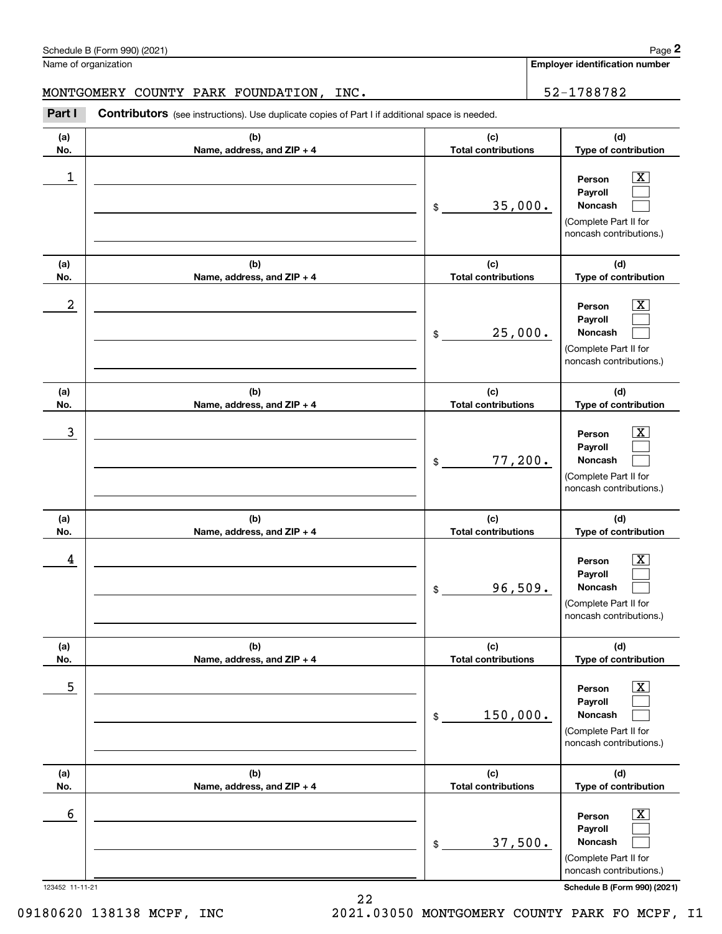| 1                    |                                   | 35,000.<br>\$                     | $\overline{\text{X}}$<br>Person<br>Payroll<br>Noncash<br>(Complete Part II for<br>noncash contributions.)                              |
|----------------------|-----------------------------------|-----------------------------------|----------------------------------------------------------------------------------------------------------------------------------------|
| (a)<br>No.           | (b)<br>Name, address, and ZIP + 4 | (c)<br><b>Total contributions</b> | (d)<br>Type of contribution                                                                                                            |
| 2                    |                                   | 25,000.<br>\$                     | $\mathbf{X}$<br>Person<br>Payroll<br>Noncash<br>(Complete Part II for<br>noncash contributions.)                                       |
| (a)<br>No.           | (b)<br>Name, address, and ZIP + 4 | (c)<br><b>Total contributions</b> | (d)<br>Type of contribution                                                                                                            |
| 3                    |                                   | 77,200.<br>\$                     | $\overline{\mathbf{X}}$<br>Person<br>Payroll<br>Noncash<br>(Complete Part II for<br>noncash contributions.)                            |
| (a)<br>No.           | (b)<br>Name, address, and ZIP + 4 | (c)<br><b>Total contributions</b> | (d)<br>Type of contribution                                                                                                            |
| 4                    |                                   | 96,509.<br>\$                     | $\mathbf{X}$<br>Person<br>Payroll<br>Noncash<br>(Complete Part II for<br>noncash contributions.)                                       |
| (a)<br>No.           | (b)<br>Name, address, and ZIP + 4 | (c)<br><b>Total contributions</b> | (d)<br>Type of contribution                                                                                                            |
| 5                    |                                   | 150,000.<br>\$                    | $\boxed{\text{X}}$<br>Person<br>Payroll<br>Noncash<br>(Complete Part II for<br>noncash contributions.)                                 |
| (a)<br>No.           | (b)<br>Name, address, and ZIP + 4 | (c)<br><b>Total contributions</b> | (d)<br>Type of contribution                                                                                                            |
| 6<br>123452 11-11-21 |                                   | 37,500.<br>\$                     | $\boxed{\text{X}}$<br>Person<br>Payroll<br>Noncash<br>(Complete Part II for<br>noncash contributions.)<br>Schedule B (Form 990) (2021) |

### MONTGOMERY COUNTY PARK FOUNDATION, INC. 52-1788782

**(b) Name, address, and ZIP + 4**

(see instructions). Use duplicate copies of Part I if additional space is needed.<br> **2Part I Contributors** (see instructions). Use duplicate copies of Part I if additional space is needed.<br> **2Part I Contributors** (see i

**Employer identification number**

**(d) Type of contribution**

**(c) Total contributions**

**(a) No.**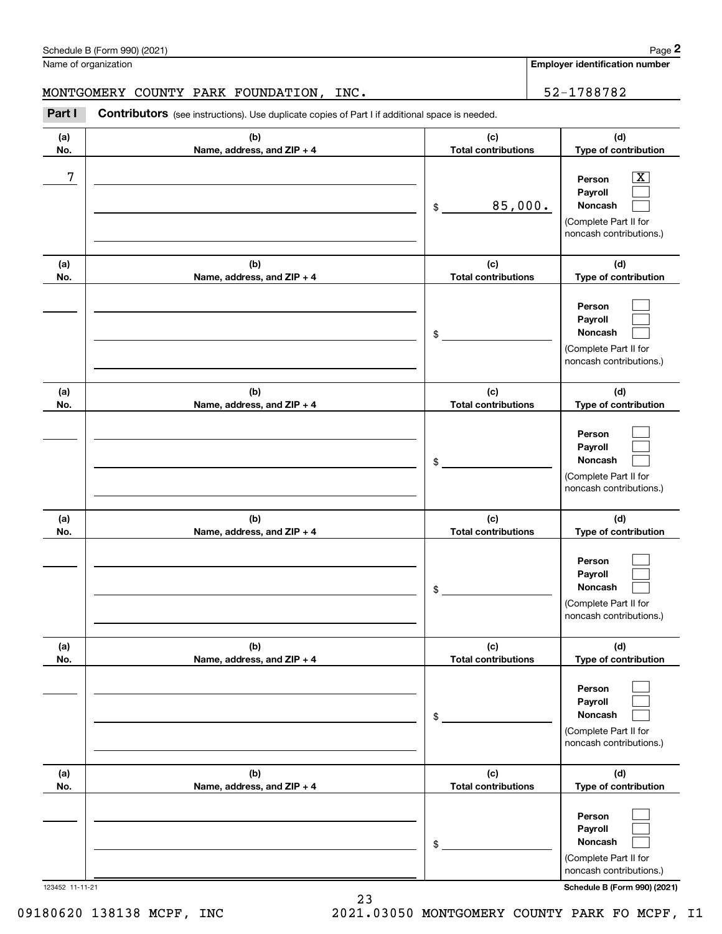# MONTGOMERY COUNTY PARK FOUNDATION, INC. 52-1788782

|            | Schedule B (Form 990) (2021)                                                                          |                                   |                            | Page 2                                                                                           |  |
|------------|-------------------------------------------------------------------------------------------------------|-----------------------------------|----------------------------|--------------------------------------------------------------------------------------------------|--|
|            | Name of organization                                                                                  |                                   |                            | <b>Employer identification number</b>                                                            |  |
|            | MONTGOMERY COUNTY PARK FOUNDATION, INC.                                                               |                                   |                            | 52-1788782                                                                                       |  |
| Part I     | <b>Contributors</b> (see instructions). Use duplicate copies of Part I if additional space is needed. |                                   |                            |                                                                                                  |  |
| (a)<br>No. | (b)<br>Name, address, and ZIP + 4                                                                     | (c)                               | <b>Total contributions</b> |                                                                                                  |  |
| 7          |                                                                                                       | 85,000.<br>\$                     |                            | $\mathbf{X}$<br>Person<br>Payroll<br>Noncash<br>(Complete Part II for<br>noncash contributions.) |  |
| (a)<br>No. | (b)<br>Name, address, and ZIP + 4                                                                     | (c)<br><b>Total contributions</b> |                            | (d)<br>Type of contribution                                                                      |  |
|            |                                                                                                       | \$                                |                            | Person<br>Payroll<br>Noncash<br>(Complete Part II for<br>noncash contributions.)                 |  |
| (a)<br>No. | (b)<br>Name, address, and ZIP + 4                                                                     | (c)<br><b>Total contributions</b> |                            | (d)<br>Type of contribution                                                                      |  |
|            |                                                                                                       | \$                                |                            | Person<br>Payroll<br>Noncash<br>(Complete Part II for<br>noncash contributions.)                 |  |
| (a)<br>No. | (b)<br>Name, address, and ZIP + 4                                                                     | (c)<br><b>Total contributions</b> |                            | (d)<br>Type of contribution                                                                      |  |
|            |                                                                                                       | \$                                |                            | Person<br>Payroll<br>Noncash<br>(Complete Part II for<br>noncash contributions.)                 |  |
| (a)<br>No. | (b)<br>Name, address, and ZIP + 4                                                                     | (c)<br><b>Total contributions</b> |                            | (d)<br>Type of contribution                                                                      |  |
|            |                                                                                                       | \$                                |                            | Person<br>Payroll<br>Noncash<br>(Complete Part II for<br>noncash contributions.)                 |  |
| (a)<br>No. | (b)<br>Name, address, and ZIP + 4                                                                     | (c)<br><b>Total contributions</b> |                            | (d)<br>Type of contribution                                                                      |  |
|            |                                                                                                       | \$                                |                            | Person<br>Payroll<br>Noncash<br>(Complete Part II for<br>noncash contributions.)                 |  |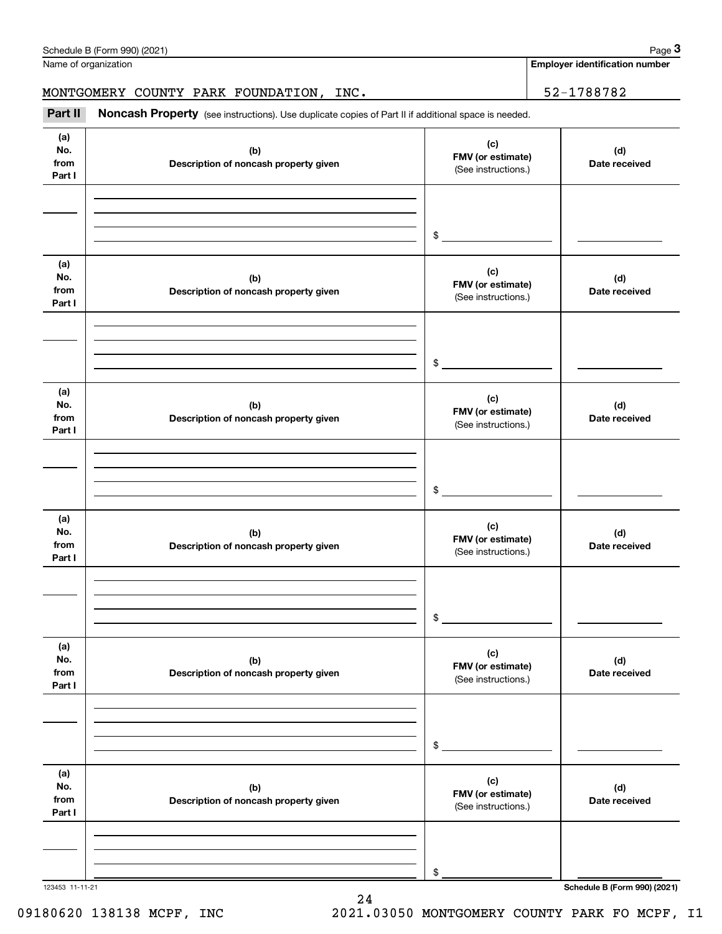|                              | Schedule B (Form 990) (2021)                                                                        |                                                 | Page 3                                |
|------------------------------|-----------------------------------------------------------------------------------------------------|-------------------------------------------------|---------------------------------------|
|                              | Name of organization                                                                                |                                                 | <b>Employer identification number</b> |
|                              | MONTGOMERY COUNTY PARK FOUNDATION, INC.                                                             |                                                 | 52-1788782                            |
| Part II                      | Noncash Property (see instructions). Use duplicate copies of Part II if additional space is needed. |                                                 |                                       |
| (a)<br>No.<br>from<br>Part I | (b)<br>Description of noncash property given                                                        | (c)<br>FMV (or estimate)<br>(See instructions.) | (d)<br>Date received                  |
|                              |                                                                                                     | \$                                              |                                       |
| (a)<br>No.<br>from<br>Part I | (b)<br>Description of noncash property given                                                        | (c)<br>FMV (or estimate)<br>(See instructions.) | (d)<br>Date received                  |
|                              |                                                                                                     | \$                                              |                                       |
| (a)<br>No.<br>from<br>Part I | (b)<br>Description of noncash property given                                                        | (c)<br>FMV (or estimate)<br>(See instructions.) | (d)<br>Date received                  |
|                              |                                                                                                     | \$                                              |                                       |
| (a)<br>No.<br>from<br>Part I | (b)<br>Description of noncash property given                                                        | (c)<br>FMV (or estimate)<br>(See instructions.) | (d)<br>Date received                  |
|                              |                                                                                                     | \$                                              |                                       |
| (a)<br>No.<br>from<br>Part I | (b)<br>Description of noncash property given                                                        | (c)<br>FMV (or estimate)<br>(See instructions.) | (d)<br>Date received                  |
|                              |                                                                                                     | \$                                              |                                       |
| (a)<br>No.<br>from<br>Part I | (b)<br>Description of noncash property given                                                        | (c)<br>FMV (or estimate)<br>(See instructions.) | (d)<br>Date received                  |
|                              |                                                                                                     | \$                                              |                                       |
| 123453 11-11-21              |                                                                                                     |                                                 | Schedule B (Form 990) (2021)          |

24

09180620 138138 MCPF, INC 2021.03050 MONTGOMERY COUNTY PARK FO MCPF, I1

Schedule B (Form 990) (2021) Page 3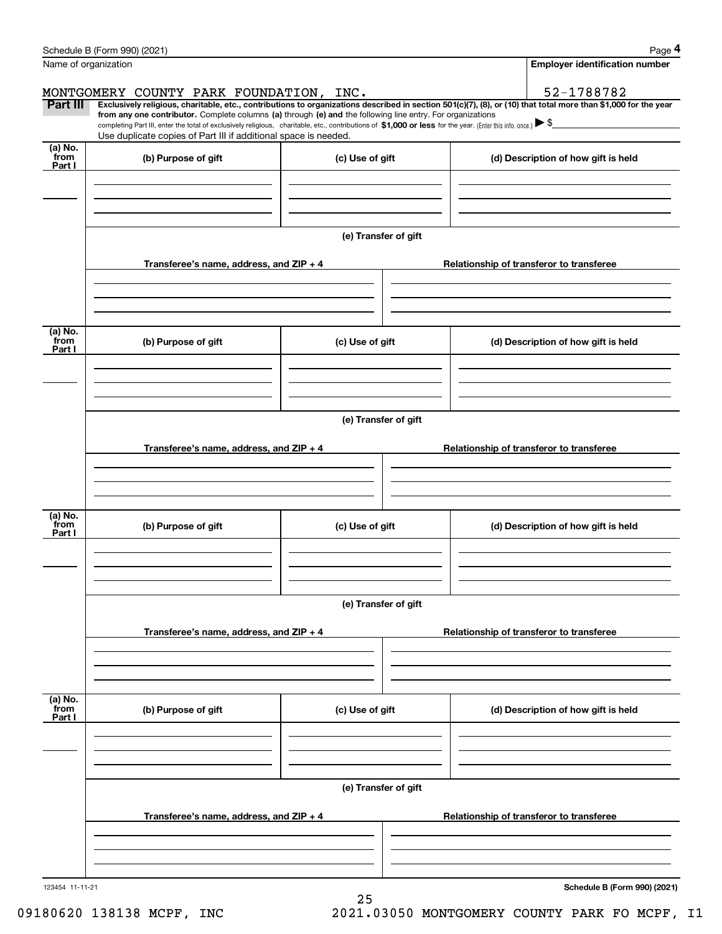|                 | Schedule B (Form 990) (2021)                                                                                                                                                                                                                                                 |                      |                                          | Page 4                                |  |  |  |  |
|-----------------|------------------------------------------------------------------------------------------------------------------------------------------------------------------------------------------------------------------------------------------------------------------------------|----------------------|------------------------------------------|---------------------------------------|--|--|--|--|
|                 | Name of organization                                                                                                                                                                                                                                                         |                      |                                          | <b>Employer identification number</b> |  |  |  |  |
|                 | MONTGOMERY COUNTY PARK FOUNDATION, INC.                                                                                                                                                                                                                                      |                      |                                          | 52-1788782                            |  |  |  |  |
| Part III        | Exclusively religious, charitable, etc., contributions to organizations described in section 501(c)(7), (8), or (10) that total more than \$1,000 for the year<br>from any one contributor. Complete columns (a) through (e) and the following line entry. For organizations |                      |                                          |                                       |  |  |  |  |
|                 | completing Part III, enter the total of exclusively religious, charitable, etc., contributions of \$1,000 or less for the year. (Enter this info. once.) $\blacktriangleright$ \$<br>Use duplicate copies of Part III if additional space is needed.                         |                      |                                          |                                       |  |  |  |  |
| (a) No.<br>from | (b) Purpose of gift                                                                                                                                                                                                                                                          | (c) Use of gift      |                                          |                                       |  |  |  |  |
| Part I          |                                                                                                                                                                                                                                                                              |                      |                                          | (d) Description of how gift is held   |  |  |  |  |
|                 |                                                                                                                                                                                                                                                                              |                      |                                          |                                       |  |  |  |  |
|                 |                                                                                                                                                                                                                                                                              |                      |                                          |                                       |  |  |  |  |
|                 |                                                                                                                                                                                                                                                                              |                      |                                          |                                       |  |  |  |  |
|                 |                                                                                                                                                                                                                                                                              | (e) Transfer of gift |                                          |                                       |  |  |  |  |
|                 | Transferee's name, address, and ZIP + 4                                                                                                                                                                                                                                      |                      | Relationship of transferor to transferee |                                       |  |  |  |  |
|                 |                                                                                                                                                                                                                                                                              |                      |                                          |                                       |  |  |  |  |
|                 |                                                                                                                                                                                                                                                                              |                      |                                          |                                       |  |  |  |  |
| (a) No.         |                                                                                                                                                                                                                                                                              |                      |                                          |                                       |  |  |  |  |
| from<br>Part I  | (b) Purpose of gift<br>(c) Use of gift                                                                                                                                                                                                                                       |                      |                                          | (d) Description of how gift is held   |  |  |  |  |
|                 |                                                                                                                                                                                                                                                                              |                      |                                          |                                       |  |  |  |  |
|                 |                                                                                                                                                                                                                                                                              |                      |                                          |                                       |  |  |  |  |
|                 |                                                                                                                                                                                                                                                                              | (e) Transfer of gift |                                          |                                       |  |  |  |  |
|                 |                                                                                                                                                                                                                                                                              |                      |                                          |                                       |  |  |  |  |
|                 | Transferee's name, address, and ZIP + 4                                                                                                                                                                                                                                      |                      | Relationship of transferor to transferee |                                       |  |  |  |  |
|                 |                                                                                                                                                                                                                                                                              |                      |                                          |                                       |  |  |  |  |
|                 |                                                                                                                                                                                                                                                                              |                      |                                          |                                       |  |  |  |  |
| (a) No.<br>from |                                                                                                                                                                                                                                                                              |                      |                                          |                                       |  |  |  |  |
| Part I          | (b) Purpose of gift                                                                                                                                                                                                                                                          | (c) Use of gift      |                                          | (d) Description of how gift is held   |  |  |  |  |
|                 |                                                                                                                                                                                                                                                                              |                      |                                          |                                       |  |  |  |  |
|                 |                                                                                                                                                                                                                                                                              |                      |                                          |                                       |  |  |  |  |
|                 |                                                                                                                                                                                                                                                                              | (e) Transfer of gift |                                          |                                       |  |  |  |  |
|                 |                                                                                                                                                                                                                                                                              |                      |                                          |                                       |  |  |  |  |
|                 | Transferee's name, address, and ZIP + 4                                                                                                                                                                                                                                      |                      | Relationship of transferor to transferee |                                       |  |  |  |  |
|                 |                                                                                                                                                                                                                                                                              |                      |                                          |                                       |  |  |  |  |
|                 |                                                                                                                                                                                                                                                                              |                      |                                          |                                       |  |  |  |  |
| (a) No.<br>from | (b) Purpose of gift                                                                                                                                                                                                                                                          | (c) Use of gift      |                                          | (d) Description of how gift is held   |  |  |  |  |
| Part I          |                                                                                                                                                                                                                                                                              |                      |                                          |                                       |  |  |  |  |
|                 |                                                                                                                                                                                                                                                                              |                      |                                          |                                       |  |  |  |  |
|                 |                                                                                                                                                                                                                                                                              |                      |                                          |                                       |  |  |  |  |
|                 | (e) Transfer of gift                                                                                                                                                                                                                                                         |                      |                                          |                                       |  |  |  |  |
|                 |                                                                                                                                                                                                                                                                              |                      |                                          |                                       |  |  |  |  |
|                 | Transferee's name, address, and ZIP + 4                                                                                                                                                                                                                                      |                      | Relationship of transferor to transferee |                                       |  |  |  |  |
|                 |                                                                                                                                                                                                                                                                              |                      |                                          |                                       |  |  |  |  |
|                 |                                                                                                                                                                                                                                                                              |                      |                                          |                                       |  |  |  |  |
| 123454 11-11-21 |                                                                                                                                                                                                                                                                              |                      |                                          | Schedule B (Form 990) (2021)          |  |  |  |  |
|                 |                                                                                                                                                                                                                                                                              | 25                   |                                          |                                       |  |  |  |  |

09180620 138138 MCPF, INC 2021.03050 MONTGOMERY COUNTY PARK FO MCPF, I1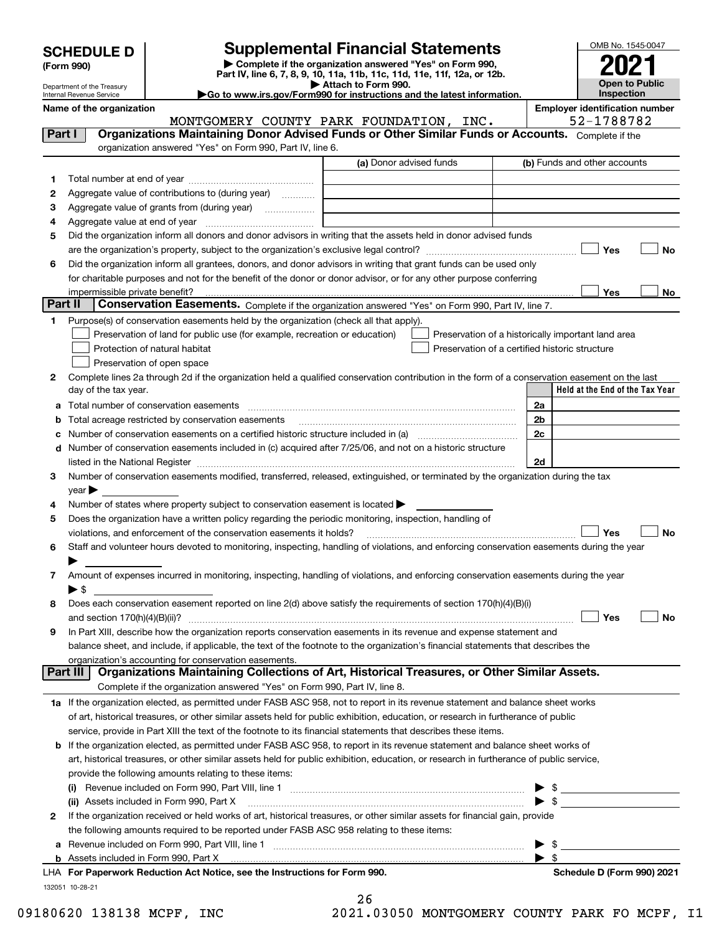|  | <b>SCHEDULE D</b> |  |  |  |
|--|-------------------|--|--|--|
|--|-------------------|--|--|--|

| (Form 990) |
|------------|
|            |

**6**

# **Supplemental Financial Statements**

**| Complete if the organization answered "Yes" on Form 990, Part IV, line 6, 7, 8, 9, 10, 11a, 11b, 11c, 11d, 11e, 11f, 12a, or 12b. | Attach to Form 990.**



**No**

**No**

Department of the Treasury Internal Revenue Service

**|Go to www.irs.gov/Form990 for instructions and the latest information.**

**Name of the organization Employer identification number** (a) Donor advised funds **Yes Yes** Complete if the organization answered "Yes" on Form 990, Part IV, line 6. (b) Funds and other accounts Total number at end of year ~~~~~~~~~~~~~~~ Aggregate value of contributions to (during year) will messe Aggregate value of grants from (during year) will contain the Aggregate value of grants from (during year) Aggregate value at end of year<br>Aggregate value at end of year Did the organization inform all donors and donor advisors in writing that the assets held in donor advised funds are the organization's property, subject to the organization's exclusive legal control? ~~~~~~~~~~~~~~~~~~ Did the organization inform all grantees, donors, and donor advisors in writing that grant funds can be used only for charitable purposes and not for the benefit of the donor or donor advisor, or for any other purpose conferring impermissible private benefit? **Part II | Conservation Easements.** Complete if the organization answered "Yes" on Form 990, Part IV, line 7. Purpose(s) of conservation easements held by the organization (check all that apply). **Part I Organizations Maintaining Donor Advised Funds or Other Similar Funds or Accounts.**   $\mathcal{L}^{\text{max}}$  $\mathcal{L}^{\text{max}}$ MONTGOMERY COUNTY PARK FOUNDATION, INC. 52-1788782

| Purpose(s) of conservation easements held by the organization (check all that apply). |                                                    |
|---------------------------------------------------------------------------------------|----------------------------------------------------|
| $\Box$ Preservation of land for public use (for example, recreation or education)     | Preservation of a historically important land area |
| Protection of natural habitat                                                         | Preservation of a certified historic structure     |
| Preservation of open space                                                            |                                                    |

| Complete lines 2a through 2d if the organization held a qualified conservation contribution in the form of a conservation easement on the last |                                   |
|------------------------------------------------------------------------------------------------------------------------------------------------|-----------------------------------|
| day of the tax year.                                                                                                                           | l Held at the End of the Tax Year |
|                                                                                                                                                |                                   |

| a | Total number of conservation easements                                                                                                    | 2a |     |           |
|---|-------------------------------------------------------------------------------------------------------------------------------------------|----|-----|-----------|
| b | Total acreage restricted by conservation easements                                                                                        | 2b |     |           |
| c | Number of conservation easements on a certified historic structure included in (a)                                                        | 2c |     |           |
|   | d Number of conservation easements included in (c) acquired after 7/25/06, and not on a historic structure                                |    |     |           |
|   | listed in the National Register                                                                                                           | 2d |     |           |
| 3 | Number of conservation easements modified, transferred, released, extinguished, or terminated by the organization during the tax          |    |     |           |
|   | $\vee$ ear                                                                                                                                |    |     |           |
| 4 | Number of states where property subject to conservation easement is located $\blacktriangleright$                                         |    |     |           |
| 5 | Does the organization have a written policy regarding the periodic monitoring, inspection, handling of                                    |    |     |           |
|   | violations, and enforcement of the conservation easements it holds?                                                                       |    | Yes | <b>No</b> |
| 6 | Staff and volunteer hours devoted to monitoring, inspecting, handling of violations, and enforcing conservation easements during the year |    |     |           |
|   |                                                                                                                                           |    |     |           |
| 7 | Amount of expenses incurred in monitoring, inspecting, handling of violations, and enforcing conservation easements during the year       |    |     |           |
|   | ء -                                                                                                                                       |    |     |           |
| 8 | Does each conservation easement reported on line 2(d) above satisfy the requirements of section 170(h)(4)(B)(i)                           |    |     |           |
|   | and section $170(h)(4)(B)(ii)?$                                                                                                           |    | Yes | No        |
| 9 | In Part XIII, describe how the organization reports conservation easements in its revenue and expense statement and                       |    |     |           |
|   | balance sheet, and include, if applicable, the text of the footnote to the organization's financial statements that describes the         |    |     |           |
|   | organization's accounting for conservation easements.                                                                                     |    |     |           |
|   | Organizations Maintaining Collections of Art, Historical Treasures, or Other Similar Assets.<br>Part III                                  |    |     |           |
|   | Complete if the organization answered "Yes" on Form 990, Part IV, line 8.                                                                 |    |     |           |
|   | 1a If the organization elected, as permitted under FASB ASC 958, not to report in its revenue statement and balance sheet works           |    |     |           |
|   | of art, historical treasures, or other similar assets held for public exhibition, education, or research in furtherance of public         |    |     |           |
|   | service, provide in Part XIII the text of the footnote to its financial statements that describes these items.                            |    |     |           |
|   | <b>b</b> If the organization elected, as permitted under FASB ASC 958, to report in its revenue statement and balance sheet works of      |    |     |           |
|   | art hietorical treasures, or other similar assets held for public exhibition, education, or research in furtherance of public senvice.    |    |     |           |

|   | art, historical treasures, or other similar assets held for public exhibition, education, or research in furtherance of public service, |                            |
|---|-----------------------------------------------------------------------------------------------------------------------------------------|----------------------------|
|   | provide the following amounts relating to these items:                                                                                  |                            |
|   | (i)                                                                                                                                     |                            |
|   |                                                                                                                                         | $\triangleright$ \$        |
| 2 | If the organization received or held works of art, historical treasures, or other similar assets for financial gain, provide            |                            |
|   | the following amounts required to be reported under FASB ASC 958 relating to these items:                                               |                            |
|   |                                                                                                                                         |                            |
|   | b Assets included in Form 990, Part X <u>Particular Communication and the set of the set of the set of the set of</u>                   |                            |
|   | LHA For Paperwork Reduction Act Notice, see the Instructions for Form 990.                                                              | Schedule D (Form 990) 2021 |
|   | 132051 10-28-21                                                                                                                         |                            |

26

09180620 138138 MCPF, INC 2021.03050 MONTGOMERY COUNTY PARK FO MCPF, I1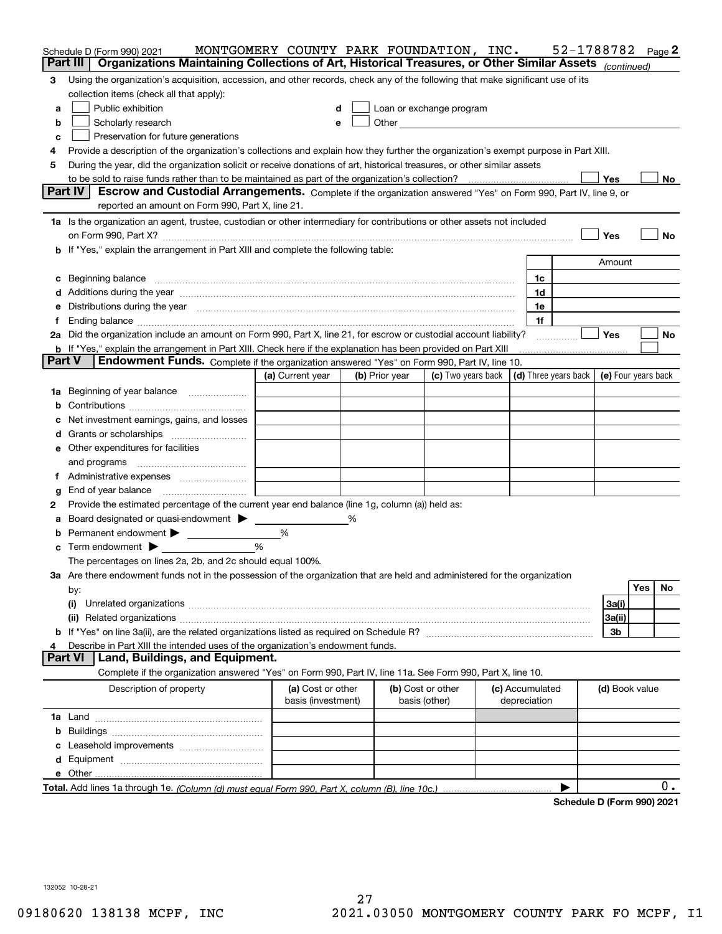|   | Schedule D (Form 990) 2021                                                                                                                                                                                                            | MONTGOMERY COUNTY PARK FOUNDATION, INC. |   |                |                          |                 | 52-1788782           |                            |     | Page 2 |
|---|---------------------------------------------------------------------------------------------------------------------------------------------------------------------------------------------------------------------------------------|-----------------------------------------|---|----------------|--------------------------|-----------------|----------------------|----------------------------|-----|--------|
|   | Part III<br>Organizations Maintaining Collections of Art, Historical Treasures, or Other Similar Assets (continued)                                                                                                                   |                                         |   |                |                          |                 |                      |                            |     |        |
| 3 | Using the organization's acquisition, accession, and other records, check any of the following that make significant use of its                                                                                                       |                                         |   |                |                          |                 |                      |                            |     |        |
|   | collection items (check all that apply):                                                                                                                                                                                              |                                         |   |                |                          |                 |                      |                            |     |        |
| а | Public exhibition                                                                                                                                                                                                                     |                                         | d |                | Loan or exchange program |                 |                      |                            |     |        |
| b | Scholarly research                                                                                                                                                                                                                    |                                         | e |                |                          |                 |                      |                            |     |        |
| c | Preservation for future generations                                                                                                                                                                                                   |                                         |   |                |                          |                 |                      |                            |     |        |
| 4 | Provide a description of the organization's collections and explain how they further the organization's exempt purpose in Part XIII.                                                                                                  |                                         |   |                |                          |                 |                      |                            |     |        |
| 5 | During the year, did the organization solicit or receive donations of art, historical treasures, or other similar assets                                                                                                              |                                         |   |                |                          |                 |                      |                            |     |        |
|   |                                                                                                                                                                                                                                       |                                         |   |                |                          |                 |                      | Yes                        |     | No.    |
|   | Part IV<br>Escrow and Custodial Arrangements. Complete if the organization answered "Yes" on Form 990, Part IV, line 9, or                                                                                                            |                                         |   |                |                          |                 |                      |                            |     |        |
|   | reported an amount on Form 990, Part X, line 21.                                                                                                                                                                                      |                                         |   |                |                          |                 |                      |                            |     |        |
|   | 1a Is the organization an agent, trustee, custodian or other intermediary for contributions or other assets not included                                                                                                              |                                         |   |                |                          |                 |                      |                            |     |        |
|   |                                                                                                                                                                                                                                       |                                         |   |                |                          |                 |                      | Yes                        |     | No     |
|   | <b>b</b> If "Yes," explain the arrangement in Part XIII and complete the following table:                                                                                                                                             |                                         |   |                |                          |                 |                      |                            |     |        |
|   |                                                                                                                                                                                                                                       |                                         |   |                |                          |                 |                      | Amount                     |     |        |
|   |                                                                                                                                                                                                                                       |                                         |   |                |                          |                 |                      |                            |     |        |
|   | c Beginning balance measurements and the contract of the contract of the contract of the contract of the contract of the contract of the contract of the contract of the contract of the contract of the contract of the contr        |                                         |   |                |                          | 1c              |                      |                            |     |        |
|   | d Additions during the year measurements are all an according to the year measurement of the year measurement of the state of the state of the state of the state of the state of the state of the state of the state of the s        |                                         |   |                |                          | 1d              |                      |                            |     |        |
|   | e Distributions during the year manufactured and an intervention of the year manufactured by the state of the state of the state of the state of the state of the state of the state of the state of the state of the state of        |                                         |   |                |                          | 1e              |                      |                            |     |        |
|   |                                                                                                                                                                                                                                       |                                         |   |                |                          | 1f              |                      |                            |     |        |
|   | 2a Did the organization include an amount on Form 990, Part X, line 21, for escrow or custodial account liability?                                                                                                                    |                                         |   |                |                          |                 |                      | Yes                        |     | No     |
|   | <b>b</b> If "Yes," explain the arrangement in Part XIII. Check here if the explanation has been provided on Part XIII<br><b>Part V</b><br>Endowment Funds. Complete if the organization answered "Yes" on Form 990, Part IV, line 10. |                                         |   |                |                          |                 |                      |                            |     |        |
|   |                                                                                                                                                                                                                                       |                                         |   |                |                          |                 |                      |                            |     |        |
|   |                                                                                                                                                                                                                                       | (a) Current year                        |   | (b) Prior year | (c) Two years back       |                 | (d) Three years back | (e) Four years back        |     |        |
|   | 1a Beginning of year balance                                                                                                                                                                                                          |                                         |   |                |                          |                 |                      |                            |     |        |
| b |                                                                                                                                                                                                                                       |                                         |   |                |                          |                 |                      |                            |     |        |
| c | Net investment earnings, gains, and losses                                                                                                                                                                                            |                                         |   |                |                          |                 |                      |                            |     |        |
|   |                                                                                                                                                                                                                                       |                                         |   |                |                          |                 |                      |                            |     |        |
|   | <b>e</b> Other expenditures for facilities                                                                                                                                                                                            |                                         |   |                |                          |                 |                      |                            |     |        |
|   |                                                                                                                                                                                                                                       |                                         |   |                |                          |                 |                      |                            |     |        |
|   |                                                                                                                                                                                                                                       |                                         |   |                |                          |                 |                      |                            |     |        |
| g | End of year balance                                                                                                                                                                                                                   |                                         |   |                |                          |                 |                      |                            |     |        |
| 2 | Provide the estimated percentage of the current year end balance (line 1g, column (a)) held as:                                                                                                                                       |                                         |   |                |                          |                 |                      |                            |     |        |
| а | Board designated or quasi-endowment > _____                                                                                                                                                                                           |                                         | % |                |                          |                 |                      |                            |     |        |
| b | Permanent endowment > ____________                                                                                                                                                                                                    | %                                       |   |                |                          |                 |                      |                            |     |        |
|   | $\mathbf c$ Term endowment $\blacktriangleright$                                                                                                                                                                                      | $\%$                                    |   |                |                          |                 |                      |                            |     |        |
|   | The percentages on lines 2a, 2b, and 2c should equal 100%.                                                                                                                                                                            |                                         |   |                |                          |                 |                      |                            |     |        |
|   | 3a Are there endowment funds not in the possession of the organization that are held and administered for the organization                                                                                                            |                                         |   |                |                          |                 |                      |                            |     |        |
|   | by:                                                                                                                                                                                                                                   |                                         |   |                |                          |                 |                      |                            | Yes | No     |
|   | (i)                                                                                                                                                                                                                                   |                                         |   |                |                          |                 |                      | 3a(i)                      |     |        |
|   |                                                                                                                                                                                                                                       |                                         |   |                |                          |                 |                      | 3a(ii)                     |     |        |
|   |                                                                                                                                                                                                                                       |                                         |   |                |                          |                 |                      | 3b                         |     |        |
| 4 | Describe in Part XIII the intended uses of the organization's endowment funds.                                                                                                                                                        |                                         |   |                |                          |                 |                      |                            |     |        |
|   | Land, Buildings, and Equipment.<br><b>Part VI</b>                                                                                                                                                                                     |                                         |   |                |                          |                 |                      |                            |     |        |
|   | Complete if the organization answered "Yes" on Form 990, Part IV, line 11a. See Form 990, Part X, line 10.                                                                                                                            |                                         |   |                |                          |                 |                      |                            |     |        |
|   | Description of property                                                                                                                                                                                                               | (a) Cost or other                       |   |                | (b) Cost or other        | (c) Accumulated |                      | (d) Book value             |     |        |
|   |                                                                                                                                                                                                                                       | basis (investment)                      |   |                | basis (other)            | depreciation    |                      |                            |     |        |
|   |                                                                                                                                                                                                                                       |                                         |   |                |                          |                 |                      |                            |     |        |
|   |                                                                                                                                                                                                                                       |                                         |   |                |                          |                 |                      |                            |     |        |
|   |                                                                                                                                                                                                                                       |                                         |   |                |                          |                 |                      |                            |     |        |
|   |                                                                                                                                                                                                                                       |                                         |   |                |                          |                 |                      |                            |     |        |
|   |                                                                                                                                                                                                                                       |                                         |   |                |                          |                 |                      |                            |     |        |
|   |                                                                                                                                                                                                                                       |                                         |   |                |                          |                 |                      |                            |     | 0.     |
|   |                                                                                                                                                                                                                                       |                                         |   |                |                          |                 |                      | <b>D. (Fause 000) 0004</b> |     |        |

**Schedule D (Form 990) 2021**

132052 10-28-21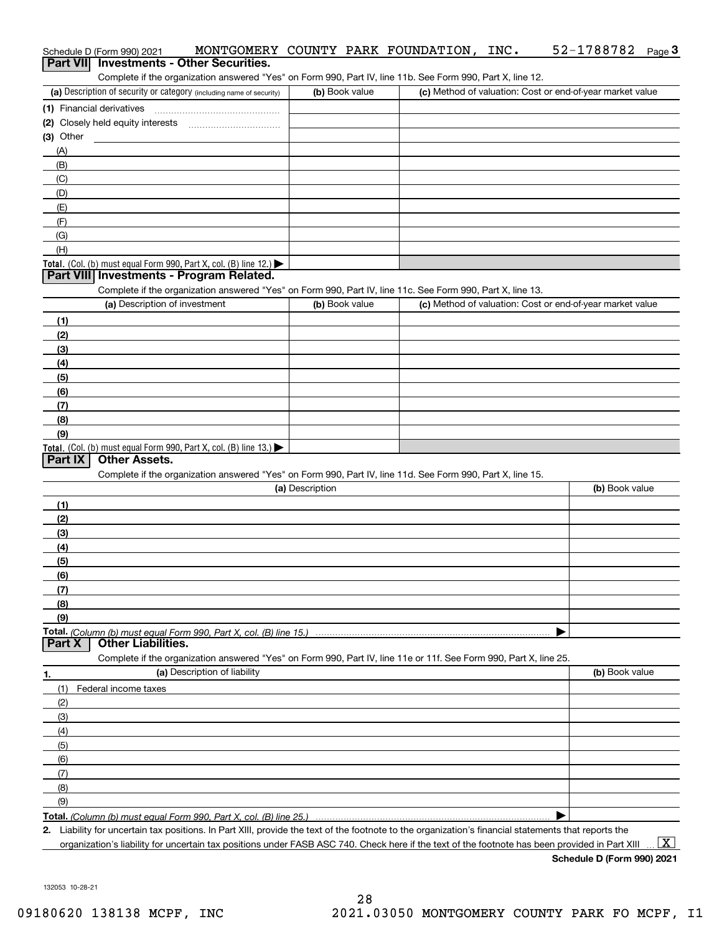|                  | Schedule D (Form 990) 2021                                                                                                                           |                 |                | MONTGOMERY COUNTY PARK FOUNDATION, | INC. | 52-1788782                                                | $Page$ <sup>3</sup> |
|------------------|------------------------------------------------------------------------------------------------------------------------------------------------------|-----------------|----------------|------------------------------------|------|-----------------------------------------------------------|---------------------|
| <b>Part VIII</b> | <b>Investments - Other Securities.</b>                                                                                                               |                 |                |                                    |      |                                                           |                     |
|                  | Complete if the organization answered "Yes" on Form 990, Part IV, line 11b. See Form 990, Part X, line 12.                                           |                 |                |                                    |      |                                                           |                     |
|                  | (a) Description of security or category (including name of security)                                                                                 |                 | (b) Book value |                                    |      | (c) Method of valuation: Cost or end-of-year market value |                     |
|                  |                                                                                                                                                      |                 |                |                                    |      |                                                           |                     |
|                  | (2) Closely held equity interests [11] [2] Closely held equity interests                                                                             |                 |                |                                    |      |                                                           |                     |
| $(3)$ Other      |                                                                                                                                                      |                 |                |                                    |      |                                                           |                     |
| (A)              |                                                                                                                                                      |                 |                |                                    |      |                                                           |                     |
| (B)              |                                                                                                                                                      |                 |                |                                    |      |                                                           |                     |
| (C)              |                                                                                                                                                      |                 |                |                                    |      |                                                           |                     |
| (D)              |                                                                                                                                                      |                 |                |                                    |      |                                                           |                     |
| (E)              |                                                                                                                                                      |                 |                |                                    |      |                                                           |                     |
| (F)              |                                                                                                                                                      |                 |                |                                    |      |                                                           |                     |
| (G)              |                                                                                                                                                      |                 |                |                                    |      |                                                           |                     |
| (H)              |                                                                                                                                                      |                 |                |                                    |      |                                                           |                     |
|                  | Total. (Col. (b) must equal Form 990, Part X, col. (B) line 12.)                                                                                     |                 |                |                                    |      |                                                           |                     |
|                  | Part VIII Investments - Program Related.                                                                                                             |                 |                |                                    |      |                                                           |                     |
|                  | Complete if the organization answered "Yes" on Form 990, Part IV, line 11c. See Form 990, Part X, line 13.                                           |                 |                |                                    |      |                                                           |                     |
|                  | (a) Description of investment                                                                                                                        |                 | (b) Book value |                                    |      | (c) Method of valuation: Cost or end-of-year market value |                     |
| (1)              |                                                                                                                                                      |                 |                |                                    |      |                                                           |                     |
| (2)              |                                                                                                                                                      |                 |                |                                    |      |                                                           |                     |
| (3)              |                                                                                                                                                      |                 |                |                                    |      |                                                           |                     |
| (4)              |                                                                                                                                                      |                 |                |                                    |      |                                                           |                     |
| (5)              |                                                                                                                                                      |                 |                |                                    |      |                                                           |                     |
| (6)              |                                                                                                                                                      |                 |                |                                    |      |                                                           |                     |
| (7)              |                                                                                                                                                      |                 |                |                                    |      |                                                           |                     |
| (8)              |                                                                                                                                                      |                 |                |                                    |      |                                                           |                     |
| (9)              |                                                                                                                                                      |                 |                |                                    |      |                                                           |                     |
| Part IX          | Total. (Col. (b) must equal Form 990, Part X, col. (B) line 13.)<br><b>Other Assets.</b>                                                             |                 |                |                                    |      |                                                           |                     |
|                  | Complete if the organization answered "Yes" on Form 990, Part IV, line 11d. See Form 990, Part X, line 15.                                           |                 |                |                                    |      |                                                           |                     |
|                  |                                                                                                                                                      | (a) Description |                |                                    |      | (b) Book value                                            |                     |
|                  |                                                                                                                                                      |                 |                |                                    |      |                                                           |                     |
| (1)              |                                                                                                                                                      |                 |                |                                    |      |                                                           |                     |
| (2)              |                                                                                                                                                      |                 |                |                                    |      |                                                           |                     |
| (3)<br>(4)       |                                                                                                                                                      |                 |                |                                    |      |                                                           |                     |
|                  |                                                                                                                                                      |                 |                |                                    |      |                                                           |                     |
| (5)<br>(6)       |                                                                                                                                                      |                 |                |                                    |      |                                                           |                     |
| (7)              |                                                                                                                                                      |                 |                |                                    |      |                                                           |                     |
| (8)              |                                                                                                                                                      |                 |                |                                    |      |                                                           |                     |
| (9)              |                                                                                                                                                      |                 |                |                                    |      |                                                           |                     |
|                  |                                                                                                                                                      |                 |                |                                    |      |                                                           |                     |
| Part X           | <b>Other Liabilities.</b>                                                                                                                            |                 |                |                                    |      |                                                           |                     |
|                  | Complete if the organization answered "Yes" on Form 990, Part IV, line 11e or 11f. See Form 990, Part X, line 25.                                    |                 |                |                                    |      |                                                           |                     |
| 1.               | (a) Description of liability                                                                                                                         |                 |                |                                    |      | (b) Book value                                            |                     |
| (1)              | Federal income taxes                                                                                                                                 |                 |                |                                    |      |                                                           |                     |
| (2)              |                                                                                                                                                      |                 |                |                                    |      |                                                           |                     |
| (3)              |                                                                                                                                                      |                 |                |                                    |      |                                                           |                     |
| (4)              |                                                                                                                                                      |                 |                |                                    |      |                                                           |                     |
| (5)              |                                                                                                                                                      |                 |                |                                    |      |                                                           |                     |
| (6)              |                                                                                                                                                      |                 |                |                                    |      |                                                           |                     |
| (7)              |                                                                                                                                                      |                 |                |                                    |      |                                                           |                     |
| (8)              |                                                                                                                                                      |                 |                |                                    |      |                                                           |                     |
| (9)              |                                                                                                                                                      |                 |                |                                    |      |                                                           |                     |
|                  |                                                                                                                                                      |                 |                |                                    |      |                                                           |                     |
|                  | 2. Liability for uncertain tax positions. In Part XIII, provide the text of the footnote to the organization's financial statements that reports the |                 |                |                                    |      |                                                           |                     |
|                  | organization's liability for uncertain tax positions under FASB ASC 740. Check here if the text of the footnote has been provided in Part XIII       |                 |                |                                    |      |                                                           | $\mathbf{X}$        |

**Schedule D (Form 990) 2021**

132053 10-28-21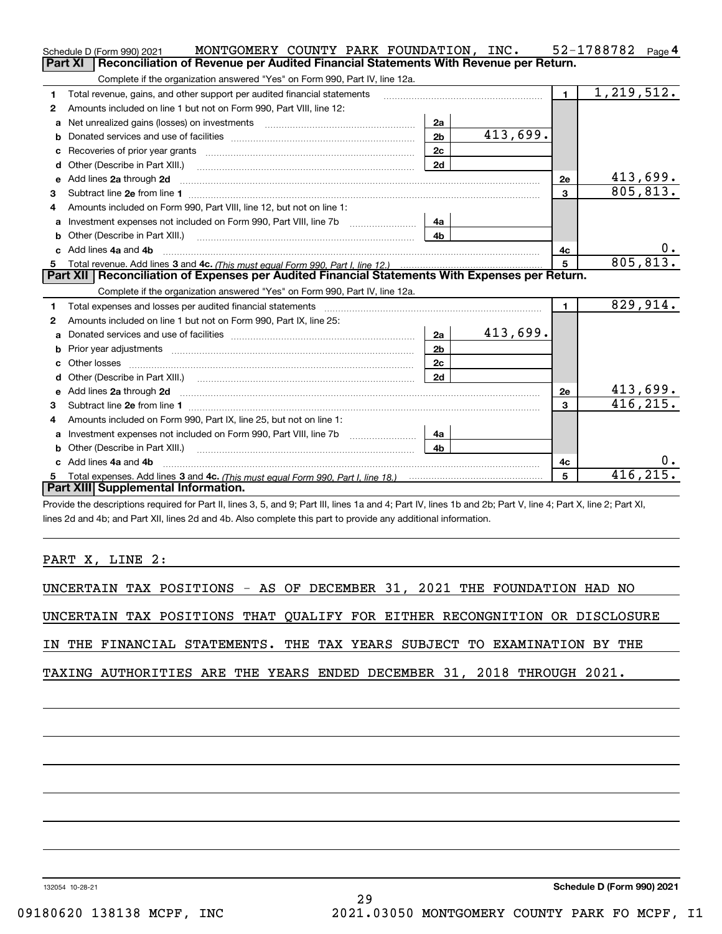|              | MONTGOMERY COUNTY PARK FOUNDATION, INC.<br>Schedule D (Form 990) 2021                                                                                                                                                         |                |                         |              | 52-1788782 Page 4 |
|--------------|-------------------------------------------------------------------------------------------------------------------------------------------------------------------------------------------------------------------------------|----------------|-------------------------|--------------|-------------------|
|              | Reconciliation of Revenue per Audited Financial Statements With Revenue per Return.<br>Part XI                                                                                                                                |                |                         |              |                   |
|              | Complete if the organization answered "Yes" on Form 990, Part IV, line 12a.                                                                                                                                                   |                |                         |              |                   |
| 1            | Total revenue, gains, and other support per audited financial statements                                                                                                                                                      | $\mathbf{1}$   | $\overline{1,219},512.$ |              |                   |
| $\mathbf{2}$ | Amounts included on line 1 but not on Form 990, Part VIII, line 12:                                                                                                                                                           |                |                         |              |                   |
| a            | Net unrealized gains (losses) on investments [11] matter contracts and the unrealized gains (losses) on investments                                                                                                           | 2a             |                         |              |                   |
| b            |                                                                                                                                                                                                                               | 2 <sub>b</sub> | 413,699.                |              |                   |
|              |                                                                                                                                                                                                                               | 2c             |                         |              |                   |
| d            |                                                                                                                                                                                                                               | 2d             |                         |              |                   |
| е            | Add lines 2a through 2d                                                                                                                                                                                                       |                |                         | 2e           | 413,699.          |
| 3            |                                                                                                                                                                                                                               |                |                         | 3            | 805,813.          |
| 4            | Amounts included on Form 990. Part VIII. line 12, but not on line 1:                                                                                                                                                          |                |                         |              |                   |
|              |                                                                                                                                                                                                                               | 4a             |                         |              |                   |
| b            |                                                                                                                                                                                                                               | 4 <sub>b</sub> |                         |              |                   |
| c.           | Add lines 4a and 4b                                                                                                                                                                                                           |                |                         | 4c           | υ.                |
|              |                                                                                                                                                                                                                               | $\overline{5}$ | 805, 813.               |              |                   |
|              |                                                                                                                                                                                                                               |                |                         |              |                   |
|              | Part XII   Reconciliation of Expenses per Audited Financial Statements With Expenses per Return.                                                                                                                              |                |                         |              |                   |
|              | Complete if the organization answered "Yes" on Form 990, Part IV, line 12a.                                                                                                                                                   |                |                         |              |                   |
| 1            | Total expenses and losses per audited financial statements [11, 11] manuscription control expenses and losses per audited financial statements [11] manuscription of the statements [11] manuscription of the statements [11] |                |                         | $\mathbf{1}$ | 829,914.          |
| 2            | Amounts included on line 1 but not on Form 990, Part IX, line 25:                                                                                                                                                             |                |                         |              |                   |
| a            |                                                                                                                                                                                                                               | 2a             | 413,699.                |              |                   |
| b            |                                                                                                                                                                                                                               | 2 <sub>b</sub> |                         |              |                   |
| c            |                                                                                                                                                                                                                               | 2c             |                         |              |                   |
| d            |                                                                                                                                                                                                                               | 2d             |                         |              |                   |
|              |                                                                                                                                                                                                                               |                |                         | 2e           | 413,699.          |
| 3            |                                                                                                                                                                                                                               |                |                         | 3            | 416, 215.         |
| 4            | Amounts included on Form 990, Part IX, line 25, but not on line 1:                                                                                                                                                            |                |                         |              |                   |
| a            |                                                                                                                                                                                                                               | 4a             |                         |              |                   |
| b            | Other (Describe in Part XIII.) <b>Construction Contract Construction</b> [                                                                                                                                                    | 4b             |                         |              |                   |
|              | c Add lines 4a and 4b                                                                                                                                                                                                         |                |                         | 4с           | 0.                |
|              | Part XIII Supplemental Information.                                                                                                                                                                                           |                |                         | 5            | 416, 215.         |

Provide the descriptions required for Part II, lines 3, 5, and 9; Part III, lines 1a and 4; Part IV, lines 1b and 2b; Part V, line 4; Part X, line 2; Part XI, lines 2d and 4b; and Part XII, lines 2d and 4b. Also complete this part to provide any additional information.

PART X, LINE 2:

UNCERTAIN TAX POSITIONS - AS OF DECEMBER 31, 2021 THE FOUNDATION HAD NO

UNCERTAIN TAX POSITIONS THAT QUALIFY FOR EITHER RECONGNITION OR DISCLOSURE

IN THE FINANCIAL STATEMENTS. THE TAX YEARS SUBJECT TO EXAMINATION BY THE

TAXING AUTHORITIES ARE THE YEARS ENDED DECEMBER 31, 2018 THROUGH 2021.

132054 10-28-21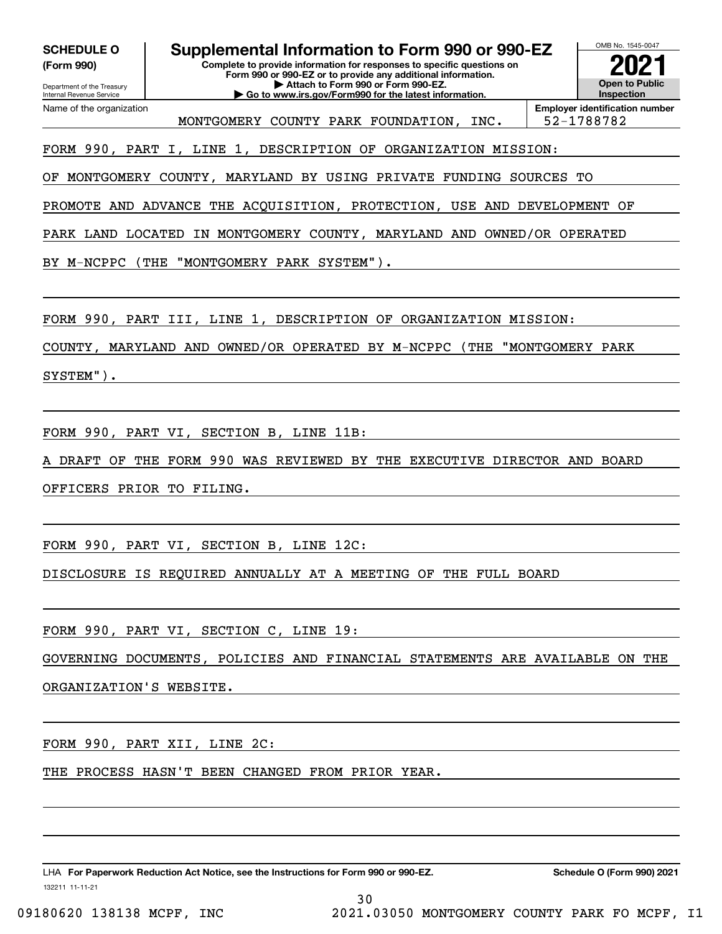**(Form 990)**

Department of the Treasury

# **SCHEDULE O Supplemental Information to Form 990 or 990-EZ**

**Complete to provide information for responses to specific questions on Form 990 or 990-EZ or to provide any additional information. | Attach to Form 990 or Form 990-EZ. | Go to www.irs.gov/Form990 for the latest information.**

OMB No. 1545-0047 **Open to Public InspectionEmployer identification number 2021**

Internal Revenue Service Name of the organization

MONTGOMERY COUNTY PARK FOUNDATION, INC. | 52-1788782

FORM 990, PART I, LINE 1, DESCRIPTION OF ORGANIZATION MISSION:

OF MONTGOMERY COUNTY, MARYLAND BY USING PRIVATE FUNDING SOURCES TO

PROMOTE AND ADVANCE THE ACQUISITION, PROTECTION, USE AND DEVELOPMENT OF

PARK LAND LOCATED IN MONTGOMERY COUNTY, MARYLAND AND OWNED/OR OPERATED

BY M-NCPPC (THE "MONTGOMERY PARK SYSTEM").

FORM 990, PART III, LINE 1, DESCRIPTION OF ORGANIZATION MISSION:

COUNTY, MARYLAND AND OWNED/OR OPERATED BY M-NCPPC (THE "MONTGOMERY PARK

SYSTEM").

FORM 990, PART VI, SECTION B, LINE 11B:

A DRAFT OF THE FORM 990 WAS REVIEWED BY THE EXECUTIVE DIRECTOR AND BOARD

OFFICERS PRIOR TO FILING.

FORM 990, PART VI, SECTION B, LINE 12C:

DISCLOSURE IS REQUIRED ANNUALLY AT A MEETING OF THE FULL BOARD

FORM 990, PART VI, SECTION C, LINE 19:

GOVERNING DOCUMENTS, POLICIES AND FINANCIAL STATEMENTS ARE AVAILABLE ON THE

ORGANIZATION`S WEBSITE.

FORM 990, PART XII, LINE 2C:

THE PROCESS HASN'T BEEN CHANGED FROM PRIOR YEAR.

LHA For Paperwork Reduction Act Notice, see the Instructions for Form 990 or 990-EZ. Schedule O (Form 990) 2021

132211 11-11-21

30